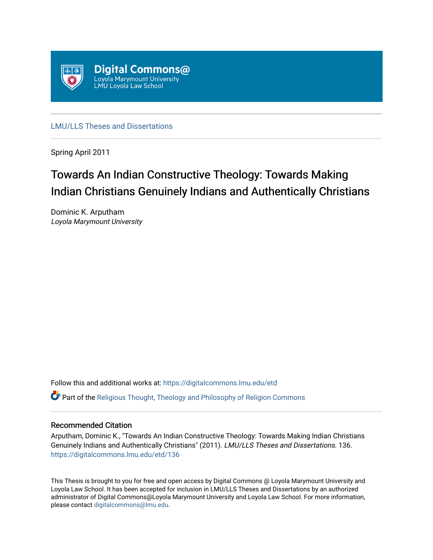

[LMU/LLS Theses and Dissertations](https://digitalcommons.lmu.edu/etd)

Spring April 2011

# Towards An Indian Constructive Theology: Towards Making Indian Christians Genuinely Indians and Authentically Christians

Dominic K. Arputham Loyola Marymount University

Follow this and additional works at: [https://digitalcommons.lmu.edu/etd](https://digitalcommons.lmu.edu/etd?utm_source=digitalcommons.lmu.edu%2Fetd%2F136&utm_medium=PDF&utm_campaign=PDFCoverPages) 

**C** Part of the Religious Thought, Theology and Philosophy of Religion Commons

#### Recommended Citation

Arputham, Dominic K., "Towards An Indian Constructive Theology: Towards Making Indian Christians Genuinely Indians and Authentically Christians" (2011). LMU/LLS Theses and Dissertations. 136. [https://digitalcommons.lmu.edu/etd/136](https://digitalcommons.lmu.edu/etd/136?utm_source=digitalcommons.lmu.edu%2Fetd%2F136&utm_medium=PDF&utm_campaign=PDFCoverPages)

This Thesis is brought to you for free and open access by Digital Commons @ Loyola Marymount University and Loyola Law School. It has been accepted for inclusion in LMU/LLS Theses and Dissertations by an authorized administrator of Digital Commons@Loyola Marymount University and Loyola Law School. For more information, please contact [digitalcommons@lmu.edu](mailto:digitalcommons@lmu.edu).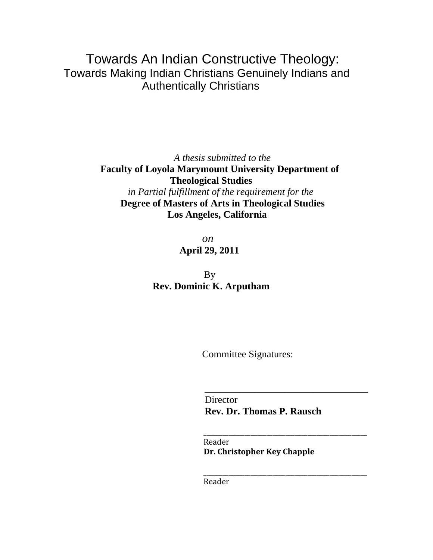# Towards An Indian Constructive Theology: Towards Making Indian Christians Genuinely Indians and Authentically Christians

 *A thesis submitted to the*   **Faculty of Loyola Marymount University Department of Theological Studies**   *in Partial fulfillment of the requirement for the*   **Degree of Masters of Arts in Theological Studies Los Angeles, California** 

 *on*  **April 29, 2011** 

**By Rev. Dominic K. Arputham** 

Committee Signatures:

**Director Rev. Dr. Thomas P. Rausch**

 Reader **Dr. Christopher Key Chapple**

 \_\_\_\_\_\_\_\_\_\_\_\_\_\_\_\_\_\_\_\_\_\_\_\_\_\_\_\_\_\_\_\_\_\_\_\_\_\_\_\_\_\_\_\_\_\_\_\_\_\_\_\_ Reader

 $\frac{1}{2}$  ,  $\frac{1}{2}$  ,  $\frac{1}{2}$  ,  $\frac{1}{2}$  ,  $\frac{1}{2}$  ,  $\frac{1}{2}$  ,  $\frac{1}{2}$  ,  $\frac{1}{2}$  ,  $\frac{1}{2}$  ,  $\frac{1}{2}$  ,  $\frac{1}{2}$  ,  $\frac{1}{2}$  ,  $\frac{1}{2}$  ,  $\frac{1}{2}$  ,  $\frac{1}{2}$  ,  $\frac{1}{2}$  ,  $\frac{1}{2}$  ,  $\frac{1}{2}$  ,  $\frac{1$ 

 $\overline{\phantom{a}}$  ,  $\overline{\phantom{a}}$  ,  $\overline{\phantom{a}}$  ,  $\overline{\phantom{a}}$  ,  $\overline{\phantom{a}}$  ,  $\overline{\phantom{a}}$  ,  $\overline{\phantom{a}}$  ,  $\overline{\phantom{a}}$  ,  $\overline{\phantom{a}}$  ,  $\overline{\phantom{a}}$  ,  $\overline{\phantom{a}}$  ,  $\overline{\phantom{a}}$  ,  $\overline{\phantom{a}}$  ,  $\overline{\phantom{a}}$  ,  $\overline{\phantom{a}}$  ,  $\overline{\phantom{a}}$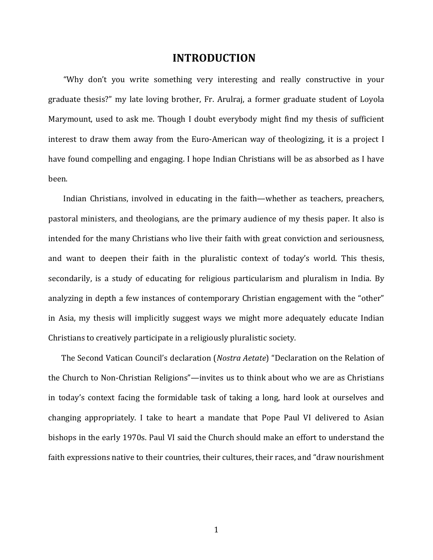# **INTRODUCTION**

 "Why don't you write something very interesting and really constructive in your graduate thesis?" my late loving brother, Fr. Arulraj, a former graduate student of Loyola Marymount, used to ask me. Though I doubt everybody might find my thesis of sufficient interest to draw them away from the Euro-American way of theologizing, it is a project I have found compelling and engaging. I hope Indian Christians will be as absorbed as I have been.

 Indian Christians, involved in educating in the faith—whether as teachers, preachers, pastoral ministers, and theologians, are the primary audience of my thesis paper. It also is intended for the many Christians who live their faith with great conviction and seriousness, and want to deepen their faith in the pluralistic context of today's world. This thesis, secondarily, is a study of educating for religious particularism and pluralism in India. By analyzing in depth a few instances of contemporary Christian engagement with the "other" in Asia, my thesis will implicitly suggest ways we might more adequately educate Indian Christians to creatively participate in a religiously pluralistic society.

 The Second Vatican Council's declaration (*Nostra Aetate*) "Declaration on the Relation of the Church to Non‐Christian Religions"—invites us to think about who we are as Christians in today's context facing the formidable task of taking a long, hard look at ourselves and changing appropriately. I take to heart a mandate that Pope Paul VI delivered to Asian bishops in the early 1970s. Paul VI said the Church should make an effort to understand the faith expressions native to their countries, their cultures, their races, and "draw nourishment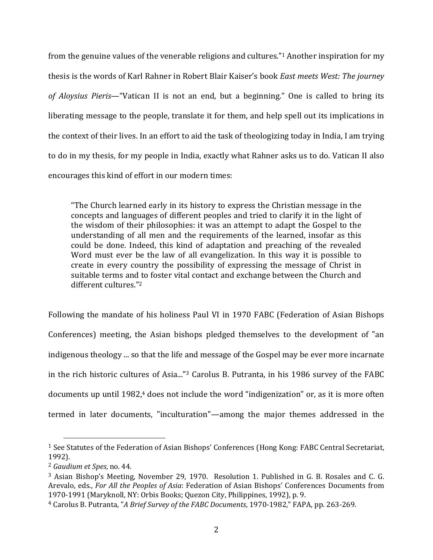from the genuine values of the venerable religions and cultures."1 Another inspiration for my thesis is the words of Karl Rahner in Robert Blair Kaiser's book *East meets West: The journey of Aloysius Pieris*—"Vatican II is not an end, but a beginning." One is called to bring its liberating message to the people, translate it for them, and help spell out its implications in the context of their lives. In an effort to aid the task of theologizing today in India, I am trying to do in my thesis, for my people in India, exactly what Rahner asks us to do. Vatican II also encourages this kind of effort in our modern times:

"The Church learned early in its history to express the Christian message in the concepts and languages of different peoples and tried to clarify it in the light of the wisdom of their philosophies: it was an attempt to adapt the Gospel to the understanding of all men and the requirements of the learned, insofar as this could be done. Indeed, this kind of adaptation and preaching of the revealed Word must ever be the law of all evangelization. In this way it is possible to create in every country the possibility of expressing the message of Christ in suitable terms and to foster vital contact and exchange between the Church and different cultures."2

Following the mandate of his holiness Paul VI in 1970 FABC (Federation of Asian Bishops Conferences) meeting, the Asian bishops pledged themselves to the development of "an indigenous theology ... so that the life and message of the Gospel may be ever more incarnate in the rich historic cultures of Asia..."3 Carolus B. Putranta, in his 1986 survey of the FABC documents up until 1982,<sup>4</sup> does not include the word "indigenization" or, as it is more often termed in later documents, "inculturation"—among the major themes addressed in the

<sup>1</sup> See Statutes of the Federation of Asian Bishops' Conferences (Hong Kong: FABC Central Secretariat, 1992).

<sup>2</sup> *Gaudium et Spes*, no. 44.

<sup>&</sup>lt;sup>3</sup> Asian Bishop's Meeting, November 29, 1970. Resolution 1. Published in G. B. Rosales and C. G. Arevalo, eds., *For All the Peoples of Asia*: Federation of Asian Bishops' Conferences Documents from 1970‐1991 (Maryknoll, NY: Orbis Books; Quezon City, Philippines, 1992), p. 9.

<sup>4</sup> Carolus B. Putranta, "*A Brief Survey of the FABC Documents*, 1970‐1982," FAPA, pp. 263‐269.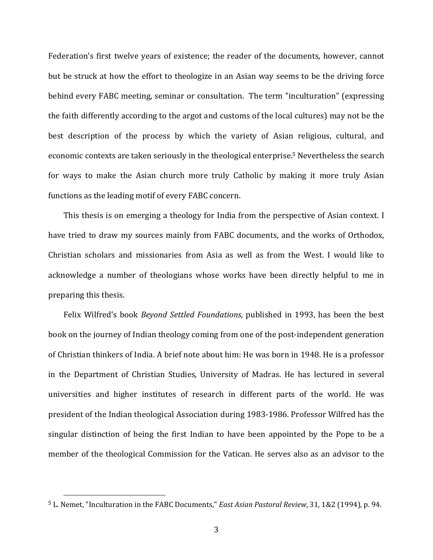Federation's first twelve years of existence; the reader of the documents, however, cannot but be struck at how the effort to theologize in an Asian way seems to be the driving force behind every FABC meeting, seminar or consultation. The term "inculturation" (expressing the faith differently according to the argot and customs of the local cultures) may not be the best description of the process by which the variety of Asian religious, cultural, and economic contexts are taken seriously in the theological enterprise.5 Nevertheless the search for ways to make the Asian church more truly Catholic by making it more truly Asian functions as the leading motif of every FABC concern.

This thesis is on emerging a theology for India from the perspective of Asian context. I have tried to draw my sources mainly from FABC documents, and the works of Orthodox, Christian scholars and missionaries from Asia as well as from the West. I would like to acknowledge a number of theologians whose works have been directly helpful to me in preparing this thesis.

Felix Wilfred's book *Beyond Settled Foundations,* published in 1993, has been the best book on the journey of Indian theology coming from one of the post-independent generation of Christian thinkers of India. A brief note about him: He was born in 1948. He is a professor in the Department of Christian Studies, University of Madras. He has lectured in several universities and higher institutes of research in different parts of the world. He was president of the Indian theological Association during 1983‐1986. Professor Wilfred has the singular distinction of being the first Indian to have been appointed by the Pope to be a member of the theological Commission for the Vatican. He serves also as an advisor to the

<sup>5</sup> L. Nemet, "Inculturation in the FABC Documents," *East Asian Pastoral Review*, 31, 1&2 (1994), p. 94.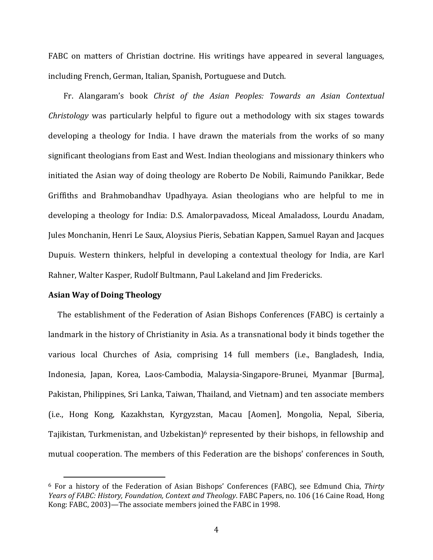FABC on matters of Christian doctrine. His writings have appeared in several languages, including French, German, Italian, Spanish, Portuguese and Dutch.

Fr. Alangaram's book *Christ of the Asian Peoples: Towards an Asian Contextual Christology* was particularly helpful to figure out a methodology with six stages towards developing a theology for India. I have drawn the materials from the works of so many significant theologians from East and West. Indian theologians and missionary thinkers who initiated the Asian way of doing theology are Roberto De Nobili, Raimundo Panikkar, Bede Griffiths and Brahmobandhav Upadhyaya. Asian theologians who are helpful to me in developing a theology for India: D.S. Amalorpavadoss, Miceal Amaladoss, Lourdu Anadam, Jules Monchanin, Henri Le Saux, Aloysius Pieris, Sebatian Kappen, Samuel Rayan and Jacques Dupuis. Western thinkers, helpful in developing a contextual theology for India, are Karl Rahner, Walter Kasper, Rudolf Bultmann, Paul Lakeland and Jim Fredericks.

#### **Asian Way of Doing Theology**

The establishment of the Federation of Asian Bishops Conferences (FABC) is certainly a landmark in the history of Christianity in Asia. As a transnational body it binds together the various local Churches of Asia, comprising 14 full members (i.e., Bangladesh, India, Indonesia, Japan, Korea, Laos‐Cambodia, Malaysia‐Singapore‐Brunei, Myanmar [Burma], Pakistan, Philippines, Sri Lanka, Taiwan, Thailand, and Vietnam) and ten associate members (i.e., Hong Kong, Kazakhstan, Kyrgyzstan, Macau [Aomen], Mongolia, Nepal, Siberia, Tajikistan, Turkmenistan, and Uzbekistan)<sup>6</sup> represented by their bishops, in fellowship and mutual cooperation. The members of this Federation are the bishops' conferences in South,

<sup>6</sup> For a history of the Federation of Asian Bishops' Conferences (FABC), see Edmund Chia, *Thirty Years of FABC: History, Foundation, Context and Theology*. FABC Papers, no. 106 (16 Caine Road, Hong Kong: FABC, 2003)—The associate members joined the FABC in 1998.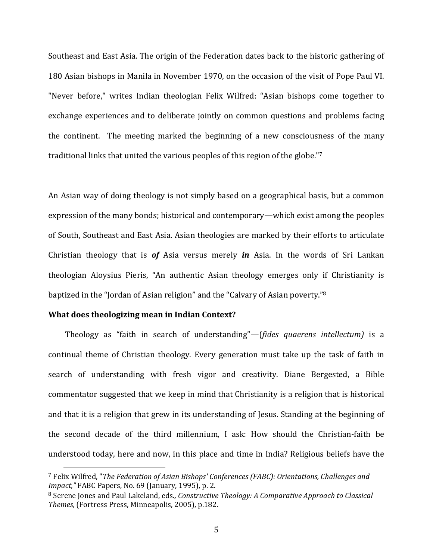Southeast and East Asia. The origin of the Federation dates back to the historic gathering of 180 Asian bishops in Manila in November 1970, on the occasion of the visit of Pope Paul VI. "Never before," writes Indian theologian Felix Wilfred: "Asian bishops come together to exchange experiences and to deliberate jointly on common questions and problems facing the continent. The meeting marked the beginning of a new consciousness of the many traditional links that united the various peoples of this region of the globe."7

An Asian way of doing theology is not simply based on a geographical basis, but a common expression of the many bonds; historical and contemporary—which exist among the peoples of South, Southeast and East Asia. Asian theologies are marked by their efforts to articulate Christian theology that is *of* Asia versus merely *in* Asia. In the words of Sri Lankan theologian Aloysius Pieris, "An authentic Asian theology emerges only if Christianity is baptized in the "Jordan of Asian religion" and the "Calvary of Asian poverty."8

# **What does theologizing mean in Indian Context?**

Theology as "faith in search of understanding"—(*fides quaerens intellectum)* is a continual theme of Christian theology. Every generation must take up the task of faith in search of understanding with fresh vigor and creativity. Diane Bergested, a Bible commentator suggested that we keep in mind that Christianity is a religion that is historical and that it is a religion that grew in its understanding of Jesus. Standing at the beginning of the second decade of the third millennium, I ask: How should the Christian‐faith be understood today, here and now, in this place and time in India? Religious beliefs have the

<sup>7</sup> Felix Wilfred, "*The Federation of Asian Bishops' Conferences (FABC): Orientations, Challenges and Impact,"* FABC Papers, No. 69 (January, 1995), p. 2.

<sup>8</sup> Serene Jones and Paul Lakeland, eds*., Constructive Theology: A Comparative Approach to Classical Themes,* (Fortress Press, Minneapolis, 2005), p.182.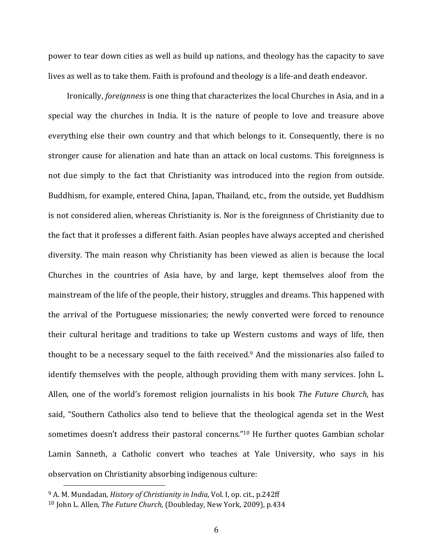power to tear down cities as well as build up nations, and theology has the capacity to save lives as well as to take them. Faith is profound and theology is a life-and death endeavor.

 Ironically, *foreignness* is one thing that characterizes the local Churches in Asia, and in a special way the churches in India. It is the nature of people to love and treasure above everything else their own country and that which belongs to it. Consequently, there is no stronger cause for alienation and hate than an attack on local customs. This foreignness is not due simply to the fact that Christianity was introduced into the region from outside. Buddhism, for example, entered China, Japan, Thailand, etc., from the outside, yet Buddhism is not considered alien, whereas Christianity is. Nor is the foreignness of Christianity due to the fact that it professes a different faith. Asian peoples have always accepted and cherished diversity. The main reason why Christianity has been viewed as alien is because the local Churches in the countries of Asia have, by and large, kept themselves aloof from the mainstream of the life of the people, their history, struggles and dreams. This happened with the arrival of the Portuguese missionaries; the newly converted were forced to renounce their cultural heritage and traditions to take up Western customs and ways of life, then thought to be a necessary sequel to the faith received.9 And the missionaries also failed to identify themselves with the people, although providing them with many services. John L. Allen, one of the world's foremost religion journalists in his book *The Future Church,* has said, "Southern Catholics also tend to believe that the theological agenda set in the West sometimes doesn't address their pastoral concerns."<sup>10</sup> He further quotes Gambian scholar Lamin Sanneth, a Catholic convert who teaches at Yale University, who says in his observation on Christianity absorbing indigenous culture:

<sup>9</sup> A. M. Mundadan, *History of Christianity in India*, Vol. I, op. cit., p.242ff

<sup>10</sup> John L. Allen, *The Future Church,* (Doubleday, New York, 2009), p.434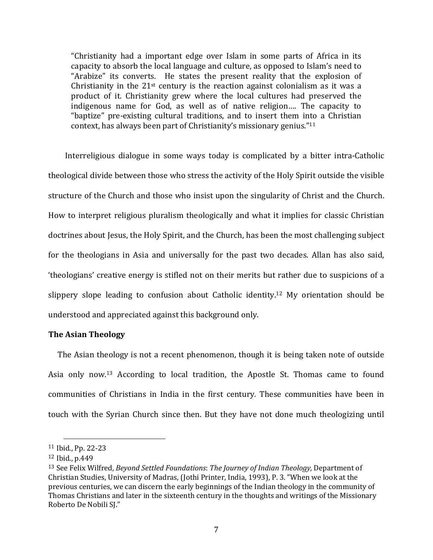"Christianity had a important edge over Islam in some parts of Africa in its capacity to absorb the local language and culture, as opposed to Islam's need to "Arabize" its converts. He states the present reality that the explosion of Christianity in the  $21<sup>st</sup>$  century is the reaction against colonialism as it was a product of it. Christianity grew where the local cultures had preserved the indigenous name for God, as well as of native religion…. The capacity to "baptize" pre‐existing cultural traditions, and to insert them into a Christian context, has always been part of Christianity's missionary genius."11

Interreligious dialogue in some ways today is complicated by a bitter intra-Catholic theological divide between those who stress the activity of the Holy Spirit outside the visible structure of the Church and those who insist upon the singularity of Christ and the Church. How to interpret religious pluralism theologically and what it implies for classic Christian doctrines about Jesus, the Holy Spirit, and the Church, has been the most challenging subject for the theologians in Asia and universally for the past two decades. Allan has also said, 'theologians' creative energy is stifled not on their merits but rather due to suspicions of a slippery slope leading to confusion about Catholic identity.<sup>12</sup> My orientation should be understood and appreciated against this background only.

## **The Asian Theology**

 The Asian theology is not a recent phenomenon, though it is being taken note of outside Asia only now.<sup>13</sup> According to local tradition, the Apostle St. Thomas came to found communities of Christians in India in the first century. These communities have been in touch with the Syrian Church since then. But they have not done much theologizing until

<sup>11</sup> Ibid., Pp. 22‐23

<sup>12</sup> Ibid., p.449

<sup>13</sup> See Felix Wilfred, *Beyond Settled Foundations*: *The Journey of Indian Theology,* Department of Christian Studies, University of Madras, (Jothi Printer, India, 1993), P. 3. "When we look at the previous centuries, we can discern the early beginnings of the Indian theology in the community of Thomas Christians and later in the sixteenth century in the thoughts and writings of the Missionary Roberto De Nobili SJ."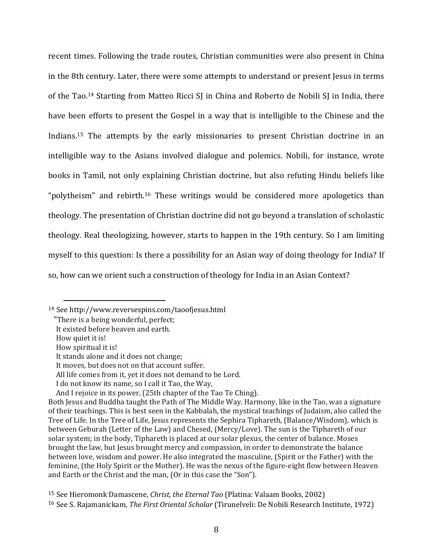recent times. Following the trade routes, Christian communities were also present in China in the 8th century. Later, there were some attempts to understand or present Jesus in terms of the Tao.<sup>14</sup> Starting from Matteo Ricci SJ in China and Roberto de Nobili SJ in India, there have been efforts to present the Gospel in a way that is intelligible to the Chinese and the Indians.<sup>15</sup> The attempts by the early missionaries to present Christian doctrine in an intelligible way to the Asians involved dialogue and polemics. Nobili, for instance, wrote books in Tamil, not only explaining Christian doctrine, but also refuting Hindu beliefs like "polytheism" and rebirth.<sup>16</sup> These writings would be considered more apologetics than theology. The presentation of Christian doctrine did not go beyond a translation of scholastic theology. Real theologizing, however, starts to happen in the 19th century. So I am limiting myself to this question: Is there a possibility for an Asian way of doing theology for India? If so, how can we orient such a construction of theology for India in an Asian Context?

How quiet it is!

<sup>14</sup> See http://www.reversespins.com/taoofjesus.html

 <sup>&</sup>quot;There is a being wonderful, perfect;

It existed before heaven and earth.

How spiritual it is!

It stands alone and it does not change;

It moves, but does not on that account suffer.

All life comes from it, yet it does not demand to be Lord.

I do not know its name, so I call it Tao, the Way,

And I rejoice in its power, (25th chapter of the Tao Te Ching).

Both Jesus and Buddha taught the Path of The Middle Way. Harmony, like in the Tao, was a signature of their teachings. This is best seen in the Kabbalah, the mystical teachings of Judaism, also called the Tree of Life. In the Tree of Life, Jesus represents the Sephira Tiphareth, (Balance/Wisdom), which is between Geburah (Letter of the Law) and Chesed, (Mercy/Love). The sun is the Tiphareth of our solar system; in the body, Tiphareth is placed at our solar plexus, the center of balance. Moses brought the law, but Jesus brought mercy and compassion, in order to demonstrate the balance between love, wisdom and power. He also integrated the masculine, (Spirit or the Father) with the feminine, (the Holy Spirit or the Mother). He was the nexus of the figure-eight flow between Heaven and Earth or the Christ and the man, (Or in this case the "Son").

<sup>15</sup> See Hieromonk Damascene, *Christ, the Eternal Tao* (Platina: Valaam Books, 2002) <sup>16</sup> See S. Rajamanickam, *The First Oriental Scholar* (Tirunelveli: De Nobili Research Institute, 1972)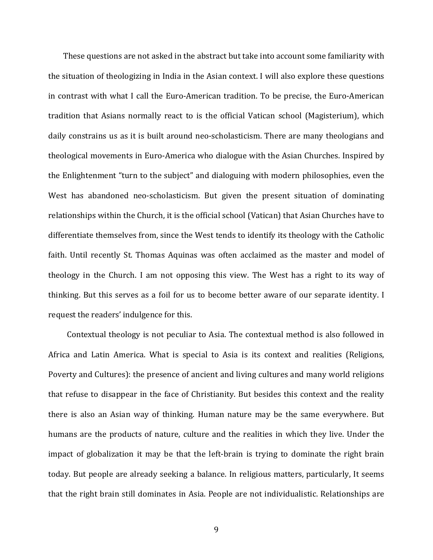These questions are not asked in the abstract but take into account some familiarity with the situation of theologizing in India in the Asian context. I will also explore these questions in contrast with what I call the Euro-American tradition. To be precise, the Euro-American tradition that Asians normally react to is the official Vatican school (Magisterium), which daily constrains us as it is built around neo‐scholasticism. There are many theologians and theological movements in Euro‐America who dialogue with the Asian Churches. Inspired by the Enlightenment "turn to the subject" and dialoguing with modern philosophies, even the West has abandoned neo-scholasticism. But given the present situation of dominating relationships within the Church, it is the official school (Vatican) that Asian Churches have to differentiate themselves from, since the West tends to identify its theology with the Catholic faith. Until recently St. Thomas Aquinas was often acclaimed as the master and model of theology in the Church. I am not opposing this view. The West has a right to its way of thinking. But this serves as a foil for us to become better aware of our separate identity. I request the readers' indulgence for this.

 Contextual theology is not peculiar to Asia. The contextual method is also followed in Africa and Latin America. What is special to Asia is its context and realities (Religions, Poverty and Cultures): the presence of ancient and living cultures and many world religions that refuse to disappear in the face of Christianity. But besides this context and the reality there is also an Asian way of thinking. Human nature may be the same everywhere. But humans are the products of nature, culture and the realities in which they live. Under the impact of globalization it may be that the left-brain is trying to dominate the right brain today. But people are already seeking a balance. In religious matters, particularly, It seems that the right brain still dominates in Asia. People are not individualistic. Relationships are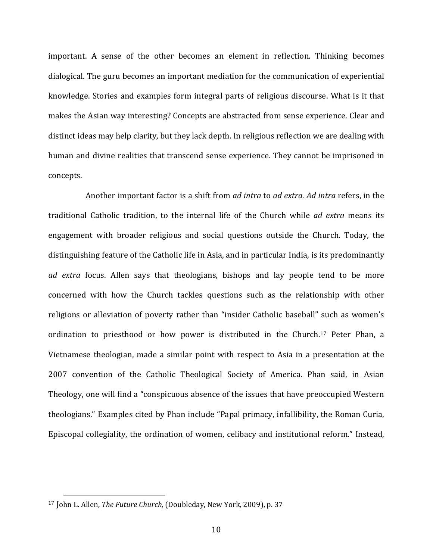important. A sense of the other becomes an element in reflection. Thinking becomes dialogical. The guru becomes an important mediation for the communication of experiential knowledge. Stories and examples form integral parts of religious discourse. What is it that makes the Asian way interesting? Concepts are abstracted from sense experience. Clear and distinct ideas may help clarity, but they lack depth. In religious reflection we are dealing with human and divine realities that transcend sense experience. They cannot be imprisoned in concepts.

 Another important factor is a shift from *ad intra* to *ad extra. Ad intra* refers, in the traditional Catholic tradition, to the internal life of the Church while *ad extra* means its engagement with broader religious and social questions outside the Church. Today, the distinguishing feature of the Catholic life in Asia, and in particular India, is its predominantly *ad extra* focus. Allen says that theologians, bishops and lay people tend to be more concerned with how the Church tackles questions such as the relationship with other religions or alleviation of poverty rather than "insider Catholic baseball" such as women's ordination to priesthood or how power is distributed in the Church.<sup>17</sup> Peter Phan, a Vietnamese theologian, made a similar point with respect to Asia in a presentation at the 2007 convention of the Catholic Theological Society of America. Phan said, in Asian Theology, one will find a "conspicuous absence of the issues that have preoccupied Western theologians." Examples cited by Phan include "Papal primacy, infallibility, the Roman Curia, Episcopal collegiality, the ordination of women, celibacy and institutional reform." Instead,

<sup>17</sup> John L. Allen, *The Future Church,* (Doubleday, New York, 2009), p. 37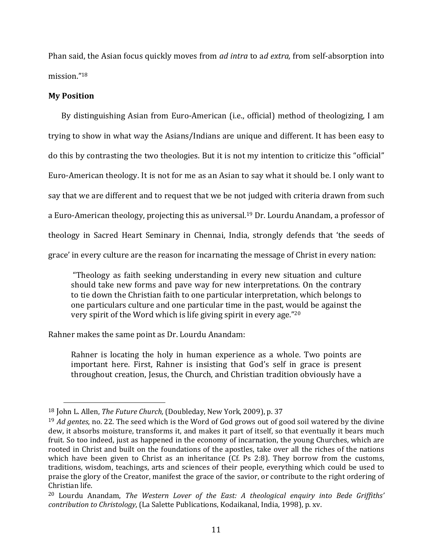Phan said, the Asian focus quickly moves from *ad intra* to a*d extra,* from self‐absorption into mission."18

# **My Position**

By distinguishing Asian from Euro-American (i.e., official) method of theologizing, I am trying to show in what way the Asians/Indians are unique and different. It has been easy to do this by contrasting the two theologies. But it is not my intention to criticize this "official" Euro‐American theology. It is not for me as an Asian to say what it should be. I only want to say that we are different and to request that we be not judged with criteria drawn from such a Euro-American theology, projecting this as universal.<sup>19</sup> Dr. Lourdu Anandam, a professor of theology in Sacred Heart Seminary in Chennai, India, strongly defends that 'the seeds of grace' in every culture are the reason for incarnating the message of Christ in every nation:

 "Theology as faith seeking understanding in every new situation and culture should take new forms and pave way for new interpretations. On the contrary to tie down the Christian faith to one particular interpretation, which belongs to one particulars culture and one particular time in the past, would be against the very spirit of the Word which is life giving spirit in every age."20

Rahner makes the same point as Dr. Lourdu Anandam:

Rahner is locating the holy in human experience as a whole. Two points are important here. First, Rahner is insisting that God's self in grace is present throughout creation, Jesus, the Church, and Christian tradition obviously have a

<sup>18</sup> John L. Allen, *The Future Church,* (Doubleday, New York, 2009), p. 37

<sup>19</sup> *Ad gentes*, no. 22. The seed which is the Word of God grows out of good soil watered by the divine dew, it absorbs moisture, transforms it, and makes it part of itself, so that eventually it bears much fruit. So too indeed, just as happened in the economy of incarnation, the young Churches, which are rooted in Christ and built on the foundations of the apostles, take over all the riches of the nations which have been given to Christ as an inheritance (Cf. Ps 2:8). They borrow from the customs, traditions, wisdom, teachings, arts and sciences of their people, everything which could be used to praise the glory of the Creator, manifest the grace of the savior, or contribute to the right ordering of Christian life.

<sup>20</sup> Lourdu Anandam, *The Western Lover of the East: A theological enquiry into Bede Griffiths' contribution to Christology*, (La Salette Publications, Kodaikanal, India, 1998), p. xv.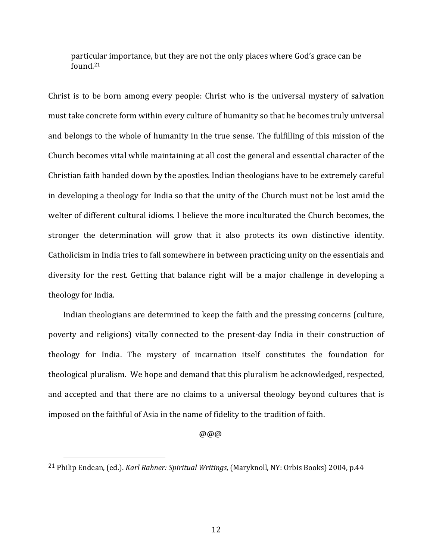particular importance, but they are not the only places where God's grace can be found.21

Christ is to be born among every people: Christ who is the universal mystery of salvation must take concrete form within every culture of humanity so that he becomes truly universal and belongs to the whole of humanity in the true sense. The fulfilling of this mission of the Church becomes vital while maintaining at all cost the general and essential character of the Christian faith handed down by the apostles. Indian theologians have to be extremely careful in developing a theology for India so that the unity of the Church must not be lost amid the welter of different cultural idioms. I believe the more inculturated the Church becomes, the stronger the determination will grow that it also protects its own distinctive identity. Catholicism in India tries to fall somewhere in between practicing unity on the essentials and diversity for the rest. Getting that balance right will be a major challenge in developing a theology for India.

 Indian theologians are determined to keep the faith and the pressing concerns (culture, poverty and religions) vitally connected to the present-day India in their construction of theology for India. The mystery of incarnation itself constitutes the foundation for theological pluralism. We hope and demand that this pluralism be acknowledged, respected, and accepted and that there are no claims to a universal theology beyond cultures that is imposed on the faithful of Asia in the name of fidelity to the tradition of faith.

@@@

<sup>21</sup> Philip Endean, (ed.). *Karl Rahner: Spiritual Writings*, (Maryknoll, NY: Orbis Books) 2004, p.44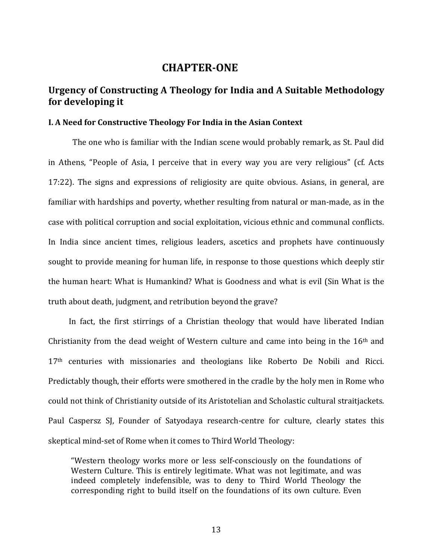# **CHAPTER‐ONE**

# **Urgency of Constructing A Theology for India and A Suitable Methodology for developing it**

# **I. A Need for Constructive Theology For India in the Asian Context**

 The one who is familiar with the Indian scene would probably remark, as St. Paul did in Athens, "People of Asia, I perceive that in every way you are very religious" (cf. Acts 17:22). The signs and expressions of religiosity are quite obvious. Asians, in general, are familiar with hardships and poverty, whether resulting from natural or man-made, as in the case with political corruption and social exploitation, vicious ethnic and communal conflicts. In India since ancient times, religious leaders, ascetics and prophets have continuously sought to provide meaning for human life, in response to those questions which deeply stir the human heart: What is Humankind? What is Goodness and what is evil (Sin What is the truth about death, judgment, and retribution beyond the grave?

In fact, the first stirrings of a Christian theology that would have liberated Indian Christianity from the dead weight of Western culture and came into being in the  $16<sup>th</sup>$  and 17<sup>th</sup> centuries with missionaries and theologians like Roberto De Nobili and Ricci. Predictably though, their efforts were smothered in the cradle by the holy men in Rome who could not think of Christianity outside of its Aristotelian and Scholastic cultural straitjackets. Paul Caspersz SJ, Founder of Satyodaya research-centre for culture, clearly states this skeptical mind‐set of Rome when it comes to Third World Theology:

"Western theology works more or less self‐consciously on the foundations of Western Culture. This is entirely legitimate. What was not legitimate, and was indeed completely indefensible, was to deny to Third World Theology the corresponding right to build itself on the foundations of its own culture. Even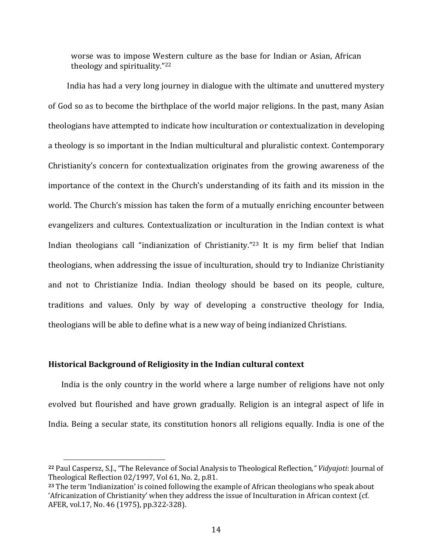worse was to impose Western culture as the base for Indian or Asian, African theology and spirituality."22

 India has had a very long journey in dialogue with the ultimate and unuttered mystery of God so as to become the birthplace of the world major religions. In the past, many Asian theologians have attempted to indicate how inculturation or contextualization in developing a theology is so important in the Indian multicultural and pluralistic context. Contemporary Christianity's concern for contextualization originates from the growing awareness of the importance of the context in the Church's understanding of its faith and its mission in the world. The Church's mission has taken the form of a mutually enriching encounter between evangelizers and cultures. Contextualization or inculturation in the Indian context is what Indian theologians call "indianization of Christianity."<sup>23</sup> It is my firm belief that Indian theologians, when addressing the issue of inculturation, should try to Indianize Christianity and not to Christianize India. Indian theology should be based on its people, culture, traditions and values. Only by way of developing a constructive theology for India, theologians will be able to define what is a new way of being indianized Christians.

#### **Historical Background of Religiosity in the Indian cultural context**

 India is the only country in the world where a large number of religions have not only evolved but flourished and have grown gradually. Religion is an integral aspect of life in India. Being a secular state, its constitution honors all religions equally. India is one of the

**<sup>22</sup>** Paul Caspersz, S.J., "The Relevance of Social Analysis to Theological Reflection*," Vidyajoti*: Journal of Theological Reflection 02/1997, Vol 61, No. 2, p.81.

**<sup>23</sup>** The term 'Indianization' is coined following the example of African theologians who speak about 'Africanization of Christianity' when they address the issue of Inculturation in African context (cf. AFER, vol.17, No. 46 (1975), pp.322‐328).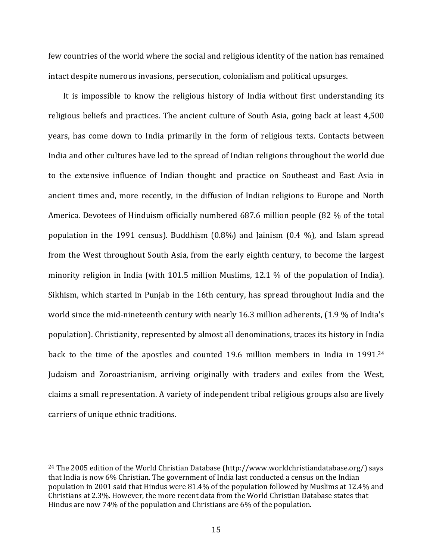few countries of the world where the social and religious identity of the nation has remained intact despite numerous invasions, persecution, colonialism and political upsurges.

 It is impossible to know the religious history of India without first understanding its religious beliefs and practices. The ancient culture of South Asia, going back at least 4,500 years, has come down to India primarily in the form of religious texts. Contacts between India and other cultures have led to the spread of Indian religions throughout the world due to the extensive influence of Indian thought and practice on Southeast and East Asia in ancient times and, more recently, in the diffusion of Indian religions to Europe and North America. Devotees of Hinduism officially numbered 687.6 million people (82 % of the total population in the 1991 census). Buddhism (0.8%) and Jainism (0.4 %), and Islam spread from the West throughout South Asia, from the early eighth century, to become the largest minority religion in India (with 101.5 million Muslims, 12.1 % of the population of India). Sikhism, which started in Punjab in the 16th century, has spread throughout India and the world since the mid-nineteenth century with nearly 16.3 million adherents, (1.9 % of India's population). Christianity, represented by almost all denominations, traces its history in India back to the time of the apostles and counted 19.6 million members in India in 1991.<sup>24</sup> Judaism and Zoroastrianism, arriving originally with traders and exiles from the West, claims a small representation. A variety of independent tribal religious groups also are lively carriers of unique ethnic traditions.

<sup>24</sup> The 2005 edition of the World Christian Database (http://www.worldchristiandatabase.org/) says that India is now 6% Christian. The government of India last conducted a census on the Indian population in 2001 said that Hindus were 81.4% of the population followed by Muslims at 12.4% and Christians at 2.3%. However, the more recent data from the World Christian Database states that Hindus are now 74% of the population and Christians are 6% of the population.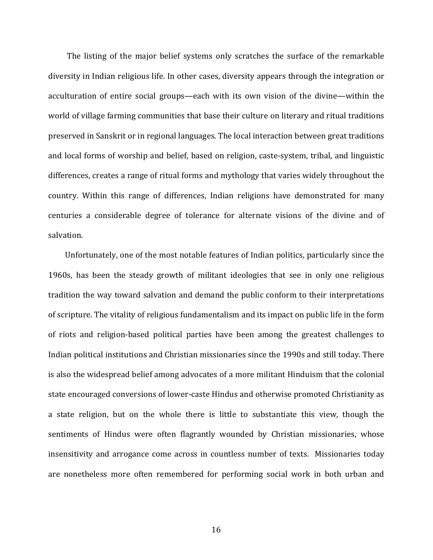The listing of the major belief systems only scratches the surface of the remarkable diversity in Indian religious life. In other cases, diversity appears through the integration or acculturation of entire social groups—each with its own vision of the divine—within the world of village farming communities that base their culture on literary and ritual traditions preserved in Sanskrit or in regional languages. The local interaction between great traditions and local forms of worship and belief, based on religion, caste‐system, tribal, and linguistic differences, creates a range of ritual forms and mythology that varies widely throughout the country. Within this range of differences, Indian religions have demonstrated for many centuries a considerable degree of tolerance for alternate visions of the divine and of salvation.

 Unfortunately, one of the most notable features of Indian politics, particularly since the 1960s, has been the steady growth of militant ideologies that see in only one religious tradition the way toward salvation and demand the public conform to their interpretations of scripture. The vitality of religious fundamentalism and its impact on public life in the form of riots and religion‐based political parties have been among the greatest challenges to Indian political institutions and Christian missionaries since the 1990s and still today. There is also the widespread belief among advocates of a more militant Hinduism that the colonial state encouraged conversions of lower-caste Hindus and otherwise promoted Christianity as a state religion, but on the whole there is little to substantiate this view, though the sentiments of Hindus were often flagrantly wounded by Christian missionaries, whose insensitivity and arrogance come across in countless number of texts. Missionaries today are nonetheless more often remembered for performing social work in both urban and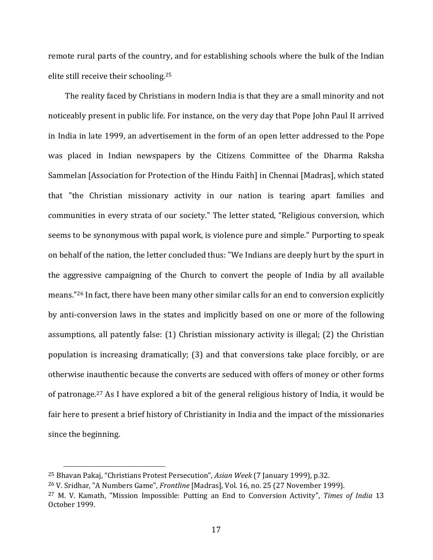remote rural parts of the country, and for establishing schools where the bulk of the Indian elite still receive their schooling.25

 The reality faced by Christians in modern India is that they are a small minority and not noticeably present in public life. For instance, on the very day that Pope John Paul II arrived in India in late 1999, an advertisement in the form of an open letter addressed to the Pope was placed in Indian newspapers by the Citizens Committee of the Dharma Raksha Sammelan [Association for Protection of the Hindu Faith] in Chennai [Madras], which stated that "the Christian missionary activity in our nation is tearing apart families and communities in every strata of our society." The letter stated, "Religious conversion, which seems to be synonymous with papal work, is violence pure and simple." Purporting to speak on behalf of the nation, the letter concluded thus: "We Indians are deeply hurt by the spurt in the aggressive campaigning of the Church to convert the people of India by all available means."26 In fact, there have been many other similar calls for an end to conversion explicitly by anti-conversion laws in the states and implicitly based on one or more of the following assumptions, all patently false: (1) Christian missionary activity is illegal; (2) the Christian population is increasing dramatically; (3) and that conversions take place forcibly, or are otherwise inauthentic because the converts are seduced with offers of money or other forms of patronage.27 As I have explored a bit of the general religious history of India, it would be fair here to present a brief history of Christianity in India and the impact of the missionaries since the beginning.

<sup>25</sup> Bhavan Pakaj, "Christians Protest Persecution", *Asian Week* (7 January 1999), p.32.

<sup>26</sup> V. Sridhar, "A Numbers Game", *Frontline* [Madras], Vol. 16, no. 25 (27 November 1999).

<sup>27</sup> M. V. Kamath, "Mission Impossible: Putting an End to Conversion Activity", *Times of India* 13 October 1999.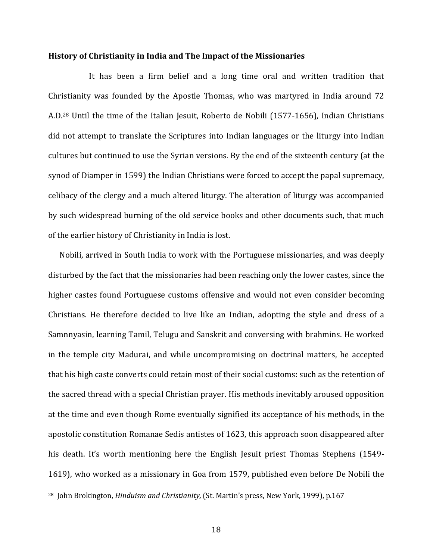#### **History of Christianity in India and The Impact of the Missionaries**

It has been a firm belief and a long time oral and written tradition that Christianity was founded by the Apostle Thomas, who was martyred in India around 72 A.D.28 Until the time of the Italian Jesuit, Roberto de Nobili (1577‐1656), Indian Christians did not attempt to translate the Scriptures into Indian languages or the liturgy into Indian cultures but continued to use the Syrian versions. By the end of the sixteenth century (at the synod of Diamper in 1599) the Indian Christians were forced to accept the papal supremacy, celibacy of the clergy and a much altered liturgy. The alteration of liturgy was accompanied by such widespread burning of the old service books and other documents such, that much of the earlier history of Christianity in India is lost.

 Nobili, arrived in South India to work with the Portuguese missionaries, and was deeply disturbed by the fact that the missionaries had been reaching only the lower castes, since the higher castes found Portuguese customs offensive and would not even consider becoming Christians. He therefore decided to live like an Indian, adopting the style and dress of a Samnnyasin, learning Tamil, Telugu and Sanskrit and conversing with brahmins. He worked in the temple city Madurai, and while uncompromising on doctrinal matters, he accepted that his high caste converts could retain most of their social customs: such as the retention of the sacred thread with a special Christian prayer. His methods inevitably aroused opposition at the time and even though Rome eventually signified its acceptance of his methods, in the apostolic constitution Romanae Sedis antistes of 1623, this approach soon disappeared after his death. It's worth mentioning here the English Jesuit priest Thomas Stephens (1549– 1619), who worked as a missionary in Goa from 1579, published even before De Nobili the

<sup>28</sup> John Brokington, *Hinduism and Christianity,* (St. Martin's press, New York, 1999), p.167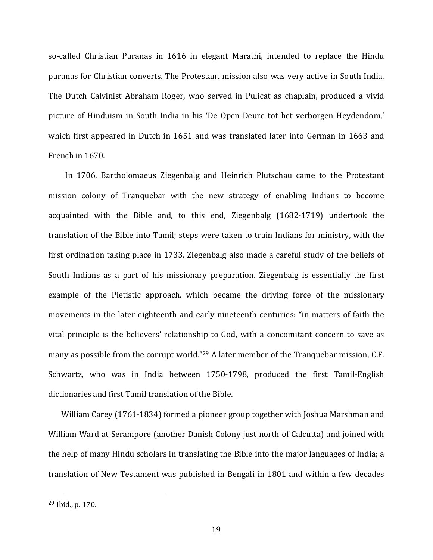so-called Christian Puranas in 1616 in elegant Marathi, intended to replace the Hindu puranas for Christian converts. The Protestant mission also was very active in South India. The Dutch Calvinist Abraham Roger, who served in Pulicat as chaplain, produced a vivid picture of Hinduism in South India in his 'De Open‐Deure tot het verborgen Heydendom,' which first appeared in Dutch in 1651 and was translated later into German in 1663 and French in 1670.

 In 1706, Bartholomaeus Ziegenbalg and Heinrich Plutschau came to the Protestant mission colony of Tranquebar with the new strategy of enabling Indians to become acquainted with the Bible and, to this end, Ziegenbalg (1682-1719) undertook the translation of the Bible into Tamil; steps were taken to train Indians for ministry, with the first ordination taking place in 1733. Ziegenbalg also made a careful study of the beliefs of South Indians as a part of his missionary preparation. Ziegenbalg is essentially the first example of the Pietistic approach, which became the driving force of the missionary movements in the later eighteenth and early nineteenth centuries: "in matters of faith the vital principle is the believers' relationship to God, with a concomitant concern to save as many as possible from the corrupt world."29 A later member of the Tranquebar mission, C.F. Schwartz, who was in India between 1750-1798, produced the first Tamil-English dictionaries and first Tamil translation of the Bible.

William Carey (1761-1834) formed a pioneer group together with Joshua Marshman and William Ward at Serampore (another Danish Colony just north of Calcutta) and joined with the help of many Hindu scholars in translating the Bible into the major languages of India; a translation of New Testament was published in Bengali in 1801 and within a few decades

<sup>29</sup> Ibid., p. 170.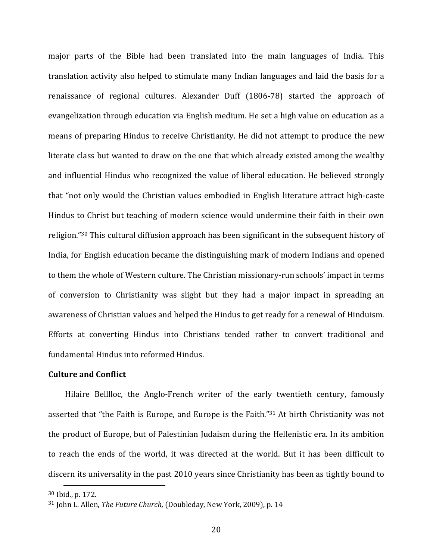major parts of the Bible had been translated into the main languages of India. This translation activity also helped to stimulate many Indian languages and laid the basis for a renaissance of regional cultures. Alexander Duff (1806‐78) started the approach of evangelization through education via English medium. He set a high value on education as a means of preparing Hindus to receive Christianity. He did not attempt to produce the new literate class but wanted to draw on the one that which already existed among the wealthy and influential Hindus who recognized the value of liberal education. He believed strongly that "not only would the Christian values embodied in English literature attract high‐caste Hindus to Christ but teaching of modern science would undermine their faith in their own religion."30 This cultural diffusion approach has been significant in the subsequent history of India, for English education became the distinguishing mark of modern Indians and opened to them the whole of Western culture. The Christian missionary‐run schools' impact in terms of conversion to Christianity was slight but they had a major impact in spreading an awareness of Christian values and helped the Hindus to get ready for a renewal of Hinduism. Efforts at converting Hindus into Christians tended rather to convert traditional and fundamental Hindus into reformed Hindus.

# **Culture and Conflict**

Hilaire Belllloc, the Anglo-French writer of the early twentieth century, famously asserted that "the Faith is Europe, and Europe is the Faith."31 At birth Christianity was not the product of Europe, but of Palestinian Judaism during the Hellenistic era. In its ambition to reach the ends of the world, it was directed at the world. But it has been difficult to discern its universality in the past 2010 years since Christianity has been as tightly bound to

<sup>30</sup> Ibid., p. 172.

<sup>31</sup> John L. Allen, *The Future Church,* (Doubleday, New York, 2009), p. 14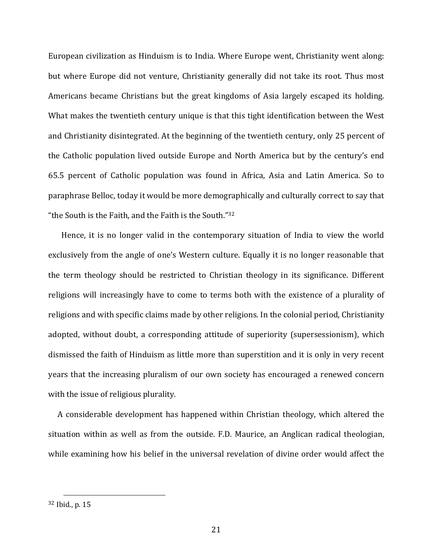European civilization as Hinduism is to India. Where Europe went, Christianity went along: but where Europe did not venture, Christianity generally did not take its root. Thus most Americans became Christians but the great kingdoms of Asia largely escaped its holding. What makes the twentieth century unique is that this tight identification between the West and Christianity disintegrated. At the beginning of the twentieth century, only 25 percent of the Catholic population lived outside Europe and North America but by the century's end 65.5 percent of Catholic population was found in Africa, Asia and Latin America. So to paraphrase Belloc, today it would be more demographically and culturally correct to say that "the South is the Faith, and the Faith is the South."32

Hence, it is no longer valid in the contemporary situation of India to view the world exclusively from the angle of one's Western culture. Equally it is no longer reasonable that the term theology should be restricted to Christian theology in its significance. Different religions will increasingly have to come to terms both with the existence of a plurality of religions and with specific claims made by other religions. In the colonial period, Christianity adopted, without doubt, a corresponding attitude of superiority (supersessionism), which dismissed the faith of Hinduism as little more than superstition and it is only in very recent years that the increasing pluralism of our own society has encouraged a renewed concern with the issue of religious plurality.

 A considerable development has happened within Christian theology, which altered the situation within as well as from the outside. F.D. Maurice, an Anglican radical theologian, while examining how his belief in the universal revelation of divine order would affect the

<sup>32</sup> Ibid., p. 15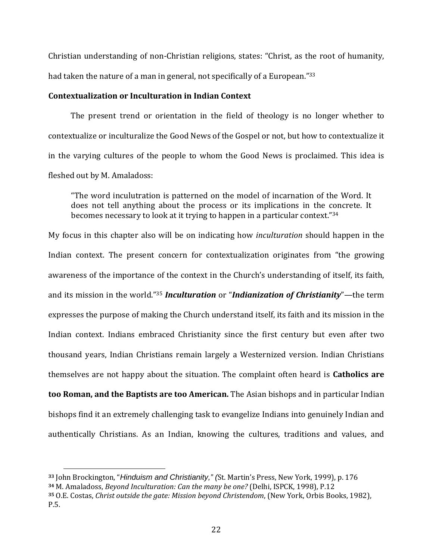Christian understanding of non‐Christian religions, states: "Christ, as the root of humanity, had taken the nature of a man in general, not specifically of a European."<sup>33</sup>

### **Contextualization or Inculturation in Indian Context**

The present trend or orientation in the field of theology is no longer whether to contextualize or inculturalize the Good News of the Gospel or not, but how to contextualize it in the varying cultures of the people to whom the Good News is proclaimed. This idea is fleshed out by M. Amaladoss:

"The word inculutration is patterned on the model of incarnation of the Word. It does not tell anything about the process or its implications in the concrete. It becomes necessary to look at it trying to happen in a particular context."34

My focus in this chapter also will be on indicating how *inculturation* should happen in the Indian context. The present concern for contextualization originates from "the growing awareness of the importance of the context in the Church's understanding of itself, its faith, and its mission in the world."35 *Inculturation* or "*Indianization of Christianity*"—the term expresses the purpose of making the Church understand itself, its faith and its mission in the Indian context. Indians embraced Christianity since the first century but even after two thousand years, Indian Christians remain largely a Westernized version. Indian Christians themselves are not happy about the situation. The complaint often heard is **Catholics are too Roman, and the Baptists are too American.** The Asian bishops and in particular Indian bishops find it an extremely challenging task to evangelize Indians into genuinely Indian and authentically Christians. As an Indian, knowing the cultures, traditions and values, and

**<sup>33</sup>** John Brockington, "*Hinduism and Christianity," (*St. Martin's Press, New York, 1999), p. 176

**<sup>34</sup>** M. Amaladoss, *Beyond Inculturation: Can the many be one?* (Delhi, ISPCK, 1998), P.12

**<sup>35</sup>** O.E. Costas, *Christ outside the gate: Mission beyond Christendom*, (New York, Orbis Books, 1982), P.5.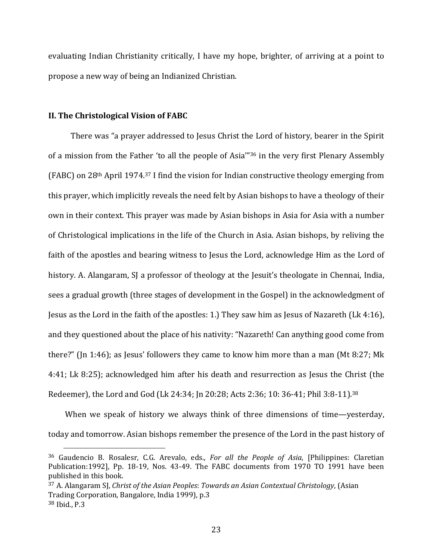evaluating Indian Christianity critically, I have my hope, brighter, of arriving at a point to propose a new way of being an Indianized Christian.

#### **II. The Christological Vision of FABC**

 There was "a prayer addressed to Jesus Christ the Lord of history, bearer in the Spirit of a mission from the Father 'to all the people of Asia'"36 in the very first Plenary Assembly (FABC) on 28<sup>th</sup> April 1974.<sup>37</sup> I find the vision for Indian constructive theology emerging from this prayer, which implicitly reveals the need felt by Asian bishops to have a theology of their own in their context. This prayer was made by Asian bishops in Asia for Asia with a number of Christological implications in the life of the Church in Asia. Asian bishops, by reliving the faith of the apostles and bearing witness to Jesus the Lord, acknowledge Him as the Lord of history. A. Alangaram, SJ a professor of theology at the Jesuit's theologate in Chennai, India, sees a gradual growth (three stages of development in the Gospel) in the acknowledgment of Jesus as the Lord in the faith of the apostles: 1.) They saw him as Jesus of Nazareth (Lk 4:16), and they questioned about the place of his nativity: "Nazareth! Can anything good come from there?" (Jn 1:46); as Jesus' followers they came to know him more than a man (Mt 8:27; Mk 4:41; Lk 8:25); acknowledged him after his death and resurrection as Jesus the Christ (the Redeemer), the Lord and God (Lk 24:34; Jn 20:28; Acts 2:36; 10: 36‐41; Phil 3:8‐11).38

When we speak of history we always think of three dimensions of time—yesterday, today and tomorrow. Asian bishops remember the presence of the Lord in the past history of

<sup>36</sup> Gaudencio B. Rosalesr, C.G. Arevalo, eds., *For all the People of Asia*, [Philippines: Claretian Publication:1992], Pp. 18-19, Nos. 43-49. The FABC documents from 1970 TO 1991 have been published in this book.

<sup>37</sup> A. Alangaram SJ, *Christ of the Asian Peoples*: *Towards an Asian Contextual Christology*, (Asian Trading Corporation, Bangalore, India 1999), p.3 <sup>38</sup> Ibid., P.3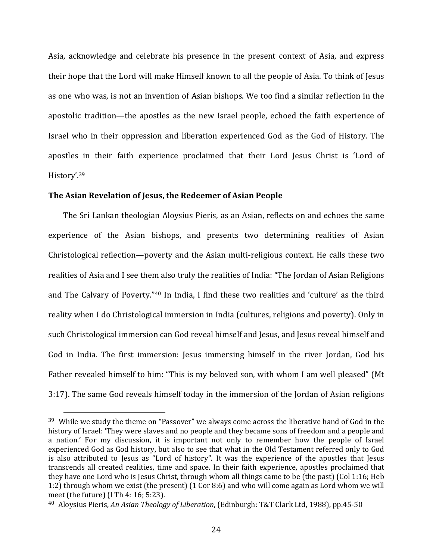Asia, acknowledge and celebrate his presence in the present context of Asia, and express their hope that the Lord will make Himself known to all the people of Asia. To think of Jesus as one who was, is not an invention of Asian bishops. We too find a similar reflection in the apostolic tradition—the apostles as the new Israel people, echoed the faith experience of Israel who in their oppression and liberation experienced God as the God of History. The apostles in their faith experience proclaimed that their Lord Jesus Christ is 'Lord of History'.39

#### **The Asian Revelation of Jesus, the Redeemer of Asian People**

 The Sri Lankan theologian Aloysius Pieris, as an Asian, reflects on and echoes the same experience of the Asian bishops, and presents two determining realities of Asian Christological reflection—poverty and the Asian multi‐religious context. He calls these two realities of Asia and I see them also truly the realities of India: "The Jordan of Asian Religions and The Calvary of Poverty."40 In India, I find these two realities and 'culture' as the third reality when I do Christological immersion in India (cultures, religions and poverty). Only in such Christological immersion can God reveal himself and Jesus, and Jesus reveal himself and God in India. The first immersion: Jesus immersing himself in the river Jordan, God his Father revealed himself to him: "This is my beloved son, with whom I am well pleased" (Mt 3:17). The same God reveals himself today in the immersion of the Jordan of Asian religions

<sup>&</sup>lt;sup>39</sup> While we study the theme on "Passover" we always come across the liberative hand of God in the history of Israel: 'They were slaves and no people and they became sons of freedom and a people and a nation.' For my discussion, it is important not only to remember how the people of Israel experienced God as God history, but also to see that what in the Old Testament referred only to God is also attributed to Jesus as "Lord of history". It was the experience of the apostles that Jesus transcends all created realities, time and space. In their faith experience, apostles proclaimed that they have one Lord who is Jesus Christ, through whom all things came to be (the past) (Col 1:16; Heb 1:2) through whom we exist (the present) (1 Cor 8:6) and who will come again as Lord whom we will meet (the future) (I Th 4: 16; 5:23).

<sup>40</sup> Aloysius Pieris, *An Asian Theology of Liberation*, (Edinburgh: T&T Clark Ltd, 1988), pp.45‐50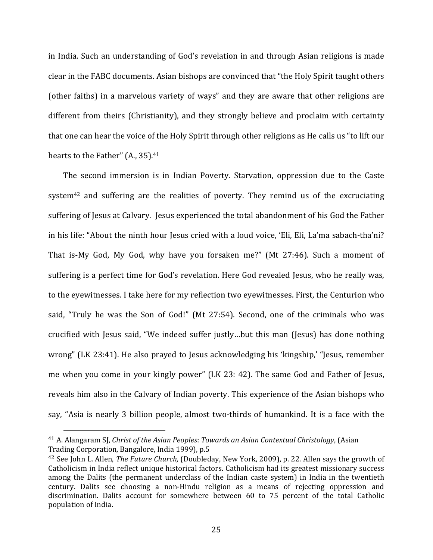in India. Such an understanding of God's revelation in and through Asian religions is made clear in the FABC documents. Asian bishops are convinced that "the Holy Spirit taught others (other faiths) in a marvelous variety of ways" and they are aware that other religions are different from theirs (Christianity), and they strongly believe and proclaim with certainty that one can hear the voice of the Holy Spirit through other religions as He calls us "to lift our hearts to the Father" (A., 35).<sup>41</sup>

 The second immersion is in Indian Poverty. Starvation, oppression due to the Caste system<sup>42</sup> and suffering are the realities of poverty. They remind us of the excruciating suffering of Jesus at Calvary. Jesus experienced the total abandonment of his God the Father in his life: "About the ninth hour Jesus cried with a loud voice, 'Eli, Eli, La'ma sabach-tha'ni? That is-My God, My God, why have you forsaken me?" (Mt 27:46). Such a moment of suffering is a perfect time for God's revelation. Here God revealed Jesus, who he really was, to the eyewitnesses. I take here for my reflection two eyewitnesses. First, the Centurion who said, "Truly he was the Son of God!" (Mt 27:54). Second, one of the criminals who was crucified with Jesus said, "We indeed suffer justly…but this man (Jesus) has done nothing wrong" (LK 23:41). He also prayed to Jesus acknowledging his 'kingship,' "Jesus, remember me when you come in your kingly power" (LK 23: 42). The same God and Father of Jesus, reveals him also in the Calvary of Indian poverty. This experience of the Asian bishops who say, "Asia is nearly 3 billion people, almost two-thirds of humankind. It is a face with the

<sup>41</sup> A. Alangaram SJ, *Christ of the Asian Peoples*: *Towards an Asian Contextual Christology*, (Asian Trading Corporation, Bangalore, India 1999), p.5

<sup>42</sup> See John L. Allen, *The Future Church,* (Doubleday, New York, 2009), p. 22. Allen says the growth of Catholicism in India reflect unique historical factors. Catholicism had its greatest missionary success among the Dalits (the permanent underclass of the Indian caste system) in India in the twentieth century. Dalits see choosing a non-Hindu religion as a means of rejecting oppression and discrimination. Dalits account for somewhere between 60 to 75 percent of the total Catholic population of India.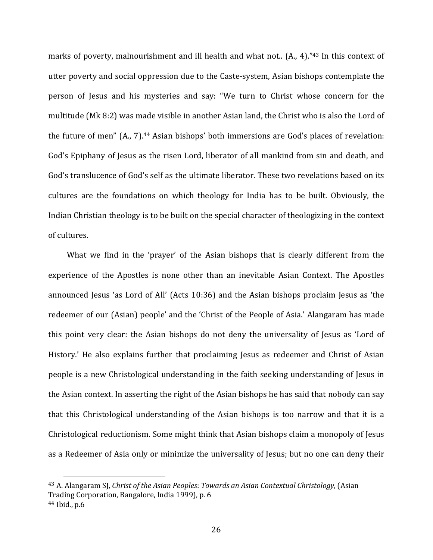marks of poverty, malnourishment and ill health and what not.. (A., 4)."<sup>43</sup> In this context of utter poverty and social oppression due to the Caste‐system, Asian bishops contemplate the person of Jesus and his mysteries and say: "We turn to Christ whose concern for the multitude (Mk 8:2) was made visible in another Asian land, the Christ who is also the Lord of the future of men" (A., 7).<sup>44</sup> Asian bishops' both immersions are God's places of revelation: God's Epiphany of Jesus as the risen Lord, liberator of all mankind from sin and death, and God's translucence of God's self as the ultimate liberator. These two revelations based on its cultures are the foundations on which theology for India has to be built. Obviously, the Indian Christian theology is to be built on the special character of theologizing in the context of cultures.

What we find in the 'prayer' of the Asian bishops that is clearly different from the experience of the Apostles is none other than an inevitable Asian Context. The Apostles announced Jesus 'as Lord of All' (Acts 10:36) and the Asian bishops proclaim Jesus as 'the redeemer of our (Asian) people' and the 'Christ of the People of Asia.' Alangaram has made this point very clear: the Asian bishops do not deny the universality of Jesus as 'Lord of History.' He also explains further that proclaiming Jesus as redeemer and Christ of Asian people is a new Christological understanding in the faith seeking understanding of Jesus in the Asian context. In asserting the right of the Asian bishops he has said that nobody can say that this Christological understanding of the Asian bishops is too narrow and that it is a Christological reductionism. Some might think that Asian bishops claim a monopoly of Jesus as a Redeemer of Asia only or minimize the universality of Jesus; but no one can deny their

<sup>43</sup> A. Alangaram SJ, *Christ of the Asian Peoples*: *Towards an Asian Contextual Christology,* (Asian Trading Corporation, Bangalore, India 1999), p. 6

<sup>44</sup> Ibid., p.6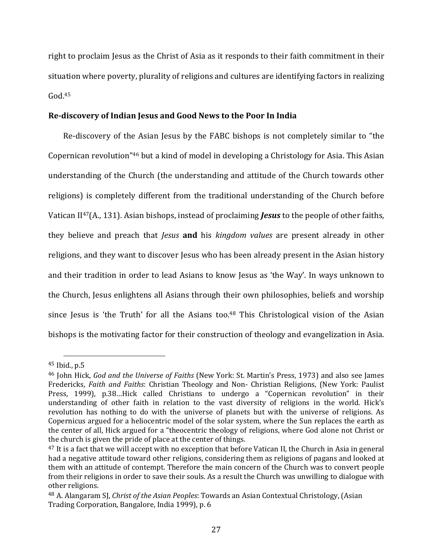right to proclaim Jesus as the Christ of Asia as it responds to their faith commitment in their situation where poverty, plurality of religions and cultures are identifying factors in realizing  $G<sub>od.45</sub>$ 

# **Re‐discovery of Indian Jesus and Good News to the Poor In India**

Re-discovery of the Asian Jesus by the FABC bishops is not completely similar to "the Copernican revolution"46 but a kind of model in developing a Christology for Asia. This Asian understanding of the Church (the understanding and attitude of the Church towards other religions) is completely different from the traditional understanding of the Church before Vatican II47(A., 131). Asian bishops, instead of proclaiming *Jesus* to the people of other faiths, they believe and preach that *Jesus* **and** his *kingdom values* are present already in other religions, and they want to discover Jesus who has been already present in the Asian history and their tradition in order to lead Asians to know Jesus as 'the Way'. In ways unknown to the Church, Jesus enlightens all Asians through their own philosophies, beliefs and worship since Jesus is 'the Truth' for all the Asians too.<sup>48</sup> This Christological vision of the Asian bishops is the motivating factor for their construction of theology and evangelization in Asia.

<sup>45</sup> Ibid., p.5

<sup>46</sup> John Hick, *God and the Universe of Faiths* (New York: St. Martin's Press, 1973) and also see James Fredericks, *Faith and Faiths*: Christian Theology and Non‐ Christian Religions, (New York: Paulist Press, 1999), p.38…Hick called Christians to undergo a "Copernican revolution" in their understanding of other faith in relation to the vast diversity of religions in the world. Hick's revolution has nothing to do with the universe of planets but with the universe of religions. As Copernicus argued for a heliocentric model of the solar system, where the Sun replaces the earth as the center of all, Hick argued for a "theocentric theology of religions, where God alone not Christ or the church is given the pride of place at the center of things.

<sup>&</sup>lt;sup>47</sup> It is a fact that we will accept with no exception that before Vatican II, the Church in Asia in general had a negative attitude toward other religions, considering them as religions of pagans and looked at them with an attitude of contempt. Therefore the main concern of the Church was to convert people from their religions in order to save their souls. As a result the Church was unwilling to dialogue with other religions.

<sup>48</sup> A. Alangaram SJ, *Christ of the Asian Peoples*: Towards an Asian Contextual Christology, (Asian Trading Corporation, Bangalore, India 1999), p. 6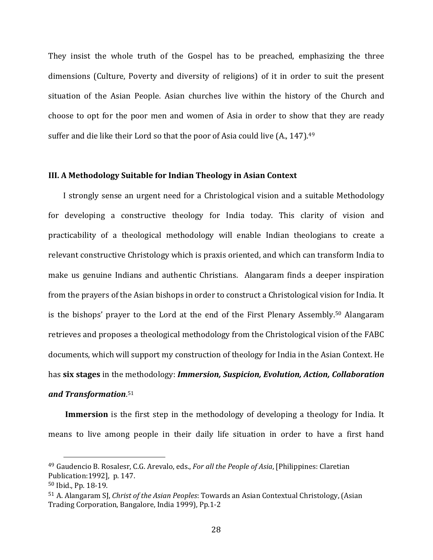They insist the whole truth of the Gospel has to be preached, emphasizing the three dimensions (Culture, Poverty and diversity of religions) of it in order to suit the present situation of the Asian People. Asian churches live within the history of the Church and choose to opt for the poor men and women of Asia in order to show that they are ready suffer and die like their Lord so that the poor of Asia could live (A., 147).<sup>49</sup>

# **III. A Methodology Suitable for Indian Theology in Asian Context**

 I strongly sense an urgent need for a Christological vision and a suitable Methodology for developing a constructive theology for India today. This clarity of vision and practicability of a theological methodology will enable Indian theologians to create a relevant constructive Christology which is praxis oriented, and which can transform India to make us genuine Indians and authentic Christians. Alangaram finds a deeper inspiration from the prayers of the Asian bishops in order to construct a Christological vision for India. It is the bishops' prayer to the Lord at the end of the First Plenary Assembly.50 Alangaram retrieves and proposes a theological methodology from the Christological vision of the FABC documents, which will support my construction of theology for India in the Asian Context. He has **six stages** in the methodology: *Immersion, Suspicion, Evolution, Action, Collaboration*

# *and Transformation*. 51

**Immersion** is the first step in the methodology of developing a theology for India. It means to live among people in their daily life situation in order to have a first hand

<sup>49</sup> Gaudencio B. Rosalesr, C.G. Arevalo, eds., *For all the People of Asia*, [Philippines: Claretian Publication:1992], p. 147.

<sup>50</sup> Ibid., Pp. 18‐19.

<sup>51</sup> A. Alangaram SJ, *Christ of the Asian Peoples*: Towards an Asian Contextual Christology, (Asian Trading Corporation, Bangalore, India 1999), Pp.1‐2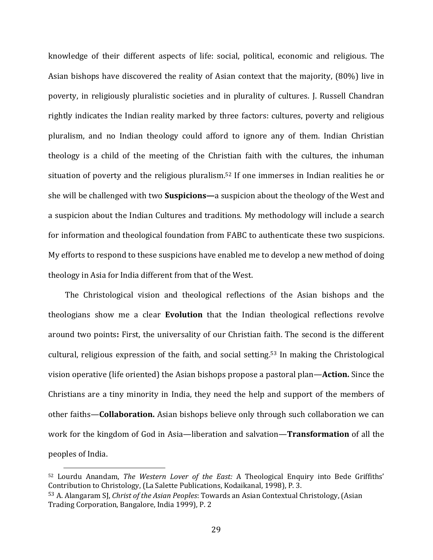knowledge of their different aspects of life: social, political, economic and religious. The Asian bishops have discovered the reality of Asian context that the majority, (80%) live in poverty, in religiously pluralistic societies and in plurality of cultures. J. Russell Chandran rightly indicates the Indian reality marked by three factors: cultures, poverty and religious pluralism, and no Indian theology could afford to ignore any of them. Indian Christian theology is a child of the meeting of the Christian faith with the cultures, the inhuman situation of poverty and the religious pluralism.<sup>52</sup> If one immerses in Indian realities he or she will be challenged with two **Suspicions—**a suspicion about the theology of the West and a suspicion about the Indian Cultures and traditions. My methodology will include a search for information and theological foundation from FABC to authenticate these two suspicions. My efforts to respond to these suspicions have enabled me to develop a new method of doing theology in Asia for India different from that of the West.

The Christological vision and theological reflections of the Asian bishops and the theologians show me a clear **Evolution** that the Indian theological reflections revolve around two points**:** First, the universality of our Christian faith. The second is the different cultural, religious expression of the faith, and social setting. <sup>53</sup> In making the Christological vision operative (life oriented) the Asian bishops propose a pastoral plan—**Action.** Since the Christians are a tiny minority in India, they need the help and support of the members of other faiths—**Collaboration.** Asian bishops believe only through such collaboration we can work for the kingdom of God in Asia—liberation and salvation—**Transformation** of all the peoples of India.

<sup>52</sup> Lourdu Anandam, *The Western Lover of the East:* A Theological Enquiry into Bede Griffiths' Contribution to Christology, (La Salette Publications, Kodaikanal, 1998), P. 3.

<sup>53</sup> A. Alangaram SJ, *Christ of the Asian Peoples*: Towards an Asian Contextual Christology, (Asian Trading Corporation, Bangalore, India 1999), P. 2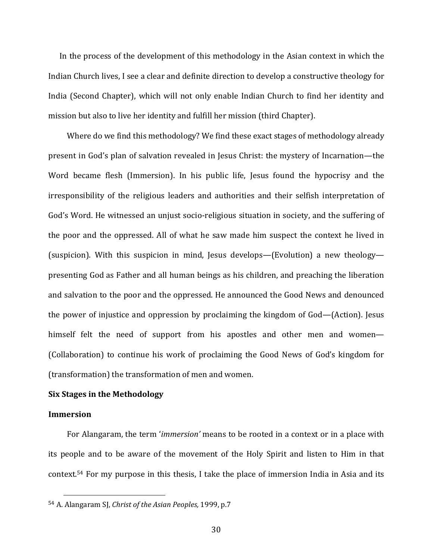In the process of the development of this methodology in the Asian context in which the Indian Church lives, I see a clear and definite direction to develop a constructive theology for India (Second Chapter), which will not only enable Indian Church to find her identity and mission but also to live her identity and fulfill her mission (third Chapter).

 Where do we find this methodology? We find these exact stages of methodology already present in God's plan of salvation revealed in Jesus Christ: the mystery of Incarnation—the Word became flesh (Immersion). In his public life, Jesus found the hypocrisy and the irresponsibility of the religious leaders and authorities and their selfish interpretation of God's Word. He witnessed an unjust socio‐religious situation in society, and the suffering of the poor and the oppressed. All of what he saw made him suspect the context he lived in (suspicion). With this suspicion in mind, Jesus develops—(Evolution) a new theology presenting God as Father and all human beings as his children, and preaching the liberation and salvation to the poor and the oppressed. He announced the Good News and denounced the power of injustice and oppression by proclaiming the kingdom of God—(Action). Jesus himself felt the need of support from his apostles and other men and women— (Collaboration) to continue his work of proclaiming the Good News of God's kingdom for (transformation) the transformation of men and women.

### **Six Stages in the Methodology**

#### **Immersion**

For Alangaram, the term '*immersion'* means to be rooted in a context or in a place with its people and to be aware of the movement of the Holy Spirit and listen to Him in that context.<sup>54</sup> For my purpose in this thesis, I take the place of immersion India in Asia and its

<sup>54</sup> A. Alangaram SJ, *Christ of the Asian Peoples,* 1999, p.7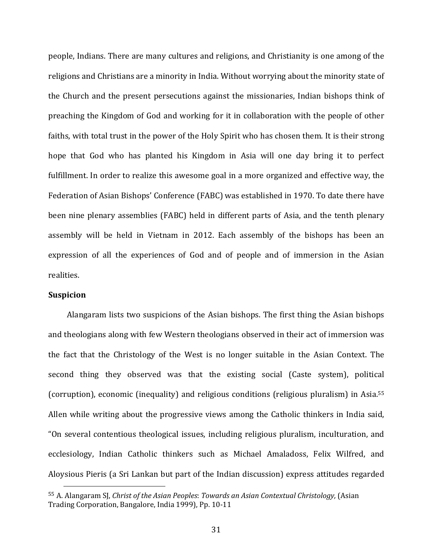people, Indians. There are many cultures and religions, and Christianity is one among of the religions and Christians are a minority in India. Without worrying about the minority state of the Church and the present persecutions against the missionaries, Indian bishops think of preaching the Kingdom of God and working for it in collaboration with the people of other faiths, with total trust in the power of the Holy Spirit who has chosen them. It is their strong hope that God who has planted his Kingdom in Asia will one day bring it to perfect fulfillment. In order to realize this awesome goal in a more organized and effective way, the Federation of Asian Bishops' Conference (FABC) was established in 1970. To date there have been nine plenary assemblies (FABC) held in different parts of Asia, and the tenth plenary assembly will be held in Vietnam in 2012. Each assembly of the bishops has been an expression of all the experiences of God and of people and of immersion in the Asian realities.

#### **Suspicion**

 Alangaram lists two suspicions of the Asian bishops. The first thing the Asian bishops and theologians along with few Western theologians observed in their act of immersion was the fact that the Christology of the West is no longer suitable in the Asian Context. The second thing they observed was that the existing social (Caste system), political (corruption), economic (inequality) and religious conditions (religious pluralism) in Asia.55 Allen while writing about the progressive views among the Catholic thinkers in India said, "On several contentious theological issues, including religious pluralism, inculturation, and ecclesiology, Indian Catholic thinkers such as Michael Amaladoss, Felix Wilfred, and Aloysious Pieris (a Sri Lankan but part of the Indian discussion) express attitudes regarded

<sup>55</sup> A. Alangaram SJ, *Christ of the Asian Peoples*: *Towards an Asian Contextual Christology,* (Asian Trading Corporation, Bangalore, India 1999), Pp. 10‐11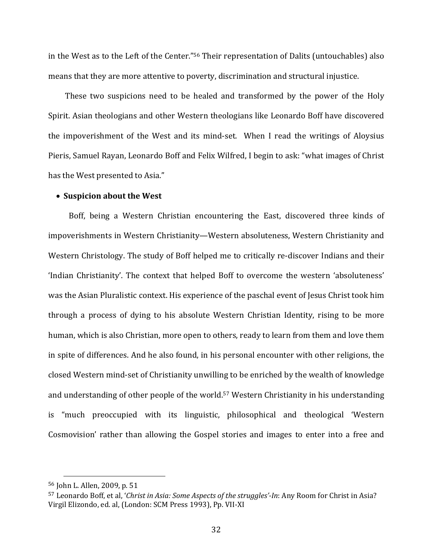in the West as to the Left of the Center."56 Their representation of Dalits (untouchables) also means that they are more attentive to poverty, discrimination and structural injustice.

These two suspicions need to be healed and transformed by the power of the Holy Spirit. Asian theologians and other Western theologians like Leonardo Boff have discovered the impoverishment of the West and its mind-set. When I read the writings of Aloysius Pieris, Samuel Rayan, Leonardo Boff and Felix Wilfred, I begin to ask: "what images of Christ has the West presented to Asia."

#### **Suspicion about the West**

Boff, being a Western Christian encountering the East, discovered three kinds of impoverishments in Western Christianity—Western absoluteness, Western Christianity and Western Christology. The study of Boff helped me to critically re-discover Indians and their 'Indian Christianity'. The context that helped Boff to overcome the western 'absoluteness' was the Asian Pluralistic context. His experience of the paschal event of Jesus Christ took him through a process of dying to his absolute Western Christian Identity, rising to be more human, which is also Christian, more open to others, ready to learn from them and love them in spite of differences. And he also found, in his personal encounter with other religions, the closed Western mind‐set of Christianity unwilling to be enriched by the wealth of knowledge and understanding of other people of the world.57 Western Christianity in his understanding is "much preoccupied with its linguistic, philosophical and theological 'Western Cosmovision' rather than allowing the Gospel stories and images to enter into a free and

<sup>56</sup> John L. Allen, 2009, p. 51

<sup>57</sup> Leonardo Boff, et al, '*Christ in Asia: Some Aspects of the struggles'‐In*: Any Room for Christ in Asia? Virgil Elizondo, ed. al, (London: SCM Press 1993), Pp. VII‐XI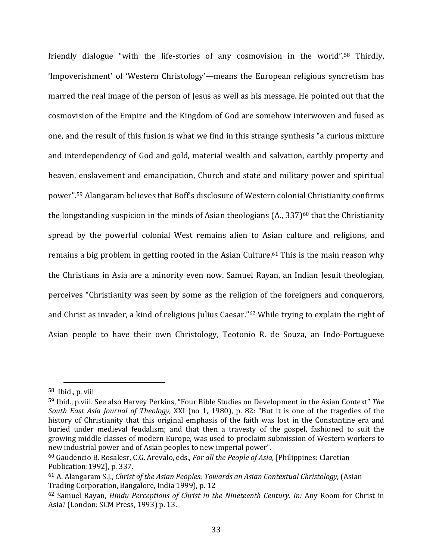friendly dialogue "with the life-stories of any cosmovision in the world".<sup>58</sup> Thirdly, 'Impoverishment' of 'Western Christology'—means the European religious syncretism has marred the real image of the person of Jesus as well as his message. He pointed out that the cosmovision of the Empire and the Kingdom of God are somehow interwoven and fused as one, and the result of this fusion is what we find in this strange synthesis "a curious mixture and interdependency of God and gold, material wealth and salvation, earthly property and heaven, enslavement and emancipation, Church and state and military power and spiritual power".59 Alangaram believes that Boff's disclosure of Western colonial Christianity confirms the longstanding suspicion in the minds of Asian theologians  $(A, 337)^{60}$  that the Christianity spread by the powerful colonial West remains alien to Asian culture and religions, and remains a big problem in getting rooted in the Asian Culture.<sup>61</sup> This is the main reason why the Christians in Asia are a minority even now. Samuel Rayan, an Indian Jesuit theologian, perceives "Christianity was seen by some as the religion of the foreigners and conquerors, and Christ as invader, a kind of religious Julius Caesar."62 While trying to explain the right of Asian people to have their own Christology, Teotonio R. de Souza, an Indo‐Portuguese

<sup>58</sup> Ibid., p. viii

<sup>59</sup> Ibid., p.viii. See also Harvey Perkins, "Four Bible Studies on Development in the Asian Context" *The South East Asia Journal of Theology,* XXI (no 1, 1980), p. 82: "But it is one of the tragedies of the history of Christianity that this original emphasis of the faith was lost in the Constantine era and buried under medieval feudalism; and that then a travesty of the gospel, fashioned to suit the growing middle classes of modern Europe, was used to proclaim submission of Western workers to new industrial power and of Asian peoples to new imperial power".

<sup>60</sup> Gaudencio B. Rosalesr, C.G. Arevalo, eds., *For all the People of Asia*, [Philippines: Claretian Publication:1992], p. 337.

<sup>61</sup> A. Alangaram S.J., *Christ of the Asian Peoples*: *Towards an Asian Contextual Christology,* (Asian Trading Corporation, Bangalore, India 1999), p. 12

<sup>62</sup> Samuel Rayan, *Hindu Perceptions of Christ in the Nineteenth Century. In:* Any Room for Christ in Asia? (London: SCM Press, 1993) p. 13.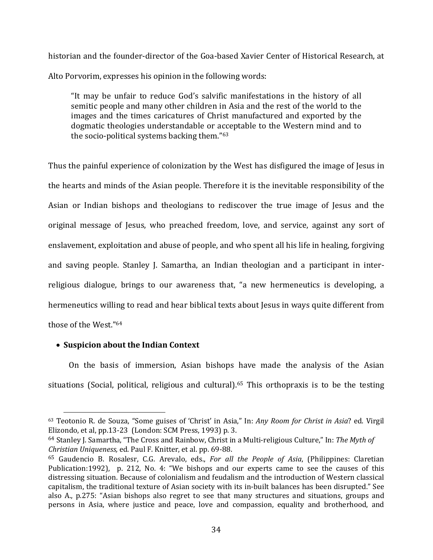historian and the founder‐director of the Goa‐based Xavier Center of Historical Research, at Alto Porvorim, expresses his opinion in the following words:

"It may be unfair to reduce God's salvific manifestations in the history of all semitic people and many other children in Asia and the rest of the world to the images and the times caricatures of Christ manufactured and exported by the dogmatic theologies understandable or acceptable to the Western mind and to the socio‐political systems backing them."63

Thus the painful experience of colonization by the West has disfigured the image of Jesus in the hearts and minds of the Asian people. Therefore it is the inevitable responsibility of the Asian or Indian bishops and theologians to rediscover the true image of Jesus and the original message of Jesus, who preached freedom, love, and service, against any sort of enslavement, exploitation and abuse of people, and who spent all his life in healing, forgiving and saving people. Stanley J. Samartha, an Indian theologian and a participant in interreligious dialogue, brings to our awareness that, "a new hermeneutics is developing, a hermeneutics willing to read and hear biblical texts about Jesus in ways quite different from those of the West."64

# **Suspicion about the Indian Context**

On the basis of immersion, Asian bishops have made the analysis of the Asian situations (Social, political, religious and cultural).<sup>65</sup> This orthopraxis is to be the testing

<sup>63</sup> Teotonio R. de Souza, "Some guises of 'Christ' in Asia," In: *Any Room for Christ in Asia*? ed. Virgil Elizondo, et al, pp.13‐23 (London: SCM Press, 1993) p. 3.

<sup>64</sup> Stanley J. Samartha, "The Cross and Rainbow, Christ in a Multi‐religious Culture," In: *The Myth of Christian Uniqueness,* ed. Paul F. Knitter, et al. pp. 69‐88.

<sup>65</sup> Gaudencio B. Rosalesr, C.G. Arevalo, eds., *For all the People of Asia*, (Philippines: Claretian Publication:1992), p. 212, No. 4: "We bishops and our experts came to see the causes of this distressing situation. Because of colonialism and feudalism and the introduction of Western classical capitalism, the traditional texture of Asian society with its in‐built balances has been disrupted." See also A., p.275: "Asian bishops also regret to see that many structures and situations, groups and persons in Asia, where justice and peace, love and compassion, equality and brotherhood, and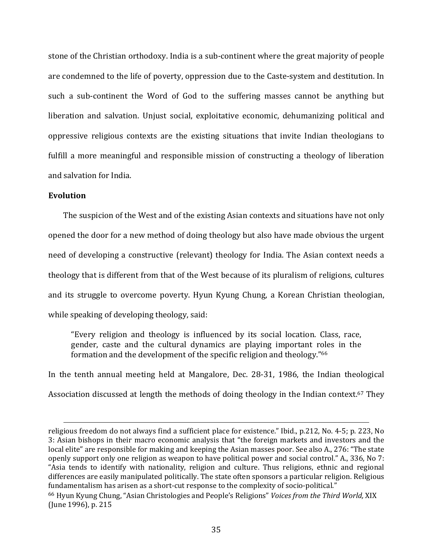stone of the Christian orthodoxy. India is a sub‐continent where the great majority of people are condemned to the life of poverty, oppression due to the Caste‐system and destitution. In such a sub-continent the Word of God to the suffering masses cannot be anything but liberation and salvation. Unjust social, exploitative economic, dehumanizing political and oppressive religious contexts are the existing situations that invite Indian theologians to fulfill a more meaningful and responsible mission of constructing a theology of liberation and salvation for India.

## **Evolution**

 The suspicion of the West and of the existing Asian contexts and situations have not only opened the door for a new method of doing theology but also have made obvious the urgent need of developing a constructive (relevant) theology for India. The Asian context needs a theology that is different from that of the West because of its pluralism of religions, cultures and its struggle to overcome poverty. Hyun Kyung Chung, a Korean Christian theologian, while speaking of developing theology, said:

"Every religion and theology is influenced by its social location. Class, race, gender, caste and the cultural dynamics are playing important roles in the formation and the development of the specific religion and theology."66

In the tenth annual meeting held at Mangalore, Dec. 28‐31, 1986, the Indian theological Association discussed at length the methods of doing theology in the Indian context.<sup>67</sup> They

<u> Alexandria de la contrada de la contrada de la contrada de la contrada de la contrada de la contrada de la c</u>

religious freedom do not always find a sufficient place for existence." Ibid., p.212, No. 4‐5; p. 223, No 3: Asian bishops in their macro economic analysis that "the foreign markets and investors and the local elite" are responsible for making and keeping the Asian masses poor. See also A., 276: "The state openly support only one religion as weapon to have political power and social control." A., 336, No 7: "Asia tends to identify with nationality, religion and culture. Thus religions, ethnic and regional differences are easily manipulated politically. The state often sponsors a particular religion. Religious fundamentalism has arisen as a short-cut response to the complexity of socio-political." <sup>66</sup> Hyun Kyung Chung, "Asian Christologies and People's Religions" *Voices from the Third World,* XIX

<sup>(</sup>June 1996), p. 215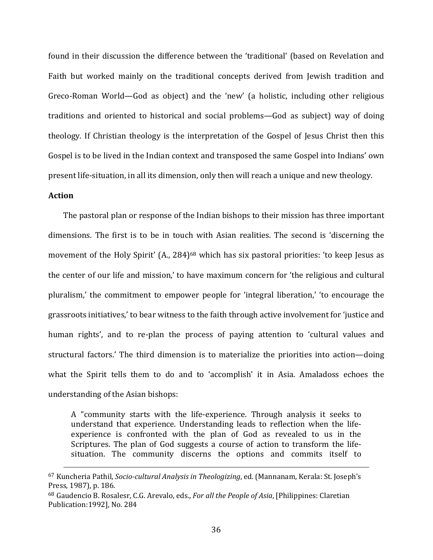found in their discussion the difference between the 'traditional' (based on Revelation and Faith but worked mainly on the traditional concepts derived from Jewish tradition and Greco‐Roman World—God as object) and the 'new' (a holistic, including other religious traditions and oriented to historical and social problems—God as subject) way of doing theology. If Christian theology is the interpretation of the Gospel of Jesus Christ then this Gospel is to be lived in the Indian context and transposed the same Gospel into Indians' own present life‐situation, in all its dimension, only then will reach a unique and new theology.

## **Action**

 The pastoral plan or response of the Indian bishops to their mission has three important dimensions. The first is to be in touch with Asian realities. The second is 'discerning the movement of the Holy Spirit' (A., 284)<sup>68</sup> which has six pastoral priorities: 'to keep Jesus as the center of our life and mission,' to have maximum concern for 'the religious and cultural pluralism,' the commitment to empower people for 'integral liberation,' 'to encourage the grassroots initiatives,' to bear witness to the faith through active involvement for 'justice and human rights', and to re-plan the process of paying attention to 'cultural values and structural factors.' The third dimension is to materialize the priorities into action—doing what the Spirit tells them to do and to 'accomplish' it in Asia. Amaladoss echoes the understanding of the Asian bishops:

A "community starts with the life‐experience. Through analysis it seeks to understand that experience. Understanding leads to reflection when the lifeexperience is confronted with the plan of God as revealed to us in the Scriptures. The plan of God suggests a course of action to transform the lifesituation. The community discerns the options and commits itself to

<u> 1989 - Andrea Santa Alemania, politika amerikana (h. 1989).</u>

<sup>67</sup> Kuncheria Pathil, *Socio‐cultural Analysis in Theologizing*, ed. (Mannanam, Kerala: St. Joseph's Press, 1987), p. 186.

<sup>68</sup> Gaudencio B. Rosalesr, C.G. Arevalo, eds., *For all the People of Asia*, [Philippines: Claretian Publication:1992], No. 284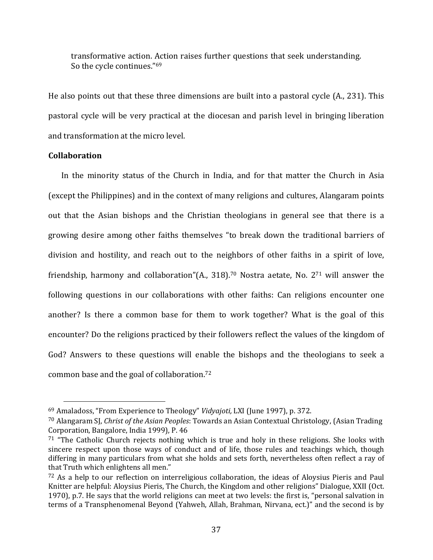transformative action. Action raises further questions that seek understanding. So the cycle continues."69

He also points out that these three dimensions are built into a pastoral cycle (A., 231). This pastoral cycle will be very practical at the diocesan and parish level in bringing liberation and transformation at the micro level.

## **Collaboration**

In the minority status of the Church in India, and for that matter the Church in Asia (except the Philippines) and in the context of many religions and cultures, Alangaram points out that the Asian bishops and the Christian theologians in general see that there is a growing desire among other faiths themselves "to break down the traditional barriers of division and hostility, and reach out to the neighbors of other faiths in a spirit of love, friendship, harmony and collaboration"(A., 318).<sup>70</sup> Nostra aetate, No.  $2^{71}$  will answer the following questions in our collaborations with other faiths: Can religions encounter one another? Is there a common base for them to work together? What is the goal of this encounter? Do the religions practiced by their followers reflect the values of the kingdom of God? Answers to these questions will enable the bishops and the theologians to seek a common base and the goal of collaboration.72

<sup>69</sup> Amaladoss, "From Experience to Theology" *Vidyajoti,* LXI (June 1997), p. 372.

<sup>70</sup> Alangaram SJ, *Christ of the Asian Peoples*: Towards an Asian Contextual Christology, (Asian Trading Corporation, Bangalore, India 1999), P. 46

 $71$  "The Catholic Church rejects nothing which is true and holy in these religions. She looks with sincere respect upon those ways of conduct and of life, those rules and teachings which, though differing in many particulars from what she holds and sets forth, nevertheless often reflect a ray of that Truth which enlightens all men."

 $72$  As a help to our reflection on interreligious collaboration, the ideas of Aloysius Pieris and Paul Knitter are helpful: Aloysius Pieris, The Church, the Kingdom and other religions" Dialogue, XXII (Oct. 1970), p.7. He says that the world religions can meet at two levels: the first is, "personal salvation in terms of a Transphenomenal Beyond (Yahweh, Allah, Brahman, Nirvana, ect.)" and the second is by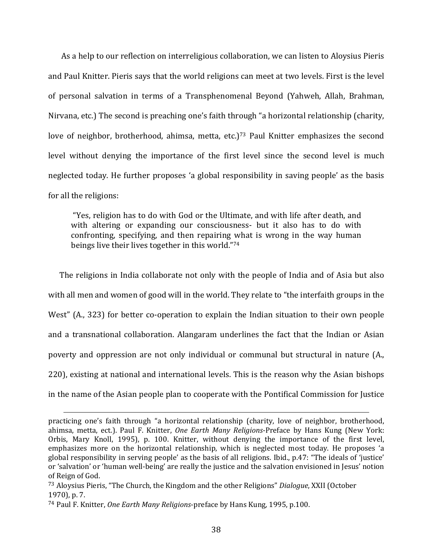As a help to our reflection on interreligious collaboration, we can listen to Aloysius Pieris and Paul Knitter. Pieris says that the world religions can meet at two levels. First is the level of personal salvation in terms of a Transphenomenal Beyond (Yahweh, Allah, Brahman, Nirvana, etc.) The second is preaching one's faith through "a horizontal relationship (charity, love of neighbor, brotherhood, ahimsa, metta, etc.)<sup>73</sup> Paul Knitter emphasizes the second level without denying the importance of the first level since the second level is much neglected today. He further proposes 'a global responsibility in saving people' as the basis for all the religions:

 "Yes, religion has to do with God or the Ultimate, and with life after death, and with altering or expanding our consciousness- but it also has to do with confronting, specifying, and then repairing what is wrong in the way human beings live their lives together in this world."74

 The religions in India collaborate not only with the people of India and of Asia but also with all men and women of good will in the world. They relate to "the interfaith groups in the West" (A., 323) for better co-operation to explain the Indian situation to their own people and a transnational collaboration. Alangaram underlines the fact that the Indian or Asian poverty and oppression are not only individual or communal but structural in nature (A., 220), existing at national and international levels. This is the reason why the Asian bishops in the name of the Asian people plan to cooperate with the Pontifical Commission for Justice

<u> 1989 - Andrea Santa Andrea Andrea Andrea Andrea Andrea Andrea Andrea Andrea Andrea Andrea Andrea Andrea Andr</u>

practicing one's faith through "a horizontal relationship (charity, love of neighbor, brotherhood, ahimsa, metta, ect.). Paul F. Knitter, *One Earth Many Religions*‐Preface by Hans Kung (New York: Orbis, Mary Knoll, 1995), p. 100. Knitter, without denying the importance of the first level, emphasizes more on the horizontal relationship, which is neglected most today. He proposes 'a global responsibility in serving people' as the basis of all religions. Ibid., p.47: "The ideals of 'justice' or 'salvation' or 'human well‐being' are really the justice and the salvation envisioned in Jesus' notion of Reign of God.

<sup>73</sup> Aloysius Pieris, "The Church, the Kingdom and the other Religions" *Dialogue*, XXII (October 1970), p. 7.

<sup>74</sup> Paul F. Knitter, *One Earth Many Religions*‐preface by Hans Kung*,* 1995, p.100.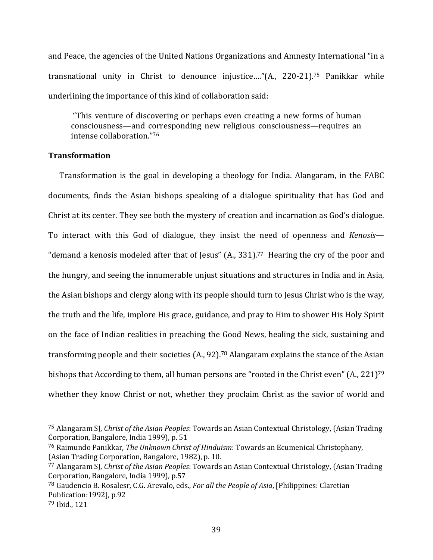and Peace, the agencies of the United Nations Organizations and Amnesty International "in a transnational unity in Christ to denounce injustice…."(A., 220‐21).75 Panikkar while underlining the importance of this kind of collaboration said:

 "This venture of discovering or perhaps even creating a new forms of human consciousness—and corresponding new religious consciousness—requires an intense collaboration."76

## **Transformation**

Transformation is the goal in developing a theology for India. Alangaram, in the FABC documents, finds the Asian bishops speaking of a dialogue spirituality that has God and Christ at its center. They see both the mystery of creation and incarnation as God's dialogue. To interact with this God of dialogue, they insist the need of openness and *Kenosis*— "demand a kenosis modeled after that of Jesus" (A., 331).77 Hearing the cry of the poor and the hungry, and seeing the innumerable unjust situations and structures in India and in Asia, the Asian bishops and clergy along with its people should turn to Jesus Christ who is the way, the truth and the life, implore His grace, guidance, and pray to Him to shower His Holy Spirit on the face of Indian realities in preaching the Good News, healing the sick, sustaining and transforming people and their societies (A., 92).78 Alangaram explains the stance of the Asian bishops that According to them, all human persons are "rooted in the Christ even" (A., 221)<sup>79</sup> whether they know Christ or not, whether they proclaim Christ as the savior of world and

<sup>75</sup> Alangaram SJ, *Christ of the Asian Peoples*: Towards an Asian Contextual Christology, (Asian Trading Corporation, Bangalore, India 1999), p. 51

<sup>76</sup> Raimundo Panikkar, *The Unknown Christ of Hinduism*: Towards an Ecumenical Christophany, (Asian Trading Corporation, Bangalore, 1982), p. 10.

<sup>77</sup> Alangaram SJ, *Christ of the Asian Peoples*: Towards an Asian Contextual Christology, (Asian Trading Corporation, Bangalore, India 1999), p.57

<sup>78</sup> Gaudencio B. Rosalesr, C.G. Arevalo, eds., *For all the People of Asia*, [Philippines: Claretian Publication:1992], p.92

<sup>79</sup> Ibid., 121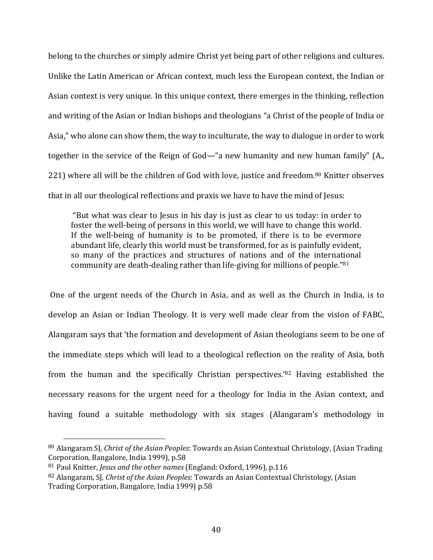belong to the churches or simply admire Christ yet being part of other religions and cultures. Unlike the Latin American or African context, much less the European context, the Indian or Asian context is very unique. In this unique context, there emerges in the thinking, reflection and writing of the Asian or Indian bishops and theologians "a Christ of the people of India or Asia," who alone can show them, the way to inculturate, the way to dialogue in order to work together in the service of the Reign of God—"a new humanity and new human family" (A., 221) where all will be the children of God with love, justice and freedom.<sup>80</sup> Knitter observes that in all our theological reflections and praxis we have to have the mind of Jesus:

 "But what was clear to Jesus in his day is just as clear to us today: in order to foster the well-being of persons in this world, we will have to change this world. If the well-being of humanity is to be promoted, if there is to be evermore abundant life, clearly this world must be transformed, for as is painfully evident, so many of the practices and structures of nations and of the international community are death‐dealing rather than life‐giving for millions of people."81

 One of the urgent needs of the Church in Asia, and as well as the Church in India, is to develop an Asian or Indian Theology. It is very well made clear from the vision of FABC, Alangaram says that 'the formation and development of Asian theologians seem to be one of the immediate steps which will lead to a theological reflection on the reality of Asia, both from the human and the specifically Christian perspectives.'82 Having established the necessary reasons for the urgent need for a theology for India in the Asian context, and having found a suitable methodology with six stages (Alangaram's methodology in

<sup>80</sup> Alangaram SJ, *Christ of the Asian Peoples*: Towards an Asian Contextual Christology, (Asian Trading Corporation, Bangalore, India 1999), p.58

<sup>81</sup> Paul Knitter, *Jesus and the other names* (England: Oxford, 1996), p.116

<sup>82</sup> Alangaram, SJ, *Christ of the Asian Peoples*: Towards an Asian Contextual Christology, (Asian Trading Corporation, Bangalore, India 1999) p.58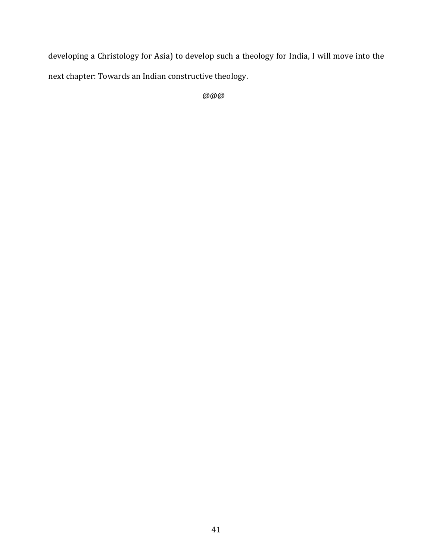developing a Christology for Asia) to develop such a theology for India, I will move into the next chapter: Towards an Indian constructive theology.

@@@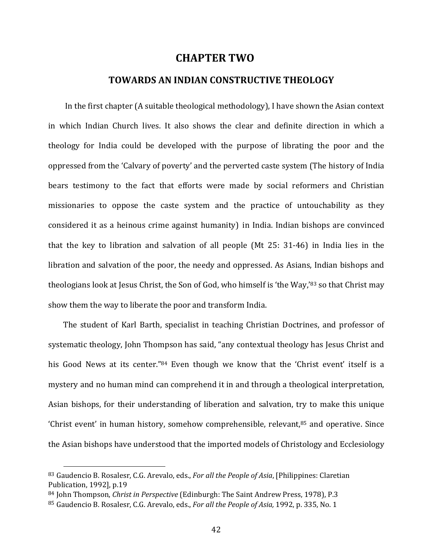# **CHAPTER TWO**

## **TOWARDS AN INDIAN CONSTRUCTIVE THEOLOGY**

 In the first chapter (A suitable theological methodology), I have shown the Asian context in which Indian Church lives. It also shows the clear and definite direction in which a theology for India could be developed with the purpose of librating the poor and the oppressed from the 'Calvary of poverty' and the perverted caste system (The history of India bears testimony to the fact that efforts were made by social reformers and Christian missionaries to oppose the caste system and the practice of untouchability as they considered it as a heinous crime against humanity) in India. Indian bishops are convinced that the key to libration and salvation of all people (Mt 25: 31‐46) in India lies in the libration and salvation of the poor, the needy and oppressed. As Asians, Indian bishops and theologians look at Jesus Christ, the Son of God, who himself is 'the Way,'83 so that Christ may show them the way to liberate the poor and transform India.

 The student of Karl Barth, specialist in teaching Christian Doctrines, and professor of systematic theology, John Thompson has said, "any contextual theology has Jesus Christ and his Good News at its center."<sup>84</sup> Even though we know that the 'Christ event' itself is a mystery and no human mind can comprehend it in and through a theological interpretation, Asian bishops, for their understanding of liberation and salvation, try to make this unique 'Christ event' in human history, somehow comprehensible, relevant, $85$  and operative. Since the Asian bishops have understood that the imported models of Christology and Ecclesiology

<sup>83</sup> Gaudencio B. Rosalesr, C.G. Arevalo, eds., *For all the People of Asia*, [Philippines: Claretian Publication, 1992], p.19

<sup>84</sup> John Thompson, *Christ in Perspective* (Edinburgh: The Saint Andrew Press, 1978), P.3

<sup>85</sup> Gaudencio B. Rosalesr, C.G. Arevalo, eds., *For all the People of Asia,* 1992, p. 335, No. 1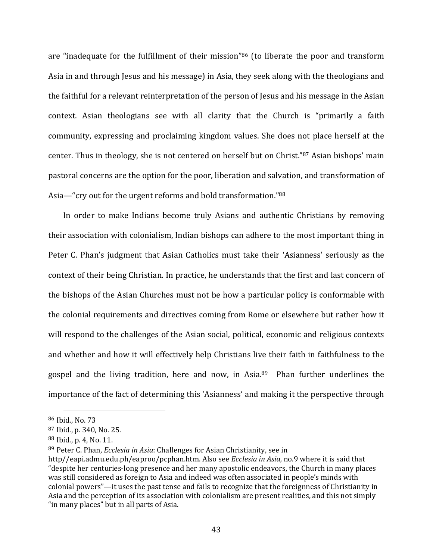are "inadequate for the fulfillment of their mission"<sup>86</sup> (to liberate the poor and transform Asia in and through Jesus and his message) in Asia, they seek along with the theologians and the faithful for a relevant reinterpretation of the person of Jesus and his message in the Asian context. Asian theologians see with all clarity that the Church is "primarily a faith community, expressing and proclaiming kingdom values. She does not place herself at the center. Thus in theology, she is not centered on herself but on Christ."87 Asian bishops' main pastoral concerns are the option for the poor, liberation and salvation, and transformation of Asia—"cry out for the urgent reforms and bold transformation."88

 In order to make Indians become truly Asians and authentic Christians by removing their association with colonialism, Indian bishops can adhere to the most important thing in Peter C. Phan's judgment that Asian Catholics must take their 'Asianness' seriously as the context of their being Christian. In practice, he understands that the first and last concern of the bishops of the Asian Churches must not be how a particular policy is conformable with the colonial requirements and directives coming from Rome or elsewhere but rather how it will respond to the challenges of the Asian social, political, economic and religious contexts and whether and how it will effectively help Christians live their faith in faithfulness to the gospel and the living tradition, here and now, in Asia.89 Phan further underlines the importance of the fact of determining this 'Asianness' and making it the perspective through

<sup>86</sup> Ibid., No. 73

<sup>87</sup> Ibid., p. 340, No. 25.

<sup>88</sup> Ibid., p. 4, No. 11.

<sup>89</sup> Peter C. Phan, *Ecclesia in Asia*: Challenges for Asian Christianity, see in

http//eapi.admu.edu.ph/eaproo/pcphan.htm. Also see *Ecclesia in Asia,* no.9 where it is said that "despite her centuries‐long presence and her many apostolic endeavors, the Church in many places was still considered as foreign to Asia and indeed was often associated in people's minds with colonial powers"—it uses the past tense and fails to recognize that the foreignness of Christianity in Asia and the perception of its association with colonialism are present realities, and this not simply "in many places" but in all parts of Asia.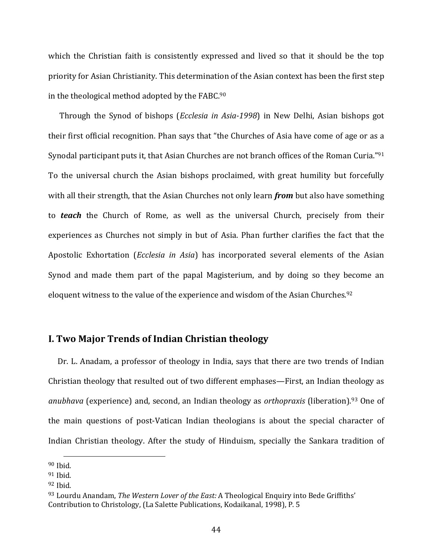which the Christian faith is consistently expressed and lived so that it should be the top priority for Asian Christianity. This determination of the Asian context has been the first step in the theological method adopted by the FABC.90

 Through the Synod of bishops (*Ecclesia in Asia‐1998*) in New Delhi, Asian bishops got their first official recognition. Phan says that "the Churches of Asia have come of age or as a Synodal participant puts it, that Asian Churches are not branch offices of the Roman Curia."91 To the universal church the Asian bishops proclaimed, with great humility but forcefully with all their strength, that the Asian Churches not only learn *from* but also have something to *teach* the Church of Rome, as well as the universal Church, precisely from their experiences as Churches not simply in but of Asia. Phan further clarifies the fact that the Apostolic Exhortation (*Ecclesia in Asia*) has incorporated several elements of the Asian Synod and made them part of the papal Magisterium, and by doing so they become an eloquent witness to the value of the experience and wisdom of the Asian Churches.<sup>92</sup>

## **I. Two Major Trends of Indian Christian theology**

Dr. L. Anadam, a professor of theology in India, says that there are two trends of Indian Christian theology that resulted out of two different emphases—First, an Indian theology as *anubhava* (experience) and, second, an Indian theology as *orthopraxis* (liberation).93 One of the main questions of post‐Vatican Indian theologians is about the special character of Indian Christian theology. After the study of Hinduism, specially the Sankara tradition of

 $90$  Ibid.

<sup>91</sup> Ibid.

<sup>92</sup> Ibid.

<sup>93</sup> Lourdu Anandam, *The Western Lover of the East:* A Theological Enquiry into Bede Griffiths' Contribution to Christology, (La Salette Publications, Kodaikanal, 1998), P. 5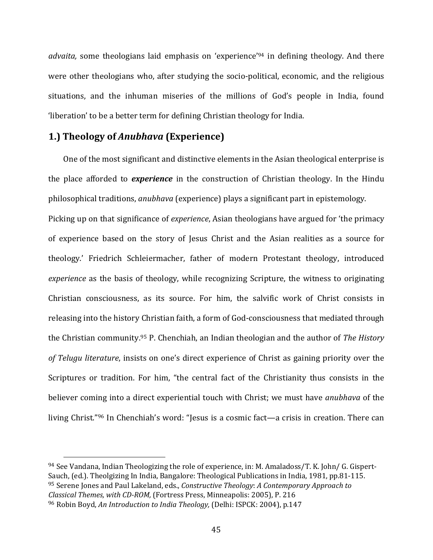*advaita,* some theologians laid emphasis on 'experience'94 in defining theology. And there were other theologians who, after studying the socio-political, economic, and the religious situations, and the inhuman miseries of the millions of God's people in India, found 'liberation' to be a better term for defining Christian theology for India.

## **1.) Theology of** *Anubhava* **(Experience)**

 One of the most significant and distinctive elements in the Asian theological enterprise is the place afforded to *experience* in the construction of Christian theology. In the Hindu philosophical traditions, *anubhava* (experience) plays a significant part in epistemology. Picking up on that significance of *experience*, Asian theologians have argued for 'the primacy of experience based on the story of Jesus Christ and the Asian realities as a source for theology.' Friedrich Schleiermacher, father of modern Protestant theology, introduced *experience* as the basis of theology, while recognizing Scripture, the witness to originating Christian consciousness, as its source. For him, the salvific work of Christ consists in releasing into the history Christian faith, a form of God‐consciousness that mediated through the Christian community.95 P. Chenchiah, an Indian theologian and the author of *The History of Telugu literature*, insists on one's direct experience of Christ as gaining priority over the Scriptures or tradition. For him, "the central fact of the Christianity thus consists in the believer coming into a direct experiential touch with Christ; we must have *anubhava* of the living Christ."96 In Chenchiah's word: "Jesus is a cosmic fact—a crisis in creation. There can

<sup>94</sup> See Vandana, Indian Theologizing the role of experience, in: M. Amaladoss/T. K. John/ G. Gispert-Sauch, (ed.). Theolgizing In India, Bangalore: Theological Publications in India, 1981, pp.81‐115. <sup>95</sup> Serene Jones and Paul Lakeland, eds., *Constructive Theology*: *A Contemporary Approach to Classical Themes, with CD‐ROM,* (Fortress Press, Minneapolis: 2005), P. 216 <sup>96</sup> Robin Boyd, *An Introduction to India Theology,* (Delhi: ISPCK: 2004), p.147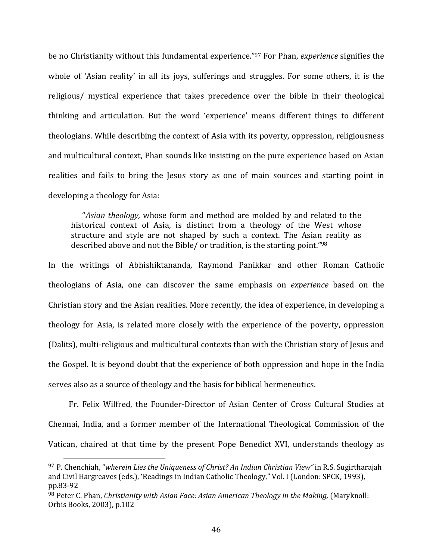be no Christianity without this fundamental experience."97 For Phan, *experience* signifies the whole of 'Asian reality' in all its joys, sufferings and struggles. For some others, it is the religious/ mystical experience that takes precedence over the bible in their theological thinking and articulation. But the word 'experience' means different things to different theologians. While describing the context of Asia with its poverty, oppression, religiousness and multicultural context, Phan sounds like insisting on the pure experience based on Asian realities and fails to bring the Jesus story as one of main sources and starting point in developing a theology for Asia:

 "*Asian theology,* whose form and method are molded by and related to the historical context of Asia, is distinct from a theology of the West whose structure and style are not shaped by such a context. The Asian reality as described above and not the Bible/ or tradition, is the starting point."98

In the writings of Abhishiktananda, Raymond Panikkar and other Roman Catholic theologians of Asia, one can discover the same emphasis on *experience* based on the Christian story and the Asian realities. More recently, the idea of experience, in developing a theology for Asia, is related more closely with the experience of the poverty, oppression (Dalits), multi‐religious and multicultural contexts than with the Christian story of Jesus and the Gospel. It is beyond doubt that the experience of both oppression and hope in the India serves also as a source of theology and the basis for biblical hermeneutics.

 Fr. Felix Wilfred, the Founder‐Director of Asian Center of Cross Cultural Studies at Chennai, India, and a former member of the International Theological Commission of the Vatican, chaired at that time by the present Pope Benedict XVI, understands theology as

<sup>97</sup> P. Chenchiah, "*wherein Lies the Uniqueness of Christ? An Indian Christian View"* in R.S. Sugirtharajah and Civil Hargreaves (eds.), 'Readings in Indian Catholic Theology," Vol. I (London: SPCK, 1993), pp.83‐92

<sup>98</sup> Peter C. Phan, *Christianity with Asian Face: Asian American Theology in the Making,* (Maryknoll: Orbis Books, 2003), p.102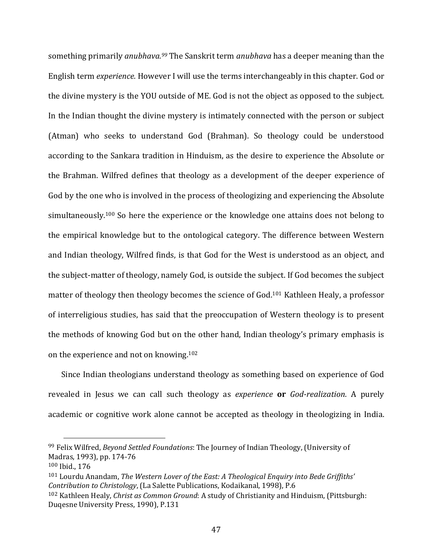something primarily *anubhava.99* The Sanskrit term *anubhava* has a deeper meaning than the English term *experience.* However I will use the terms interchangeably in this chapter. God or the divine mystery is the YOU outside of ME. God is not the object as opposed to the subject. In the Indian thought the divine mystery is intimately connected with the person or subject (Atman) who seeks to understand God (Brahman). So theology could be understood according to the Sankara tradition in Hinduism, as the desire to experience the Absolute or the Brahman. Wilfred defines that theology as a development of the deeper experience of God by the one who is involved in the process of theologizing and experiencing the Absolute simultaneously.<sup>100</sup> So here the experience or the knowledge one attains does not belong to the empirical knowledge but to the ontological category. The difference between Western and Indian theology, Wilfred finds, is that God for the West is understood as an object, and the subject‐matter of theology, namely God, is outside the subject. If God becomes the subject matter of theology then theology becomes the science of God.101 Kathleen Healy, a professor of interreligious studies, has said that the preoccupation of Western theology is to present the methods of knowing God but on the other hand, Indian theology's primary emphasis is on the experience and not on knowing.102

 Since Indian theologians understand theology as something based on experience of God revealed in Jesus we can call such theology as *experience* **or** *God‐realization*. A purely academic or cognitive work alone cannot be accepted as theology in theologizing in India.

<sup>99</sup> Felix Wilfred, *Beyond Settled Foundations*: The Journey of Indian Theology, (University of Madras, 1993), pp. 174‐76

<sup>100</sup> Ibid., 176

<sup>101</sup> Lourdu Anandam, *The Western Lover of the East: A Theological Enquiry into Bede Griffiths' Contribution to Christology*, (La Salette Publications, Kodaikanal, 1998), P.6

<sup>102</sup> Kathleen Healy, *Christ as Common Ground*: A study of Christianity and Hinduism, (Pittsburgh: Duqesne University Press, 1990), P.131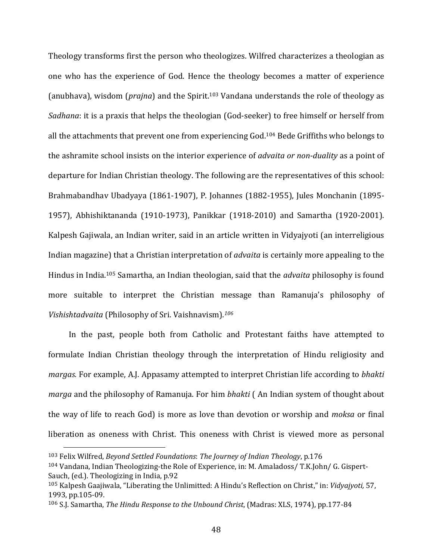Theology transforms first the person who theologizes. Wilfred characterizes a theologian as one who has the experience of God. Hence the theology becomes a matter of experience (anubhava), wisdom (*prajna*) and the Spirit.103 Vandana understands the role of theology as *Sadhana*: it is a praxis that helps the theologian (God‐seeker) to free himself or herself from all the attachments that prevent one from experiencing God.104 Bede Griffiths who belongs to the ashramite school insists on the interior experience of *advaita or non‐duality* as a point of departure for Indian Christian theology. The following are the representatives of this school: Brahmabandhav Ubadyaya (1861‐1907), P. Johannes (1882‐1955), Jules Monchanin (1895‐ 1957), Abhishiktananda (1910‐1973), Panikkar (1918‐2010) and Samartha (1920‐2001). Kalpesh Gajiwala, an Indian writer, said in an article written in Vidyajyoti (an interreligious Indian magazine) that a Christian interpretation of *advaita* is certainly more appealing to the Hindus in India.105 Samartha, an Indian theologian, said that the *advaita* philosophy is found more suitable to interpret the Christian message than Ramanuja's philosophy of *Vishishtadvaita* (Philosophy of Sri. Vaishnavism)*. <sup>106</sup>* 

 In the past, people both from Catholic and Protestant faiths have attempted to formulate Indian Christian theology through the interpretation of Hindu religiosity and *margas.* For example, A.J. Appasamy attempted to interpret Christian life according to *bhakti marga* and the philosophy of Ramanuja. For him *bhakti* ( An Indian system of thought about the way of life to reach God) is more as love than devotion or worship and *moksa* or final liberation as oneness with Christ. This oneness with Christ is viewed more as personal

<sup>103</sup> Felix Wilfred, *Beyond Settled Foundations*: *The Journey of Indian Theology*, p.176

<sup>104</sup> Vandana, Indian Theologizing‐the Role of Experience, in: M. Amaladoss/ T.K.John/ G. Gispert‐ Sauch, (ed.). Theologizing in India, p.92

<sup>105</sup> Kalpesh Gaajiwala, "Liberating the Unlimitted: A Hindu's Reflection on Christ," in: *Vidyajyoti,* 57, 1993, pp.105‐09.

<sup>106</sup> S.J. Samartha, *The Hindu Response to the Unbound Christ*, (Madras: XLS, 1974), pp.177‐84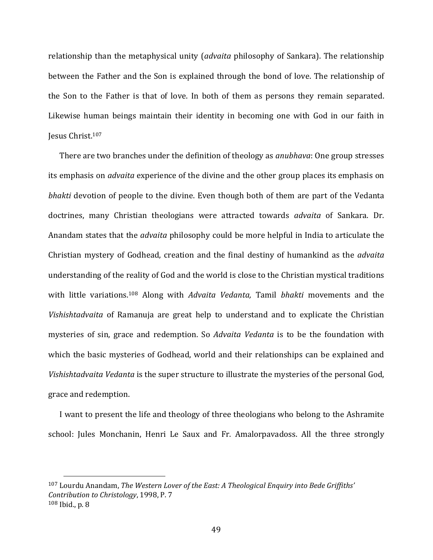relationship than the metaphysical unity (*advaita* philosophy of Sankara). The relationship between the Father and the Son is explained through the bond of love. The relationship of the Son to the Father is that of love. In both of them as persons they remain separated. Likewise human beings maintain their identity in becoming one with God in our faith in Jesus Christ.107

 There are two branches under the definition of theology as *anubhava*: One group stresses its emphasis on *advaita* experience of the divine and the other group places its emphasis on *bhakti* devotion of people to the divine. Even though both of them are part of the Vedanta doctrines, many Christian theologians were attracted towards *advaita* of Sankara. Dr. Anandam states that the *advaita* philosophy could be more helpful in India to articulate the Christian mystery of Godhead, creation and the final destiny of humankind as the *advaita* understanding of the reality of God and the world is close to the Christian mystical traditions with little variations.108 Along with *Advaita Vedanta,* Tamil *bhakti* movements and the *Vishishtadvaita* of Ramanuja are great help to understand and to explicate the Christian mysteries of sin, grace and redemption. So *Advaita Vedanta* is to be the foundation with which the basic mysteries of Godhead, world and their relationships can be explained and *Vishishtadvaita Vedanta* is the super structure to illustrate the mysteries of the personal God, grace and redemption.

 I want to present the life and theology of three theologians who belong to the Ashramite school: Jules Monchanin, Henri Le Saux and Fr. Amalorpavadoss. All the three strongly

<sup>107</sup> Lourdu Anandam, *The Western Lover of the East: A Theological Enquiry into Bede Griffiths' Contribution to Christology*, 1998, P. 7  $108$  Ibid., p. 8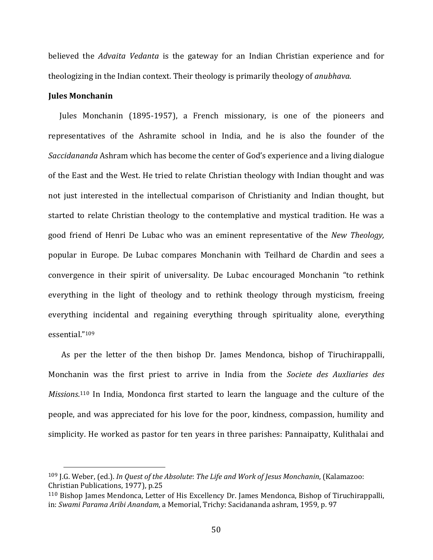believed the *Advaita Vedanta* is the gateway for an Indian Christian experience and for theologizing in the Indian context. Their theology is primarily theology of *anubhava*.

### **Jules Monchanin**

 Jules Monchanin (1895‐1957), a French missionary, is one of the pioneers and representatives of the Ashramite school in India, and he is also the founder of the *Saccidananda* Ashram which has become the center of God's experience and a living dialogue of the East and the West. He tried to relate Christian theology with Indian thought and was not iust interested in the intellectual comparison of Christianity and Indian thought, but started to relate Christian theology to the contemplative and mystical tradition. He was a good friend of Henri De Lubac who was an eminent representative of the *New Theology,* popular in Europe. De Lubac compares Monchanin with Teilhard de Chardin and sees a convergence in their spirit of universality. De Lubac encouraged Monchanin "to rethink everything in the light of theology and to rethink theology through mysticism, freeing everything incidental and regaining everything through spirituality alone, everything essential."109

 As per the letter of the then bishop Dr. James Mendonca, bishop of Tiruchirappalli, Monchanin was the first priest to arrive in India from the *Societe des Auxliaries des Missions*. 110 In India, Mondonca first started to learn the language and the culture of the people, and was appreciated for his love for the poor, kindness, compassion, humility and simplicity. He worked as pastor for ten years in three parishes: Pannaipatty, Kulithalai and

<sup>109</sup> J.G. Weber, (ed.). *In Quest of the Absolute*: *The Life and Work of Jesus Monchanin*, (Kalamazoo: Christian Publications, 1977), p.25

<sup>110</sup> Bishop James Mendonca, Letter of His Excellency Dr. James Mendonca, Bishop of Tiruchirappalli, in: *Swami Parama Aribi Anandam*, a Memorial, Trichy: Sacidananda ashram, 1959, p. 97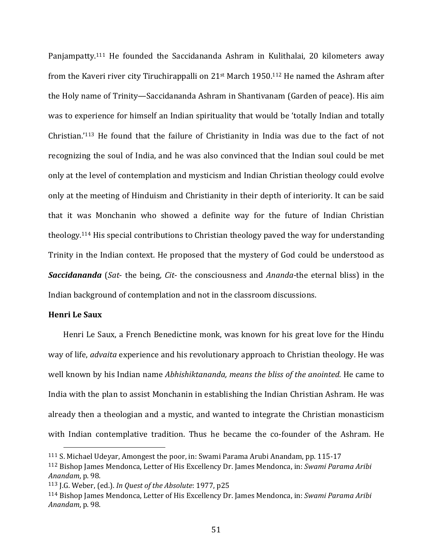Panjampatty.<sup>111</sup> He founded the Saccidananda Ashram in Kulithalai, 20 kilometers away from the Kaveri river city Tiruchirappalli on 21st March 1950.112 He named the Ashram after the Holy name of Trinity—Saccidananda Ashram in Shantivanam (Garden of peace). His aim was to experience for himself an Indian spirituality that would be 'totally Indian and totally Christian.'113 He found that the failure of Christianity in India was due to the fact of not recognizing the soul of India, and he was also convinced that the Indian soul could be met only at the level of contemplation and mysticism and Indian Christian theology could evolve only at the meeting of Hinduism and Christianity in their depth of interiority. It can be said that it was Monchanin who showed a definite way for the future of Indian Christian theology.114 His special contributions to Christian theology paved the way for understanding Trinity in the Indian context. He proposed that the mystery of God could be understood as *Saccidananda* (*Sat*‐ the being, *Cit*‐ the consciousness and *Ananda‐*the eternal bliss) in the Indian background of contemplation and not in the classroom discussions.

## **Henri Le Saux**

 Henri Le Saux, a French Benedictine monk, was known for his great love for the Hindu way of life, *advaita* experience and his revolutionary approach to Christian theology. He was well known by his Indian name *Abhishiktananda, means the bliss of the anointed.* He came to India with the plan to assist Monchanin in establishing the Indian Christian Ashram. He was already then a theologian and a mystic, and wanted to integrate the Christian monasticism with Indian contemplative tradition. Thus he became the co-founder of the Ashram. He

<sup>111</sup> S. Michael Udeyar, Amongest the poor, in: Swami Parama Arubi Anandam, pp. 115‐17

<sup>112</sup> Bishop James Mendonca, Letter of His Excellency Dr. James Mendonca, in: *Swami Parama Aribi Anandam*, p. 98.

<sup>113</sup> J.G. Weber, (ed.). *In Quest of the Absolute*: 1977, p25

<sup>114</sup> Bishop James Mendonca, Letter of His Excellency Dr. James Mendonca, in: *Swami Parama Aribi Anandam*, p. 98.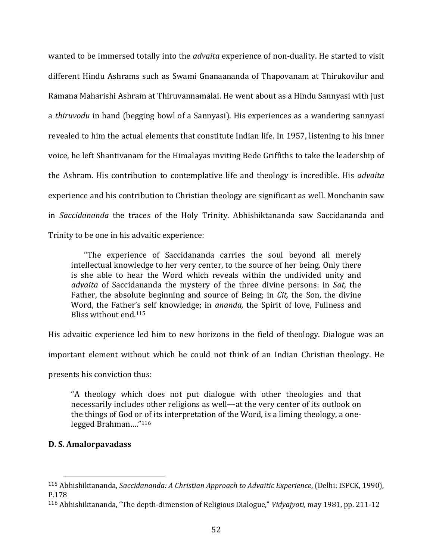wanted to be immersed totally into the *advaita* experience of non-duality. He started to visit different Hindu Ashrams such as Swami Gnanaananda of Thapovanam at Thirukovilur and Ramana Maharishi Ashram at Thiruvannamalai. He went about as a Hindu Sannyasi with just a *thiruvodu* in hand (begging bowl of a Sannyasi). His experiences as a wandering sannyasi revealed to him the actual elements that constitute Indian life. In 1957, listening to his inner voice, he left Shantivanam for the Himalayas inviting Bede Griffiths to take the leadership of the Ashram. His contribution to contemplative life and theology is incredible. His *advaita* experience and his contribution to Christian theology are significant as well. Monchanin saw in *Saccidananda* the traces of the Holy Trinity. Abhishiktananda saw Saccidananda and Trinity to be one in his advaitic experience:

 "The experience of Saccidananda carries the soul beyond all merely intellectual knowledge to her very center, to the source of her being. Only there is she able to hear the Word which reveals within the undivided unity and *advaita* of Saccidananda the mystery of the three divine persons: in *Sat,* the Father, the absolute beginning and source of Being; in *Cit*, the Son, the divine Word, the Father's self knowledge; in *ananda,* the Spirit of love, Fullness and Bliss without end.115

His advaitic experience led him to new horizons in the field of theology. Dialogue was an

important element without which he could not think of an Indian Christian theology. He

presents his conviction thus:

"A theology which does not put dialogue with other theologies and that necessarily includes other religions as well—at the very center of its outlook on the things of God or of its interpretation of the Word, is a liming theology, a one‐ legged Brahman…."116

## **D. S. Amalorpavadass**

<sup>115</sup> Abhishiktananda, *Saccidananda: A Christian Approach to Advaitic Experience*, (Delhi: ISPCK, 1990), P.178

<sup>116</sup> Abhishiktananda, "The depth‐dimension of Religious Dialogue," *Vidyajyoti,* may 1981, pp. 211‐12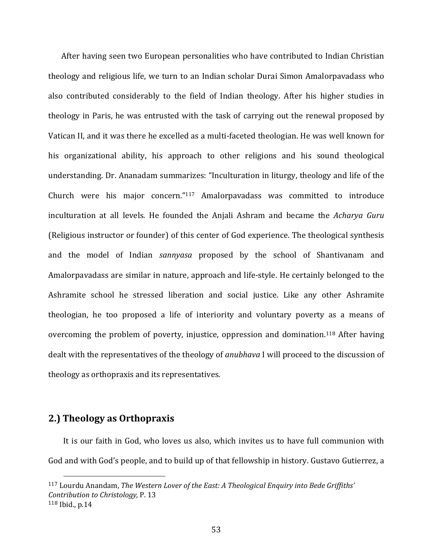After having seen two European personalities who have contributed to Indian Christian theology and religious life, we turn to an Indian scholar Durai Simon Amalorpavadass who also contributed considerably to the field of Indian theology. After his higher studies in theology in Paris, he was entrusted with the task of carrying out the renewal proposed by Vatican II, and it was there he excelled as a multi‐faceted theologian. He was well known for his organizational ability, his approach to other religions and his sound theological understanding. Dr. Ananadam summarizes: "Inculturation in liturgy, theology and life of the Church were his major concern."117 Amalorpavadass was committed to introduce inculturation at all levels. He founded the Anjali Ashram and became the *Acharya Guru* (Religious instructor or founder) of this center of God experience. The theological synthesis and the model of Indian *sannyasa* proposed by the school of Shantivanam and Amalorpavadass are similar in nature, approach and life‐style. He certainly belonged to the Ashramite school he stressed liberation and social justice. Like any other Ashramite theologian, he too proposed a life of interiority and voluntary poverty as a means of overcoming the problem of poverty, injustice, oppression and domination.<sup>118</sup> After having dealt with the representatives of the theology of *anubhava* I will proceed to the discussion of theology as orthopraxis and its representatives.

# **2.) Theology as Orthopraxis**

 It is our faith in God, who loves us also, which invites us to have full communion with God and with God's people, and to build up of that fellowship in history. Gustavo Gutierrez, a

<sup>117</sup> Lourdu Anandam, *The Western Lover of the East: A Theological Enquiry into Bede Griffiths' Contribution to Christology,* P. 13 <sup>118</sup> Ibid., p.14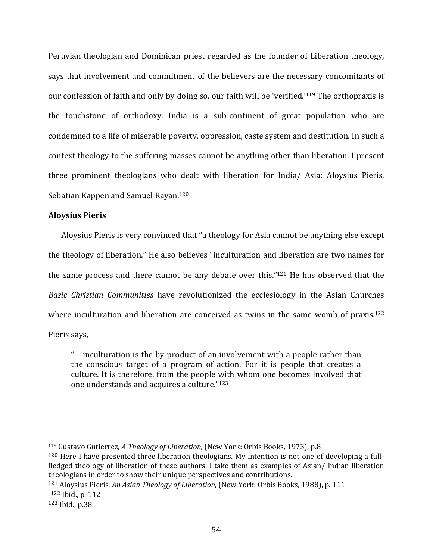Peruvian theologian and Dominican priest regarded as the founder of Liberation theology, says that involvement and commitment of the believers are the necessary concomitants of our confession of faith and only by doing so, our faith will be 'verified.'119 The orthopraxis is the touchstone of orthodoxy. India is a sub‐continent of great population who are condemned to a life of miserable poverty, oppression, caste system and destitution. In such a context theology to the suffering masses cannot be anything other than liberation. I present three prominent theologians who dealt with liberation for India/ Asia: Aloysius Pieris, Sebatian Kappen and Samuel Rayan.120

### **Aloysius Pieris**

 Aloysius Pieris is very convinced that "a theology for Asia cannot be anything else except the theology of liberation." He also believes "inculturation and liberation are two names for the same process and there cannot be any debate over this." $121$  He has observed that the *Basic Christian Communities* have revolutionized the ecclesiology in the Asian Churches where inculturation and liberation are conceived as twins in the same womb of praxis.<sup>122</sup> Pieris says,

"‐‐‐inculturation is the by‐product of an involvement with a people rather than the conscious target of a program of action. For it is people that creates a culture. It is therefore, from the people with whom one becomes involved that one understands and acquires a culture."123

<sup>119</sup> Gustavo Gutierrez, *A Theology of Liberation,* (New York: Orbis Books, 1973), p.8

 $120$  Here I have presented three liberation theologians. My intention is not one of developing a fullfledged theology of liberation of these authors. I take them as examples of Asian/ Indian liberation theologians in order to show their unique perspectives and contributions.

<sup>121</sup> Aloysius Pieris, *An Asian Theology of Liberation,* (New York: Orbis Books, 1988), p. 111 <sup>122</sup> Ibid., p. 112

<sup>123</sup> Ibid., p.38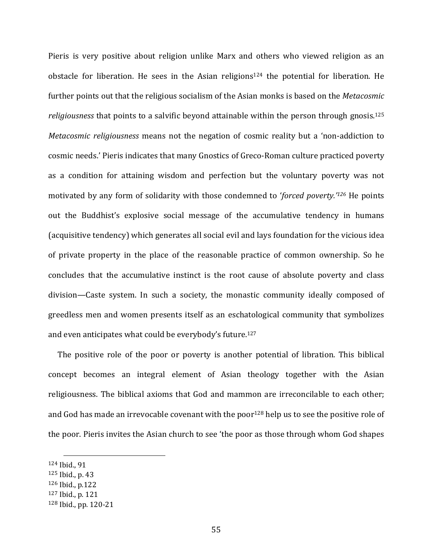Pieris is very positive about religion unlike Marx and others who viewed religion as an obstacle for liberation. He sees in the Asian religions<sup>124</sup> the potential for liberation. He further points out that the religious socialism of the Asian monks is based on the *Metacosmic religiousness* that points to a salvific beyond attainable within the person through gnosis.125 *Metacosmic religiousness* means not the negation of cosmic reality but a 'non‐addiction to cosmic needs.' Pieris indicates that many Gnostics of Greco‐Roman culture practiced poverty as a condition for attaining wisdom and perfection but the voluntary poverty was not motivated by any form of solidarity with those condemned to '*forced poverty.'126* He points out the Buddhist's explosive social message of the accumulative tendency in humans (acquisitive tendency) which generates all social evil and lays foundation for the vicious idea of private property in the place of the reasonable practice of common ownership. So he concludes that the accumulative instinct is the root cause of absolute poverty and class division—Caste system. In such a society, the monastic community ideally composed of greedless men and women presents itself as an eschatological community that symbolizes and even anticipates what could be everybody's future.127

 The positive role of the poor or poverty is another potential of libration. This biblical concept becomes an integral element of Asian theology together with the Asian religiousness. The biblical axioms that God and mammon are irreconcilable to each other; and God has made an irrevocable covenant with the poor<sup>128</sup> help us to see the positive role of the poor. Pieris invites the Asian church to see 'the poor as those through whom God shapes

<sup>127</sup> Ibid., p. 121

<sup>124</sup> Ibid., 91

<sup>125</sup> Ibid., p. 43

<sup>126</sup> Ibid., p.122

<sup>128</sup> Ibid., pp. 120‐21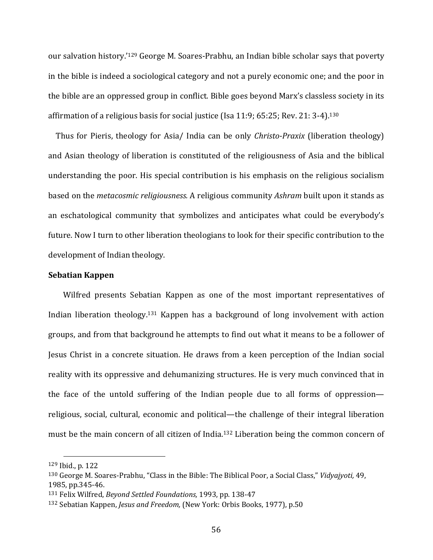our salvation history.'129 George M. Soares‐Prabhu, an Indian bible scholar says that poverty in the bible is indeed a sociological category and not a purely economic one; and the poor in the bible are an oppressed group in conflict. Bible goes beyond Marx's classless society in its affirmation of a religious basis for social justice (Isa 11:9; 65:25; Rev. 21: 3‐4).130

 Thus for Pieris, theology for Asia/ India can be only *Christo‐Praxix* (liberation theology) and Asian theology of liberation is constituted of the religiousness of Asia and the biblical understanding the poor. His special contribution is his emphasis on the religious socialism based on the *metacosmic religiousness.* A religious community *Ashram* built upon it stands as an eschatological community that symbolizes and anticipates what could be everybody's future. Now I turn to other liberation theologians to look for their specific contribution to the development of Indian theology.

#### **Sebatian Kappen**

Wilfred presents Sebatian Kappen as one of the most important representatives of Indian liberation theology.131 Kappen has a background of long involvement with action groups, and from that background he attempts to find out what it means to be a follower of Jesus Christ in a concrete situation. He draws from a keen perception of the Indian social reality with its oppressive and dehumanizing structures. He is very much convinced that in the face of the untold suffering of the Indian people due to all forms of oppression religious, social, cultural, economic and political—the challenge of their integral liberation must be the main concern of all citizen of India.132 Liberation being the common concern of

<sup>129</sup> Ibid., p. 122

<sup>130</sup> George M. Soares‐Prabhu, "Class in the Bible: The Biblical Poor, a Social Class," *Vidyajyoti,* 49, 1985, pp.345‐46.

<sup>131</sup> Felix Wilfred, *Beyond Settled Foundations,* 1993, pp. 138‐47

<sup>132</sup> Sebatian Kappen, *Jesus and Freedom,* (New York: Orbis Books, 1977), p.50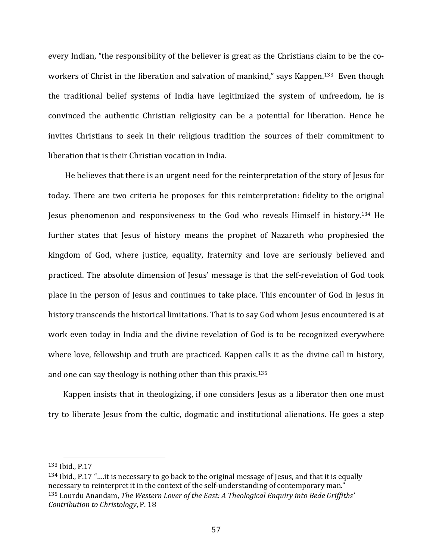every Indian, "the responsibility of the believer is great as the Christians claim to be the coworkers of Christ in the liberation and salvation of mankind," says Kappen.<sup>133</sup> Even though the traditional belief systems of India have legitimized the system of unfreedom, he is convinced the authentic Christian religiosity can be a potential for liberation. Hence he invites Christians to seek in their religious tradition the sources of their commitment to liberation that is their Christian vocation in India.

 He believes that there is an urgent need for the reinterpretation of the story of Jesus for today. There are two criteria he proposes for this reinterpretation: fidelity to the original Jesus phenomenon and responsiveness to the God who reveals Himself in history.134 He further states that Jesus of history means the prophet of Nazareth who prophesied the kingdom of God, where justice, equality, fraternity and love are seriously believed and practiced. The absolute dimension of Jesus' message is that the self‐revelation of God took place in the person of Jesus and continues to take place. This encounter of God in Jesus in history transcends the historical limitations. That is to say God whom Jesus encountered is at work even today in India and the divine revelation of God is to be recognized everywhere where love, fellowship and truth are practiced. Kappen calls it as the divine call in history, and one can say theology is nothing other than this praxis.135

Kappen insists that in theologizing, if one considers Jesus as a liberator then one must try to liberate Jesus from the cultic, dogmatic and institutional alienations. He goes a step

<sup>133</sup> Ibid., P.17

<sup>134</sup> Ibid., P.17 "….it is necessary to go back to the original message of Jesus, and that it is equally necessary to reinterpret it in the context of the self-understanding of contemporary man." <sup>135</sup> Lourdu Anandam, *The Western Lover of the East: A Theological Enquiry into Bede Griffiths' Contribution to Christology*, P. 18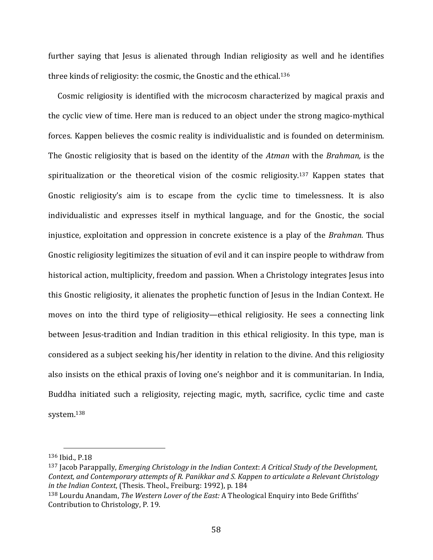further saying that Jesus is alienated through Indian religiosity as well and he identifies three kinds of religiosity: the cosmic, the Gnostic and the ethical.136

 Cosmic religiosity is identified with the microcosm characterized by magical praxis and the cyclic view of time. Here man is reduced to an object under the strong magico‐mythical forces. Kappen believes the cosmic reality is individualistic and is founded on determinism. The Gnostic religiosity that is based on the identity of the *Atman* with the *Brahman,* is the spiritualization or the theoretical vision of the cosmic religiosity.<sup>137</sup> Kappen states that Gnostic religiosity's aim is to escape from the cyclic time to timelessness. It is also individualistic and expresses itself in mythical language, and for the Gnostic, the social injustice, exploitation and oppression in concrete existence is a play of the *Brahman.* Thus Gnostic religiosity legitimizes the situation of evil and it can inspire people to withdraw from historical action, multiplicity, freedom and passion. When a Christology integrates Jesus into this Gnostic religiosity, it alienates the prophetic function of Jesus in the Indian Context. He moves on into the third type of religiosity—ethical religiosity. He sees a connecting link between Jesus-tradition and Indian tradition in this ethical religiosity. In this type, man is considered as a subject seeking his/her identity in relation to the divine. And this religiosity also insists on the ethical praxis of loving one's neighbor and it is communitarian. In India, Buddha initiated such a religiosity, rejecting magic, myth, sacrifice, cyclic time and caste system.138

<sup>136</sup> Ibid., P.18

<sup>137</sup> Jacob Parappally, *Emerging Christology in the Indian Context*: *A Critical Study of the Development, Context, and Contemporary attempts of R. Panikkar and S. Kappen to articulate a Relevant Christology in the Indian Context*, (Thesis. Theol., Freiburg: 1992), p. 184

<sup>138</sup> Lourdu Anandam, *The Western Lover of the East:* A Theological Enquiry into Bede Griffiths' Contribution to Christology, P. 19.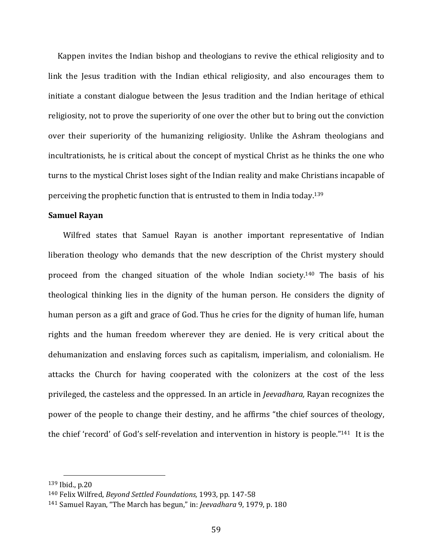Kappen invites the Indian bishop and theologians to revive the ethical religiosity and to link the Jesus tradition with the Indian ethical religiosity, and also encourages them to initiate a constant dialogue between the Jesus tradition and the Indian heritage of ethical religiosity, not to prove the superiority of one over the other but to bring out the conviction over their superiority of the humanizing religiosity. Unlike the Ashram theologians and incultrationists, he is critical about the concept of mystical Christ as he thinks the one who turns to the mystical Christ loses sight of the Indian reality and make Christians incapable of perceiving the prophetic function that is entrusted to them in India today.139

### **Samuel Rayan**

 Wilfred states that Samuel Rayan is another important representative of Indian liberation theology who demands that the new description of the Christ mystery should proceed from the changed situation of the whole Indian society.140 The basis of his theological thinking lies in the dignity of the human person. He considers the dignity of human person as a gift and grace of God. Thus he cries for the dignity of human life, human rights and the human freedom wherever they are denied. He is very critical about the dehumanization and enslaving forces such as capitalism, imperialism, and colonialism. He attacks the Church for having cooperated with the colonizers at the cost of the less privileged, the casteless and the oppressed. In an article in *Jeevadhara,* Rayan recognizes the power of the people to change their destiny, and he affirms "the chief sources of theology, the chief 'record' of God's self-revelation and intervention in history is people."<sup>141</sup> It is the

<sup>139</sup> Ibid., p.20

<sup>140</sup> Felix Wilfred, *Beyond Settled Foundations,* 1993, pp. 147‐58

<sup>141</sup> Samuel Rayan, "The March has begun," in: *Jeevadhara* 9, 1979, p. 180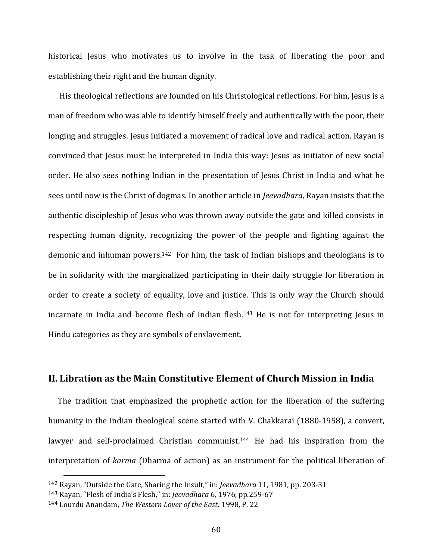historical Jesus who motivates us to involve in the task of liberating the poor and establishing their right and the human dignity.

 His theological reflections are founded on his Christological reflections. For him, Jesus is a man of freedom who was able to identify himself freely and authentically with the poor, their longing and struggles. Jesus initiated a movement of radical love and radical action. Rayan is convinced that Jesus must be interpreted in India this way: Jesus as initiator of new social order. He also sees nothing Indian in the presentation of Jesus Christ in India and what he sees until now is the Christ of dogmas. In another article in *Jeevadhara,* Rayan insists that the authentic discipleship of Jesus who was thrown away outside the gate and killed consists in respecting human dignity, recognizing the power of the people and fighting against the demonic and inhuman powers.142 For him, the task of Indian bishops and theologians is to be in solidarity with the marginalized participating in their daily struggle for liberation in order to create a society of equality, love and justice. This is only way the Church should incarnate in India and become flesh of Indian flesh.<sup>143</sup> He is not for interpreting Jesus in Hindu categories as they are symbols of enslavement.

# **II. Libration as the Main Constitutive Element of Church Mission in India**

The tradition that emphasized the prophetic action for the liberation of the suffering humanity in the Indian theological scene started with V. Chakkarai (1880‐1958), a convert, lawyer and self-proclaimed Christian communist.<sup>144</sup> He had his inspiration from the interpretation of *karma* (Dharma of action) as an instrument for the political liberation of

<sup>142</sup> Rayan, "Outside the Gate, Sharing the Insult," in: *Jeevadhara* 11, 1981, pp. 203‐31

<sup>143</sup> Rayan, "Flesh of India's Flesh," in: *Jeevadhara* 6, 1976, pp.259‐67

<sup>144</sup> Lourdu Anandam, *The Western Lover of the East:* 1998, P. 22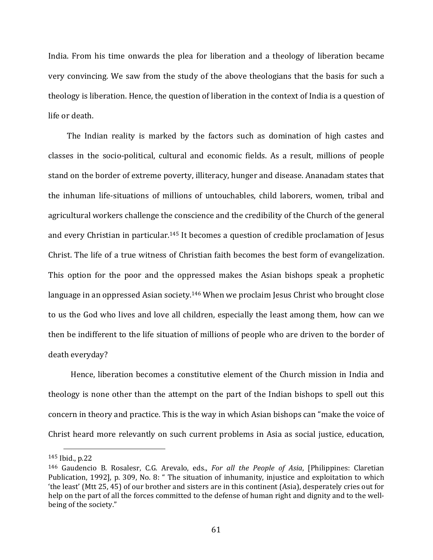India. From his time onwards the plea for liberation and a theology of liberation became very convincing. We saw from the study of the above theologians that the basis for such a theology is liberation. Hence, the question of liberation in the context of India is a question of life or death.

The Indian reality is marked by the factors such as domination of high castes and classes in the socio‐political, cultural and economic fields. As a result, millions of people stand on the border of extreme poverty, illiteracy, hunger and disease. Ananadam states that the inhuman life‐situations of millions of untouchables, child laborers, women, tribal and agricultural workers challenge the conscience and the credibility of the Church of the general and every Christian in particular.145 It becomes a question of credible proclamation of Jesus Christ. The life of a true witness of Christian faith becomes the best form of evangelization. This option for the poor and the oppressed makes the Asian bishops speak a prophetic language in an oppressed Asian society.<sup>146</sup> When we proclaim Jesus Christ who brought close to us the God who lives and love all children, especially the least among them, how can we then be indifferent to the life situation of millions of people who are driven to the border of death everyday?

 Hence, liberation becomes a constitutive element of the Church mission in India and theology is none other than the attempt on the part of the Indian bishops to spell out this concern in theory and practice. This is the way in which Asian bishops can "make the voice of Christ heard more relevantly on such current problems in Asia as social justice, education,

<sup>145</sup> Ibid., p.22

<sup>146</sup> Gaudencio B. Rosalesr, C.G. Arevalo, eds., *For all the People of Asia*, [Philippines: Claretian Publication, 1992], p. 309, No. 8: " The situation of inhumanity, injustice and exploitation to which 'the least' (Mtt 25, 45) of our brother and sisters are in this continent (Asia), desperately cries out for help on the part of all the forces committed to the defense of human right and dignity and to the wellbeing of the society."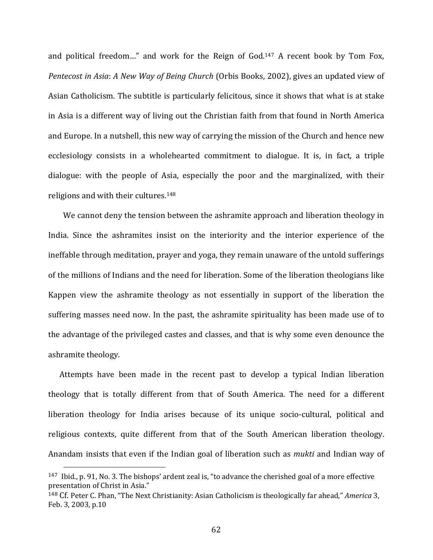and political freedom..." and work for the Reign of God.<sup>147</sup> A recent book by Tom Fox, *Pentecost in Asia*: *A New Way of Being Church* (Orbis Books, 2002), gives an updated view of Asian Catholicism. The subtitle is particularly felicitous, since it shows that what is at stake in Asia is a different way of living out the Christian faith from that found in North America and Europe. In a nutshell, this new way of carrying the mission of the Church and hence new ecclesiology consists in a wholehearted commitment to dialogue. It is, in fact, a triple dialogue: with the people of Asia, especially the poor and the marginalized, with their religions and with their cultures.148

 We cannot deny the tension between the ashramite approach and liberation theology in India. Since the ashramites insist on the interiority and the interior experience of the ineffable through meditation, prayer and yoga, they remain unaware of the untold sufferings of the millions of Indians and the need for liberation. Some of the liberation theologians like Kappen view the ashramite theology as not essentially in support of the liberation the suffering masses need now. In the past, the ashramite spirituality has been made use of to the advantage of the privileged castes and classes, and that is why some even denounce the ashramite theology.

 Attempts have been made in the recent past to develop a typical Indian liberation theology that is totally different from that of South America. The need for a different liberation theology for India arises because of its unique socio-cultural, political and religious contexts, quite different from that of the South American liberation theology. Anandam insists that even if the Indian goal of liberation such as *mukti* and Indian way of

<sup>147</sup> Ibid., p. 91, No. 3. The bishops' ardent zeal is, "to advance the cherished goal of a more effective presentation of Christ in Asia."

<sup>148</sup> Cf. Peter C. Phan, "The Next Christianity: Asian Catholicism is theologically far ahead," *America* 3, Feb. 3, 2003, p.10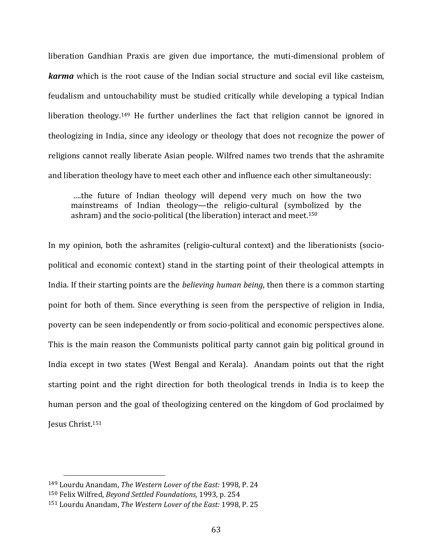liberation Gandhian Praxis are given due importance, the muti-dimensional problem of *karma* which is the root cause of the Indian social structure and social evil like casteism, feudalism and untouchability must be studied critically while developing a typical Indian liberation theology.<sup>149</sup> He further underlines the fact that religion cannot be ignored in theologizing in India, since any ideology or theology that does not recognize the power of religions cannot really liberate Asian people. Wilfred names two trends that the ashramite and liberation theology have to meet each other and influence each other simultaneously:

 ….the future of Indian theology will depend very much on how the two mainstreams of Indian theology—the religio‐cultural (symbolized by the ashram) and the socio-political (the liberation) interact and meet.<sup>150</sup>

In my opinion, both the ashramites (religio-cultural context) and the liberationists (sociopolitical and economic context) stand in the starting point of their theological attempts in India. If their starting points are the *believing human being*, then there is a common starting point for both of them. Since everything is seen from the perspective of religion in India, poverty can be seen independently or from socio‐political and economic perspectives alone. This is the main reason the Communists political party cannot gain big political ground in India except in two states (West Bengal and Kerala). Anandam points out that the right starting point and the right direction for both theological trends in India is to keep the human person and the goal of theologizing centered on the kingdom of God proclaimed by Jesus Christ.151

<sup>149</sup> Lourdu Anandam, *The Western Lover of the East:* 1998, P. 24

<sup>150</sup> Felix Wilfred, *Beyond Settled Foundations,* 1993, p. 254

<sup>151</sup> Lourdu Anandam, *The Western Lover of the East:* 1998, P. 25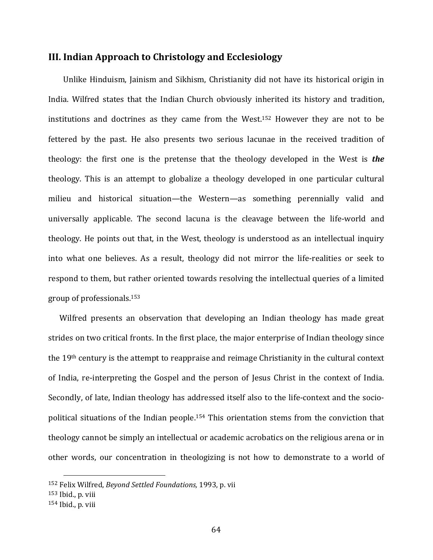## **III. Indian Approach to Christology and Ecclesiology**

Unlike Hinduism, Jainism and Sikhism, Christianity did not have its historical origin in India. Wilfred states that the Indian Church obviously inherited its history and tradition, institutions and doctrines as they came from the West.152 However they are not to be fettered by the past. He also presents two serious lacunae in the received tradition of theology: the first one is the pretense that the theology developed in the West is *the* theology. This is an attempt to globalize a theology developed in one particular cultural milieu and historical situation—the Western—as something perennially valid and universally applicable. The second lacuna is the cleavage between the life‐world and theology. He points out that, in the West, theology is understood as an intellectual inquiry into what one believes. As a result, theology did not mirror the life‐realities or seek to respond to them, but rather oriented towards resolving the intellectual queries of a limited group of professionals.153

Wilfred presents an observation that developing an Indian theology has made great strides on two critical fronts. In the first place, the major enterprise of Indian theology since the 19th century is the attempt to reappraise and reimage Christianity in the cultural context of India, re‐interpreting the Gospel and the person of Jesus Christ in the context of India. Secondly, of late, Indian theology has addressed itself also to the life-context and the sociopolitical situations of the Indian people.<sup>154</sup> This orientation stems from the conviction that theology cannot be simply an intellectual or academic acrobatics on the religious arena or in other words, our concentration in theologizing is not how to demonstrate to a world of

<sup>152</sup> Felix Wilfred, *Beyond Settled Foundations,* 1993, p. vii

<sup>153</sup> Ibid., p. viii

<sup>154</sup> Ibid., p. viii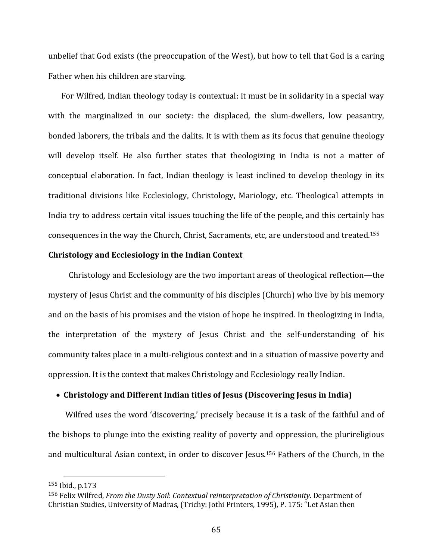unbelief that God exists (the preoccupation of the West), but how to tell that God is a caring Father when his children are starving.

 For Wilfred, Indian theology today is contextual: it must be in solidarity in a special way with the marginalized in our society: the displaced, the slum-dwellers, low peasantry, bonded laborers, the tribals and the dalits. It is with them as its focus that genuine theology will develop itself. He also further states that theologizing in India is not a matter of conceptual elaboration. In fact, Indian theology is least inclined to develop theology in its traditional divisions like Ecclesiology, Christology, Mariology, etc. Theological attempts in India try to address certain vital issues touching the life of the people, and this certainly has consequences in the way the Church, Christ, Sacraments, etc, are understood and treated.155

## **Christology and Ecclesiology in the Indian Context**

 Christology and Ecclesiology are the two important areas of theological reflection—the mystery of Jesus Christ and the community of his disciples (Church) who live by his memory and on the basis of his promises and the vision of hope he inspired. In theologizing in India, the interpretation of the mystery of Jesus Christ and the self‐understanding of his community takes place in a multi‐religious context and in a situation of massive poverty and oppression. It is the context that makes Christology and Ecclesiology really Indian.

## **Christology and Different Indian titles of Jesus (Discovering Jesus in India)**

Wilfred uses the word 'discovering,' precisely because it is a task of the faithful and of the bishops to plunge into the existing reality of poverty and oppression, the plurireligious and multicultural Asian context, in order to discover Jesus.<sup>156</sup> Fathers of the Church, in the

<sup>155</sup> Ibid., p.173

<sup>156</sup> Felix Wilfred, *From the Dusty Soil*: *Contextual reinterpretation of Christianity*. Department of Christian Studies, University of Madras, (Trichy: Jothi Printers, 1995), P. 175: "Let Asian then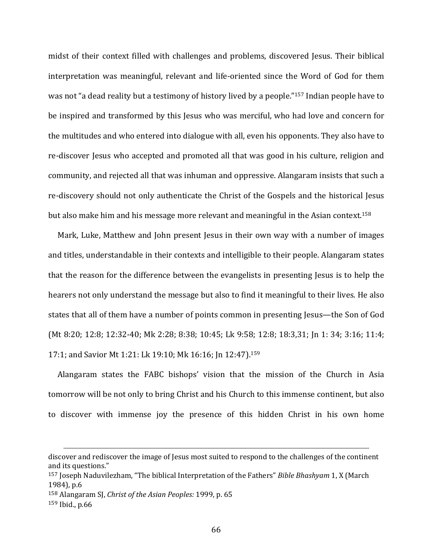midst of their context filled with challenges and problems, discovered Jesus. Their biblical interpretation was meaningful, relevant and life-oriented since the Word of God for them was not "a dead reality but a testimony of history lived by a people."157 Indian people have to be inspired and transformed by this Jesus who was merciful, who had love and concern for the multitudes and who entered into dialogue with all, even his opponents. They also have to re-discover Jesus who accepted and promoted all that was good in his culture, religion and community, and rejected all that was inhuman and oppressive. Alangaram insists that such a re-discovery should not only authenticate the Christ of the Gospels and the historical Iesus but also make him and his message more relevant and meaningful in the Asian context.158

 Mark, Luke, Matthew and John present Jesus in their own way with a number of images and titles, understandable in their contexts and intelligible to their people. Alangaram states that the reason for the difference between the evangelists in presenting Jesus is to help the hearers not only understand the message but also to find it meaningful to their lives. He also states that all of them have a number of points common in presenting Jesus—the Son of God (Mt 8:20; 12:8; 12:32‐40; Mk 2:28; 8:38; 10:45; Lk 9:58; 12:8; 18:3,31; Jn 1: 34; 3:16; 11:4; 17:1; and Savior Mt 1:21: Lk 19:10; Mk 16:16; Jn 12:47).159

 Alangaram states the FABC bishops' vision that the mission of the Church in Asia tomorrow will be not only to bring Christ and his Church to this immense continent, but also to discover with immense joy the presence of this hidden Christ in his own home

<u> Alexandria de la contrada de la contrada de la contrada de la contrada de la contrada de la contrada de la c</u>

discover and rediscover the image of Jesus most suited to respond to the challenges of the continent and its questions."

<sup>157</sup> Joseph Naduvilezham, "The biblical Interpretation of the Fathers" *Bible Bhashyam* 1, X (March 1984), p.6

<sup>158</sup> Alangaram SJ, *Christ of the Asian Peoples:* 1999, p. 65

<sup>159</sup> Ibid., p.66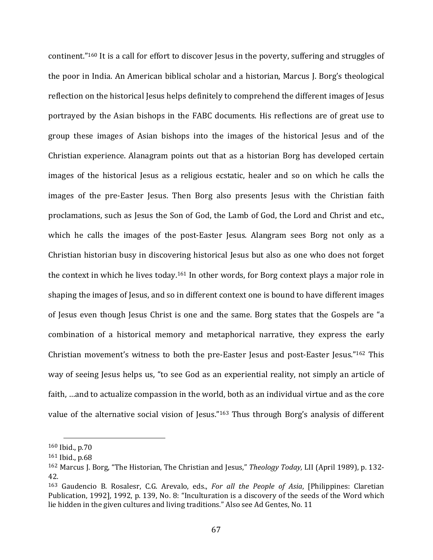continent."160 It is a call for effort to discover Jesus in the poverty, suffering and struggles of the poor in India. An American biblical scholar and a historian, Marcus J. Borg's theological reflection on the historical Jesus helps definitely to comprehend the different images of Jesus portrayed by the Asian bishops in the FABC documents. His reflections are of great use to group these images of Asian bishops into the images of the historical Jesus and of the Christian experience. Alanagram points out that as a historian Borg has developed certain images of the historical Jesus as a religious ecstatic, healer and so on which he calls the images of the pre-Easter Jesus. Then Borg also presents Jesus with the Christian faith proclamations, such as Jesus the Son of God, the Lamb of God, the Lord and Christ and etc., which he calls the images of the post-Easter Jesus. Alangram sees Borg not only as a Christian historian busy in discovering historical Jesus but also as one who does not forget the context in which he lives today.161 In other words, for Borg context plays a major role in shaping the images of Jesus, and so in different context one is bound to have different images of Jesus even though Jesus Christ is one and the same. Borg states that the Gospels are "a combination of a historical memory and metaphorical narrative, they express the early Christian movement's witness to both the pre-Easter Jesus and post-Easter Jesus."162 This way of seeing Jesus helps us, "to see God as an experiential reality, not simply an article of faith, …and to actualize compassion in the world, both as an individual virtue and as the core value of the alternative social vision of Jesus."<sup>163</sup> Thus through Borg's analysis of different

<sup>160</sup> Ibid., p.70

<sup>161</sup> Ibid., p.68

<sup>162</sup> Marcus J. Borg, "The Historian, The Christian and Jesus," *Theology Today,* LII (April 1989), p. 132‐ 42.

<sup>163</sup> Gaudencio B. Rosalesr, C.G. Arevalo, eds., *For all the People of Asia*, [Philippines: Claretian Publication, 1992], 1992, p. 139, No. 8: "Inculturation is a discovery of the seeds of the Word which lie hidden in the given cultures and living traditions." Also see Ad Gentes, No. 11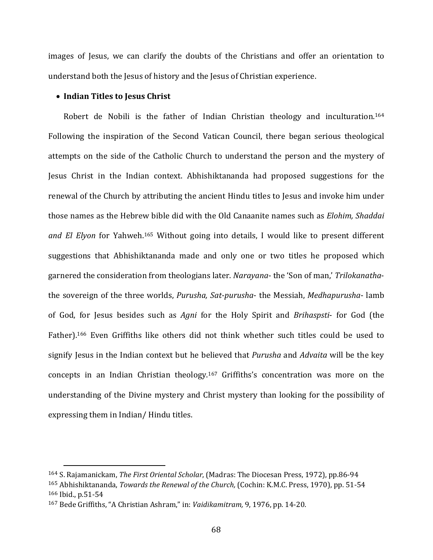images of Jesus, we can clarify the doubts of the Christians and offer an orientation to understand both the Jesus of history and the Jesus of Christian experience.

### **Indian Titles to Jesus Christ**

Robert de Nobili is the father of Indian Christian theology and inculturation.<sup>164</sup> Following the inspiration of the Second Vatican Council, there began serious theological attempts on the side of the Catholic Church to understand the person and the mystery of Jesus Christ in the Indian context. Abhishiktananda had proposed suggestions for the renewal of the Church by attributing the ancient Hindu titles to Jesus and invoke him under those names as the Hebrew bible did with the Old Canaanite names such as *Elohim, Shaddai and El Elyon* for Yahweh.165 Without going into details, I would like to present different suggestions that Abhishiktananda made and only one or two titles he proposed which garnered the consideration from theologians later. *Narayana*‐ the 'Son of man,' *Trilokanatha*‐ the sovereign of the three worlds, *Purusha, Sat‐purusha*‐ the Messiah, *Medhapurusha*‐ lamb of God, for Jesus besides such as *Agni* for the Holy Spirit and *Brihaspsti*‐ for God (the Father).<sup>166</sup> Even Griffiths like others did not think whether such titles could be used to signify Jesus in the Indian context but he believed that *Purusha* and *Advaita* will be the key concepts in an Indian Christian theology.167 Griffiths's concentration was more on the understanding of the Divine mystery and Christ mystery than looking for the possibility of expressing them in Indian/ Hindu titles.

<sup>164</sup> S. Rajamanickam, *The First Oriental Scholar*, (Madras: The Diocesan Press, 1972), pp.86‐94 <sup>165</sup> Abhishiktananda, *Towards the Renewal of the Church,* (Cochin: K.M.C. Press, 1970), pp. 51‐54 <sup>166</sup> Ibid., p.51‐54

<sup>167</sup> Bede Griffiths, "A Christian Ashram," in: *Vaidikamitram,* 9, 1976, pp. 14‐20.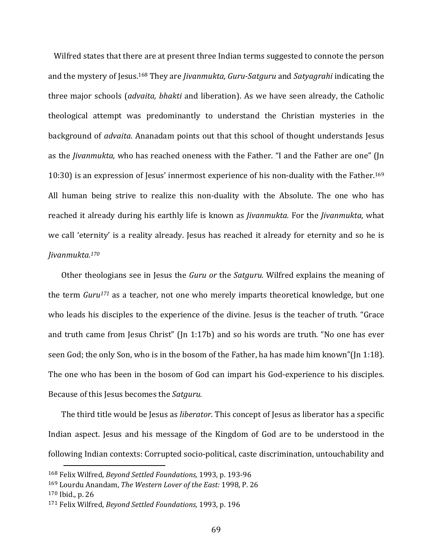Wilfred states that there are at present three Indian terms suggested to connote the person and the mystery of Jesus.168 They are *Jivanmukta, Guru‐Satguru* and *Satyagrahi* indicating the three major schools (*advaita, bhakti* and liberation). As we have seen already, the Catholic theological attempt was predominantly to understand the Christian mysteries in the background of *advaita*. Ananadam points out that this school of thought understands Jesus as the *Jivanmukta,* who has reached oneness with the Father. "I and the Father are one" (Jn 10:30) is an expression of Jesus' innermost experience of his non-duality with the Father.<sup>169</sup> All human being strive to realize this non‐duality with the Absolute. The one who has reached it already during his earthly life is known as *Jivanmukta.* For the *Jivanmukta*, what we call 'eternity' is a reality already. Jesus has reached it already for eternity and so he is *Jivanmukta.170*

 Other theologians see in Jesus the *Guru or* the *Satguru.* Wilfred explains the meaning of the term *Guru171* as a teacher, not one who merely imparts theoretical knowledge, but one who leads his disciples to the experience of the divine. Jesus is the teacher of truth. "Grace and truth came from Jesus Christ" (Jn 1:17b) and so his words are truth. "No one has ever seen God; the only Son, who is in the bosom of the Father, ha has made him known"(Jn 1:18). The one who has been in the bosom of God can impart his God-experience to his disciples. Because of this Jesus becomes the *Satguru.*

 The third title would be Jesus as *liberator*. This concept of Jesus as liberator has a specific Indian aspect. Jesus and his message of the Kingdom of God are to be understood in the following Indian contexts: Corrupted socio‐political, caste discrimination, untouchability and

<sup>168</sup> Felix Wilfred, *Beyond Settled Foundations,* 1993, p. 193‐96

<sup>169</sup> Lourdu Anandam, *The Western Lover of the East:* 1998, P. 26

<sup>170</sup> Ibid., p. 26

<sup>171</sup> Felix Wilfred, *Beyond Settled Foundations,* 1993, p. 196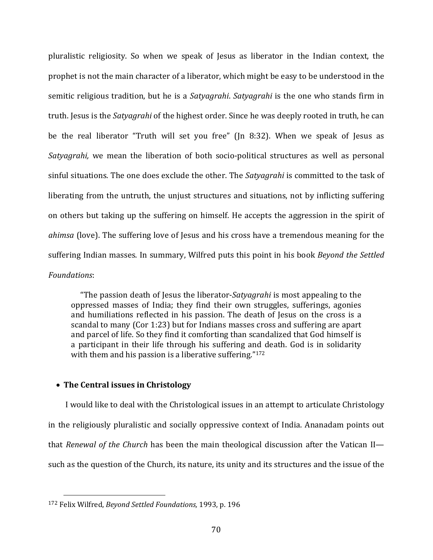pluralistic religiosity. So when we speak of Jesus as liberator in the Indian context, the prophet is not the main character of a liberator, which might be easy to be understood in the semitic religious tradition, but he is a *Satyagrahi*. *Satyagrahi* is the one who stands firm in truth. Jesus is the *Satyagrahi* of the highest order. Since he was deeply rooted in truth, he can be the real liberator "Truth will set you free" (Jn 8:32). When we speak of Jesus as *Satyagrahi*, we mean the liberation of both socio-political structures as well as personal sinful situations. The one does exclude the other. The *Satyagrahi* is committed to the task of liberating from the untruth, the unjust structures and situations, not by inflicting suffering on others but taking up the suffering on himself. He accepts the aggression in the spirit of *ahimsa* (love). The suffering love of Jesus and his cross have a tremendous meaning for the suffering Indian masses. In summary, Wilfred puts this point in his book *Beyond the Settled Foundations*:

 "The passion death of Jesus the liberator‐*Satyagrahi* is most appealing to the oppressed masses of India; they find their own struggles, sufferings, agonies and humiliations reflected in his passion. The death of Jesus on the cross is a scandal to many (Cor 1:23) but for Indians masses cross and suffering are apart and parcel of life. So they find it comforting than scandalized that God himself is a participant in their life through his suffering and death. God is in solidarity with them and his passion is a liberative suffering."<sup>172</sup>

## **The Central issues in Christology**

I would like to deal with the Christological issues in an attempt to articulate Christology in the religiously pluralistic and socially oppressive context of India. Ananadam points out that *Renewal of the Church* has been the main theological discussion after the Vatican II such as the question of the Church, its nature, its unity and its structures and the issue of the

<sup>172</sup> Felix Wilfred, *Beyond Settled Foundations,* 1993, p. 196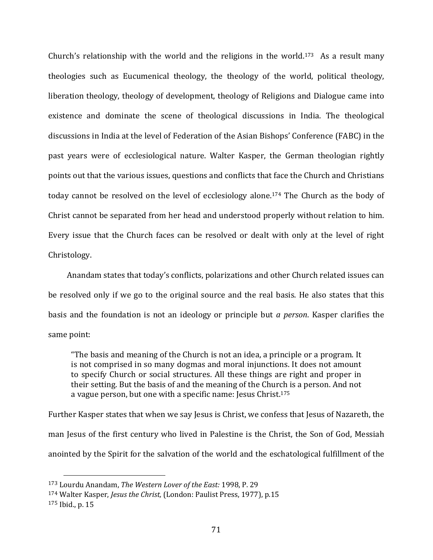Church's relationship with the world and the religions in the world.<sup>173</sup> As a result many theologies such as Eucumenical theology, the theology of the world, political theology, liberation theology, theology of development, theology of Religions and Dialogue came into existence and dominate the scene of theological discussions in India. The theological discussions in India at the level of Federation of the Asian Bishops' Conference (FABC) in the past years were of ecclesiological nature. Walter Kasper, the German theologian rightly points out that the various issues, questions and conflicts that face the Church and Christians today cannot be resolved on the level of ecclesiology alone.174 The Church as the body of Christ cannot be separated from her head and understood properly without relation to him. Every issue that the Church faces can be resolved or dealt with only at the level of right Christology.

 Anandam states that today's conflicts, polarizations and other Church related issues can be resolved only if we go to the original source and the real basis. He also states that this basis and the foundation is not an ideology or principle but *a person*. Kasper clarifies the same point:

"The basis and meaning of the Church is not an idea, a principle or a program. It is not comprised in so many dogmas and moral injunctions. It does not amount to specify Church or social structures. All these things are right and proper in their setting. But the basis of and the meaning of the Church is a person. And not a vague person, but one with a specific name: Jesus Christ.175

Further Kasper states that when we say Jesus is Christ, we confess that Jesus of Nazareth, the man Jesus of the first century who lived in Palestine is the Christ, the Son of God, Messiah anointed by the Spirit for the salvation of the world and the eschatological fulfillment of the

<sup>173</sup> Lourdu Anandam, *The Western Lover of the East:* 1998, P. 29

<sup>174</sup> Walter Kasper, *Jesus the Christ,* (London: Paulist Press, 1977), p.15

<sup>175</sup> Ibid., p. 15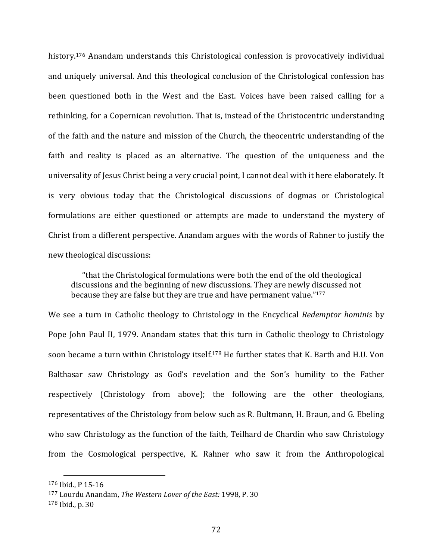history.<sup>176</sup> Anandam understands this Christological confession is provocatively individual and uniquely universal. And this theological conclusion of the Christological confession has been questioned both in the West and the East. Voices have been raised calling for a rethinking, for a Copernican revolution. That is, instead of the Christocentric understanding of the faith and the nature and mission of the Church, the theocentric understanding of the faith and reality is placed as an alternative. The question of the uniqueness and the universality of Jesus Christ being a very crucial point, I cannot deal with it here elaborately. It is very obvious today that the Christological discussions of dogmas or Christological formulations are either questioned or attempts are made to understand the mystery of Christ from a different perspective. Anandam argues with the words of Rahner to justify the new theological discussions:

 "that the Christological formulations were both the end of the old theological discussions and the beginning of new discussions. They are newly discussed not because they are false but they are true and have permanent value."177

We see a turn in Catholic theology to Christology in the Encyclical *Redemptor hominis* by Pope John Paul II, 1979. Anandam states that this turn in Catholic theology to Christology soon became a turn within Christology itself.<sup>178</sup> He further states that K. Barth and H.U. Von Balthasar saw Christology as God's revelation and the Son's humility to the Father respectively (Christology from above); the following are the other theologians, representatives of the Christology from below such as R. Bultmann, H. Braun, and G. Ebeling who saw Christology as the function of the faith, Teilhard de Chardin who saw Christology from the Cosmological perspective, K. Rahner who saw it from the Anthropological

<sup>176</sup> Ibid., P 15‐16

<sup>177</sup> Lourdu Anandam, *The Western Lover of the East:* 1998, P. 30

<sup>178</sup> Ibid., p. 30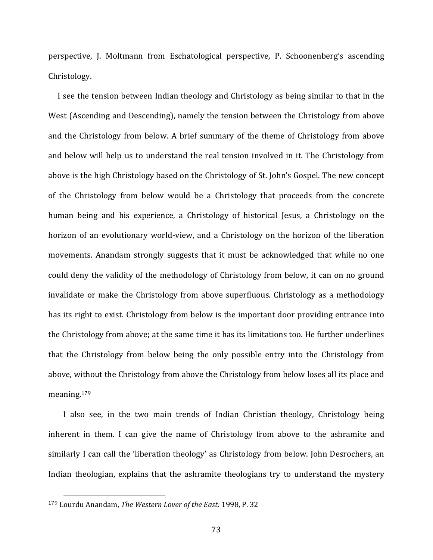perspective, J. Moltmann from Eschatological perspective, P. Schoonenberg's ascending Christology.

 I see the tension between Indian theology and Christology as being similar to that in the West (Ascending and Descending), namely the tension between the Christology from above and the Christology from below. A brief summary of the theme of Christology from above and below will help us to understand the real tension involved in it. The Christology from above is the high Christology based on the Christology of St. John's Gospel. The new concept of the Christology from below would be a Christology that proceeds from the concrete human being and his experience, a Christology of historical Jesus, a Christology on the horizon of an evolutionary world-view, and a Christology on the horizon of the liberation movements. Anandam strongly suggests that it must be acknowledged that while no one could deny the validity of the methodology of Christology from below, it can on no ground invalidate or make the Christology from above superfluous. Christology as a methodology has its right to exist. Christology from below is the important door providing entrance into the Christology from above; at the same time it has its limitations too. He further underlines that the Christology from below being the only possible entry into the Christology from above, without the Christology from above the Christology from below loses all its place and meaning.179

I also see, in the two main trends of Indian Christian theology, Christology being inherent in them. I can give the name of Christology from above to the ashramite and similarly I can call the 'liberation theology' as Christology from below. John Desrochers, an Indian theologian, explains that the ashramite theologians try to understand the mystery

<sup>179</sup> Lourdu Anandam, *The Western Lover of the East:* 1998, P. 32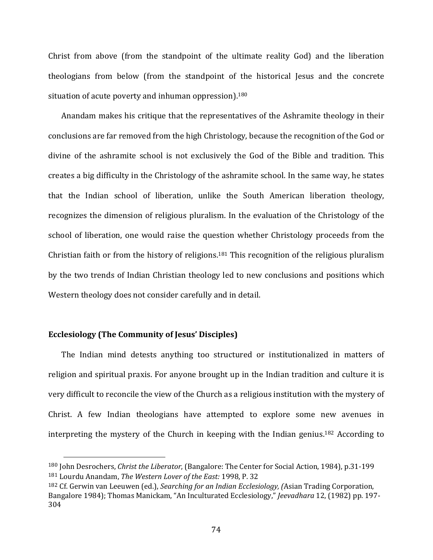Christ from above (from the standpoint of the ultimate reality God) and the liberation theologians from below (from the standpoint of the historical Jesus and the concrete situation of acute poverty and inhuman oppression).<sup>180</sup>

 Anandam makes his critique that the representatives of the Ashramite theology in their conclusions are far removed from the high Christology, because the recognition of the God or divine of the ashramite school is not exclusively the God of the Bible and tradition. This creates a big difficulty in the Christology of the ashramite school. In the same way, he states that the Indian school of liberation, unlike the South American liberation theology, recognizes the dimension of religious pluralism. In the evaluation of the Christology of the school of liberation, one would raise the question whether Christology proceeds from the Christian faith or from the history of religions.<sup>181</sup> This recognition of the religious pluralism by the two trends of Indian Christian theology led to new conclusions and positions which Western theology does not consider carefully and in detail.

# **Ecclesiology (The Community of Jesus' Disciples)**

The Indian mind detests anything too structured or institutionalized in matters of religion and spiritual praxis. For anyone brought up in the Indian tradition and culture it is very difficult to reconcile the view of the Church as a religious institution with the mystery of Christ. A few Indian theologians have attempted to explore some new avenues in interpreting the mystery of the Church in keeping with the Indian genius.182 According to

<sup>180</sup> John Desrochers, *Christ the Liberator*, (Bangalore: The Center for Social Action, 1984), p.31‐199 <sup>181</sup> Lourdu Anandam, *The Western Lover of the East:* 1998, P. 32

<sup>182</sup> Cf. Gerwin van Leeuwen (ed.), *Searching for an Indian Ecclesiology, (*Asian Trading Corporation, Bangalore 1984); Thomas Manickam, "An Inculturated Ecclesiology," *Jeevadhara* 12, (1982) pp. 197‐ 304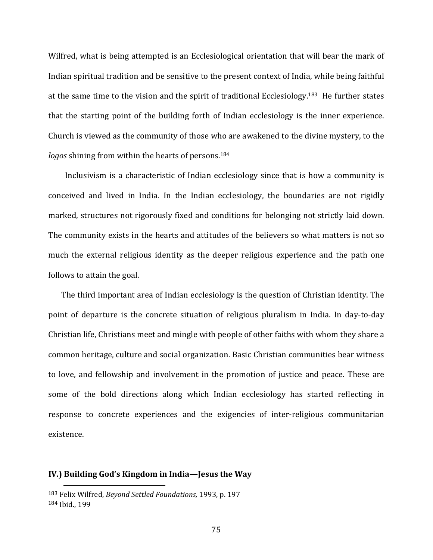Wilfred, what is being attempted is an Ecclesiological orientation that will bear the mark of Indian spiritual tradition and be sensitive to the present context of India, while being faithful at the same time to the vision and the spirit of traditional Ecclesiology.183 He further states that the starting point of the building forth of Indian ecclesiology is the inner experience. Church is viewed as the community of those who are awakened to the divine mystery, to the *logos* shining from within the hearts of persons.<sup>184</sup>

 Inclusivism is a characteristic of Indian ecclesiology since that is how a community is conceived and lived in India. In the Indian ecclesiology, the boundaries are not rigidly marked, structures not rigorously fixed and conditions for belonging not strictly laid down. The community exists in the hearts and attitudes of the believers so what matters is not so much the external religious identity as the deeper religious experience and the path one follows to attain the goal.

 The third important area of Indian ecclesiology is the question of Christian identity. The point of departure is the concrete situation of religious pluralism in India. In day-to-day Christian life, Christians meet and mingle with people of other faiths with whom they share a common heritage, culture and social organization. Basic Christian communities bear witness to love, and fellowship and involvement in the promotion of justice and peace. These are some of the bold directions along which Indian ecclesiology has started reflecting in response to concrete experiences and the exigencies of inter-religious communitarian existence.

#### **IV.) Building God's Kingdom in India—Jesus the Way**

<sup>183</sup> Felix Wilfred, *Beyond Settled Foundations,* 1993, p. 197 <sup>184</sup> Ibid., 199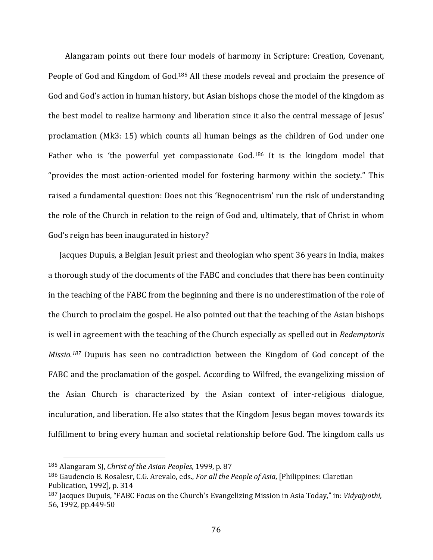Alangaram points out there four models of harmony in Scripture: Creation, Covenant, People of God and Kingdom of God.<sup>185</sup> All these models reveal and proclaim the presence of God and God's action in human history, but Asian bishops chose the model of the kingdom as the best model to realize harmony and liberation since it also the central message of Jesus' proclamation (Mk3: 15) which counts all human beings as the children of God under one Father who is 'the powerful yet compassionate God.<sup>186</sup> It is the kingdom model that "provides the most action‐oriented model for fostering harmony within the society." This raised a fundamental question: Does not this 'Regnocentrism' run the risk of understanding the role of the Church in relation to the reign of God and, ultimately, that of Christ in whom God's reign has been inaugurated in history?

 Jacques Dupuis, a Belgian Jesuit priest and theologian who spent 36 years in India, makes a thorough study of the documents of the FABC and concludes that there has been continuity in the teaching of the FABC from the beginning and there is no underestimation of the role of the Church to proclaim the gospel. He also pointed out that the teaching of the Asian bishops is well in agreement with the teaching of the Church especially as spelled out in *Redemptoris Missio.<sup>187</sup>* Dupuis has seen no contradiction between the Kingdom of God concept of the FABC and the proclamation of the gospel. According to Wilfred, the evangelizing mission of the Asian Church is characterized by the Asian context of inter‐religious dialogue, inculuration, and liberation. He also states that the Kingdom Jesus began moves towards its fulfillment to bring every human and societal relationship before God. The kingdom calls us

<sup>185</sup> Alangaram SJ, *Christ of the Asian Peoples,* 1999, p. 87

<sup>186</sup> Gaudencio B. Rosalesr, C.G. Arevalo, eds., *For all the People of Asia*, [Philippines: Claretian Publication, 1992], p. 314

<sup>187</sup> Jacques Dupuis, "FABC Focus on the Church's Evangelizing Mission in Asia Today," in: *Vidyajyothi,* 56, 1992, pp.449‐50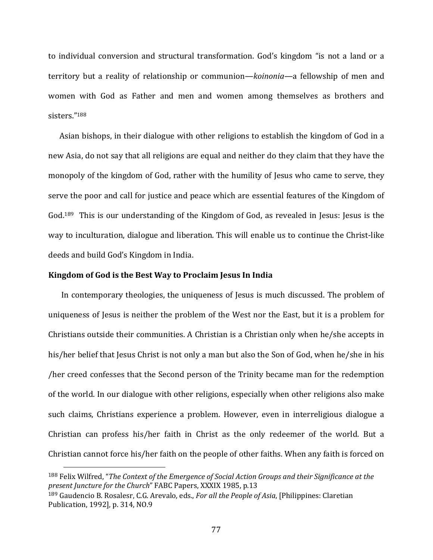to individual conversion and structural transformation. God's kingdom "is not a land or a territory but a reality of relationship or communion—*koinonia—*a fellowship of men and women with God as Father and men and women among themselves as brothers and sisters."188

Asian bishops, in their dialogue with other religions to establish the kingdom of God in a new Asia, do not say that all religions are equal and neither do they claim that they have the monopoly of the kingdom of God, rather with the humility of Jesus who came to serve, they serve the poor and call for justice and peace which are essential features of the Kingdom of God.<sup>189</sup> This is our understanding of the Kingdom of God, as revealed in Jesus: Jesus is the way to inculturation, dialogue and liberation. This will enable us to continue the Christ‐like deeds and build God's Kingdom in India.

#### **Kingdom of God is the Best Way to Proclaim Jesus In India**

In contemporary theologies, the uniqueness of Jesus is much discussed. The problem of uniqueness of Jesus is neither the problem of the West nor the East, but it is a problem for Christians outside their communities. A Christian is a Christian only when he/she accepts in his/her belief that Jesus Christ is not only a man but also the Son of God, when he/she in his /her creed confesses that the Second person of the Trinity became man for the redemption of the world. In our dialogue with other religions, especially when other religions also make such claims, Christians experience a problem. However, even in interreligious dialogue a Christian can profess his/her faith in Christ as the only redeemer of the world. But a Christian cannot force his/her faith on the people of other faiths. When any faith is forced on

<sup>188</sup> Felix Wilfred, "*The Context of the Emergence of Social Action Groups and their Significance at the present Juncture for the Church*" FABC Papers, XXXIX 1985, p.13

<sup>189</sup> Gaudencio B. Rosalesr, C.G. Arevalo, eds., *For all the People of Asia*, [Philippines: Claretian Publication, 1992], p. 314, NO.9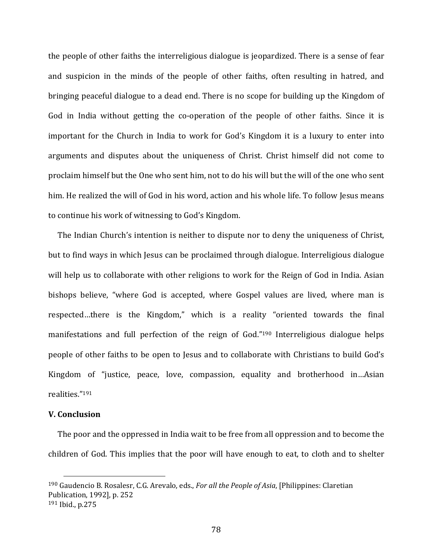the people of other faiths the interreligious dialogue is jeopardized. There is a sense of fear and suspicion in the minds of the people of other faiths, often resulting in hatred, and bringing peaceful dialogue to a dead end. There is no scope for building up the Kingdom of God in India without getting the co-operation of the people of other faiths. Since it is important for the Church in India to work for God's Kingdom it is a luxury to enter into arguments and disputes about the uniqueness of Christ. Christ himself did not come to proclaim himself but the One who sent him, not to do his will but the will of the one who sent him. He realized the will of God in his word, action and his whole life. To follow Jesus means to continue his work of witnessing to God's Kingdom.

 The Indian Church's intention is neither to dispute nor to deny the uniqueness of Christ, but to find ways in which Jesus can be proclaimed through dialogue. Interreligious dialogue will help us to collaborate with other religions to work for the Reign of God in India. Asian bishops believe, "where God is accepted, where Gospel values are lived, where man is respected…there is the Kingdom," which is a reality "oriented towards the final manifestations and full perfection of the reign of God."190 Interreligious dialogue helps people of other faiths to be open to Jesus and to collaborate with Christians to build God's Kingdom of "justice, peace, love, compassion, equality and brotherhood in...Asian realities."191

#### **V. Conclusion**

 The poor and the oppressed in India wait to be free from all oppression and to become the children of God. This implies that the poor will have enough to eat, to cloth and to shelter

<sup>190</sup> Gaudencio B. Rosalesr, C.G. Arevalo, eds., *For all the People of Asia*, [Philippines: Claretian Publication, 1992], p. 252 <sup>191</sup> Ibid., p.275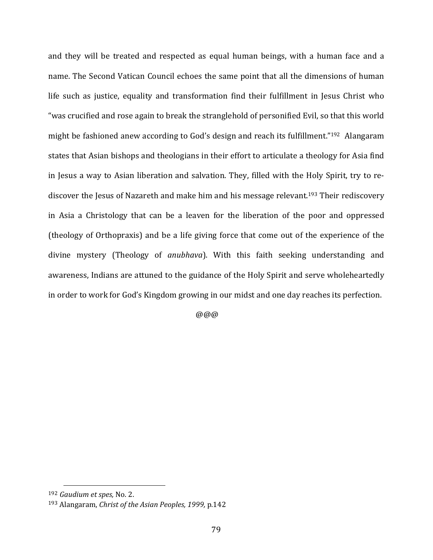and they will be treated and respected as equal human beings, with a human face and a name. The Second Vatican Council echoes the same point that all the dimensions of human life such as justice, equality and transformation find their fulfillment in Jesus Christ who "was crucified and rose again to break the stranglehold of personified Evil, so that this world might be fashioned anew according to God's design and reach its fulfillment."192 Alangaram states that Asian bishops and theologians in their effort to articulate a theology for Asia find in Jesus a way to Asian liberation and salvation. They, filled with the Holy Spirit, try to rediscover the Jesus of Nazareth and make him and his message relevant.<sup>193</sup> Their rediscovery in Asia a Christology that can be a leaven for the liberation of the poor and oppressed (theology of Orthopraxis) and be a life giving force that come out of the experience of the divine mystery (Theology of *anubhava*). With this faith seeking understanding and awareness, Indians are attuned to the guidance of the Holy Spirit and serve wholeheartedly in order to work for God's Kingdom growing in our midst and one day reaches its perfection.

@@@

<sup>192</sup> *Gaudium et spes,* No. 2.

<sup>193</sup> Alangaram, *Christ of the Asian Peoples, 1999,* p.142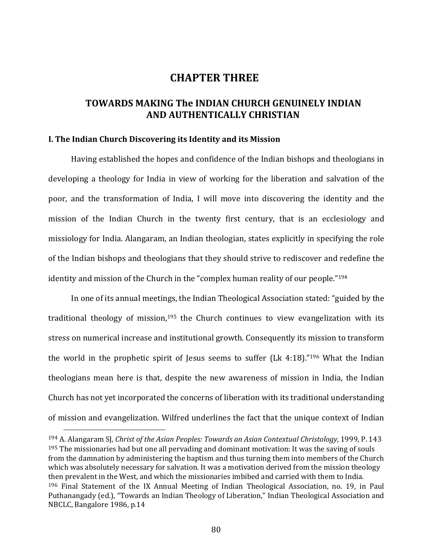# **CHAPTER THREE**

# **TOWARDS MAKING The INDIAN CHURCH GENUINELY INDIAN AND AUTHENTICALLY CHRISTIAN**

#### **I. The Indian Church Discovering its Identity and its Mission**

Having established the hopes and confidence of the Indian bishops and theologians in developing a theology for India in view of working for the liberation and salvation of the poor, and the transformation of India, I will move into discovering the identity and the mission of the Indian Church in the twenty first century, that is an ecclesiology and missiology for India. Alangaram, an Indian theologian, states explicitly in specifying the role of the Indian bishops and theologians that they should strive to rediscover and redefine the identity and mission of the Church in the "complex human reality of our people."194

In one of its annual meetings, the Indian Theological Association stated: "guided by the traditional theology of mission,<sup>195</sup> the Church continues to view evangelization with its stress on numerical increase and institutional growth. Consequently its mission to transform the world in the prophetic spirit of Jesus seems to suffer (Lk 4:18)."<sup>196</sup> What the Indian theologians mean here is that, despite the new awareness of mission in India, the Indian Church has not yet incorporated the concerns of liberation with its traditional understanding of mission and evangelization. Wilfred underlines the fact that the unique context of Indian

<sup>194</sup> A. Alangaram SJ, *Christ of the Asian Peoples: Towards an Asian Contextual Christology*, 1999, P. 143 <sup>195</sup> The missionaries had but one all pervading and dominant motivation: It was the saving of souls from the damnation by administering the baptism and thus turning them into members of the Church which was absolutely necessary for salvation. It was a motivation derived from the mission theology then prevalent in the West, and which the missionaries imbibed and carried with them to India. <sup>196</sup> Final Statement of the IX Annual Meeting of Indian Theological Association, no. 19, in Paul Puthanangady (ed.), "Towards an Indian Theology of Liberation," Indian Theological Association and NBCLC, Bangalore 1986, p.14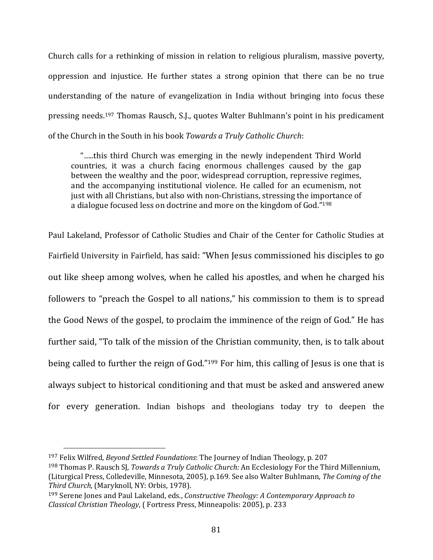Church calls for a rethinking of mission in relation to religious pluralism, massive poverty, oppression and injustice. He further states a strong opinion that there can be no true understanding of the nature of evangelization in India without bringing into focus these pressing needs.197 Thomas Rausch, S.J., quotes Walter Buhlmann's point in his predicament of the Church in the South in his book *Towards a Truly Catholic Church*:

 "…..this third Church was emerging in the newly independent Third World countries, it was a church facing enormous challenges caused by the gap between the wealthy and the poor, widespread corruption, repressive regimes, and the accompanying institutional violence. He called for an ecumenism, not just with all Christians, but also with non‐Christians, stressing the importance of a dialogue focused less on doctrine and more on the kingdom of God."198

Paul Lakeland, Professor of Catholic Studies and Chair of the Center for Catholic Studies at Fairfield University in Fairfield, has said: "When Jesus commissioned his disciples to go out like sheep among wolves, when he called his apostles, and when he charged his followers to "preach the Gospel to all nations," his commission to them is to spread the Good News of the gospel, to proclaim the imminence of the reign of God." He has further said, "To talk of the mission of the Christian community, then, is to talk about being called to further the reign of God."199 For him, this calling of Jesus is one that is always subject to historical conditioning and that must be asked and answered anew for every generation. Indian bishops and theologians today try to deepen the

<sup>197</sup> Felix Wilfred, *Beyond Settled Foundations*: The Journey of Indian Theology, p. 207

<sup>198</sup> Thomas P. Rausch SJ, *Towards a Truly Catholic Church:* An Ecclesiology For the Third Millennium, (Liturgical Press, Colledeville, Minnesota, 2005), p.169. See also Walter Buhlmann, *The Coming of the Third Church,* (Maryknoll, NY: Orbis, 1978).

<sup>199</sup> Serene Jones and Paul Lakeland, eds., *Constructive Theology: A Contemporary Approach to Classical Christian Theology*, ( Fortress Press, Minneapolis: 2005), p. 233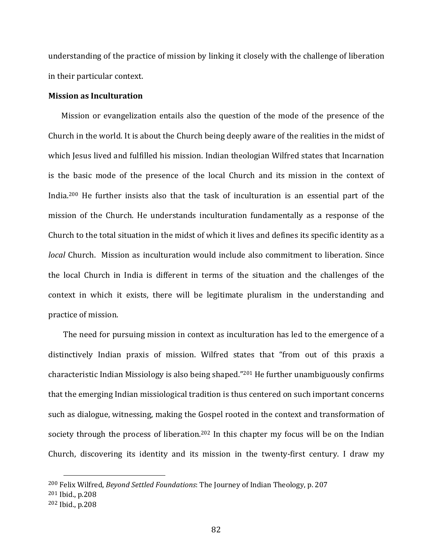understanding of the practice of mission by linking it closely with the challenge of liberation in their particular context.

#### **Mission as Inculturation**

 Mission or evangelization entails also the question of the mode of the presence of the Church in the world. It is about the Church being deeply aware of the realities in the midst of which Jesus lived and fulfilled his mission. Indian theologian Wilfred states that Incarnation is the basic mode of the presence of the local Church and its mission in the context of India.<sup>200</sup> He further insists also that the task of inculturation is an essential part of the mission of the Church. He understands inculturation fundamentally as a response of the Church to the total situation in the midst of which it lives and defines its specific identity as a *local* Church. Mission as inculturation would include also commitment to liberation. Since the local Church in India is different in terms of the situation and the challenges of the context in which it exists, there will be legitimate pluralism in the understanding and practice of mission.

 The need for pursuing mission in context as inculturation has led to the emergence of a distinctively Indian praxis of mission. Wilfred states that "from out of this praxis a characteristic Indian Missiology is also being shaped."201 He further unambiguously confirms that the emerging Indian missiological tradition is thus centered on such important concerns such as dialogue, witnessing, making the Gospel rooted in the context and transformation of society through the process of liberation.<sup>202</sup> In this chapter my focus will be on the Indian Church, discovering its identity and its mission in the twenty‐first century. I draw my

<sup>200</sup> Felix Wilfred, *Beyond Settled Foundations*: The Journey of Indian Theology, p. 207

<sup>201</sup> Ibid., p.208

<sup>202</sup> Ibid., p.208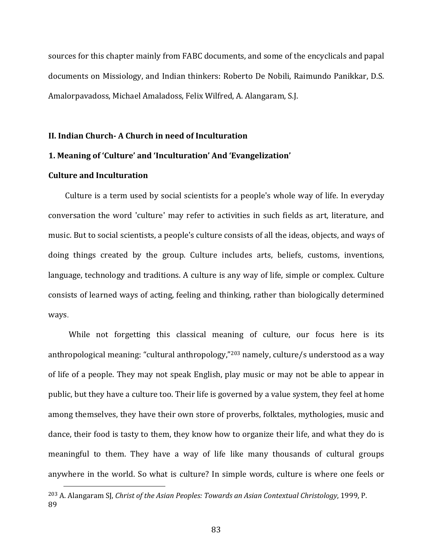sources for this chapter mainly from FABC documents, and some of the encyclicals and papal documents on Missiology, and Indian thinkers: Roberto De Nobili, Raimundo Panikkar, D.S. Amalorpavadoss, Michael Amaladoss, Felix Wilfred, A. Alangaram, S.J.

#### **II. Indian Church‐ A Church in need of Inculturation**

# **1. Meaning of 'Culture' and 'Inculturation' And 'Evangelization'**

## **Culture and Inculturation**

 Culture is a term used by social scientists for a people's whole way of life. In everyday conversation the word 'culture' may refer to activities in such fields as art, literature, and music. But to social scientists, a people's culture consists of all the ideas, objects, and ways of doing things created by the group. Culture includes arts, beliefs, customs, inventions, language, technology and traditions. A culture is any way of life, simple or complex. Culture consists of learned ways of acting, feeling and thinking, rather than biologically determined ways.

While not forgetting this classical meaning of culture, our focus here is its anthropological meaning: "cultural anthropology,"203 namely, culture/s understood as a way of life of a people. They may not speak English, play music or may not be able to appear in public, but they have a culture too. Their life is governed by a value system, they feel at home among themselves, they have their own store of proverbs, folktales, mythologies, music and dance, their food is tasty to them, they know how to organize their life, and what they do is meaningful to them. They have a way of life like many thousands of cultural groups anywhere in the world. So what is culture? In simple words, culture is where one feels or

<sup>203</sup> A. Alangaram SJ, *Christ of the Asian Peoples: Towards an Asian Contextual Christology*, 1999, P. 89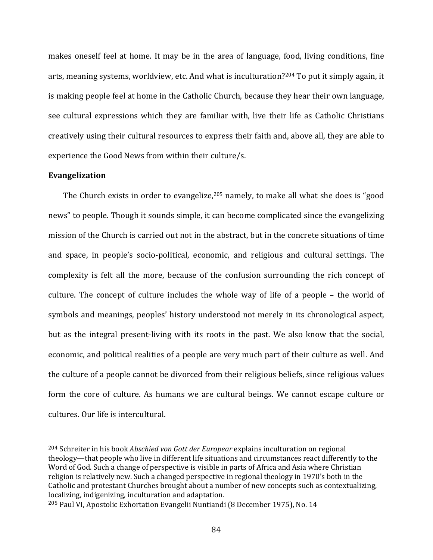makes oneself feel at home. It may be in the area of language, food, living conditions, fine arts, meaning systems, worldview, etc. And what is inculturation?204 To put it simply again, it is making people feel at home in the Catholic Church, because they hear their own language, see cultural expressions which they are familiar with, live their life as Catholic Christians creatively using their cultural resources to express their faith and, above all, they are able to experience the Good News from within their culture/s.

#### **Evangelization**

The Church exists in order to evangelize,<sup>205</sup> namely, to make all what she does is "good news" to people. Though it sounds simple, it can become complicated since the evangelizing mission of the Church is carried out not in the abstract, but in the concrete situations of time and space, in people's socio‐political, economic, and religious and cultural settings. The complexity is felt all the more, because of the confusion surrounding the rich concept of culture. The concept of culture includes the whole way of life of a people – the world of symbols and meanings, peoples' history understood not merely in its chronological aspect, but as the integral present‐living with its roots in the past. We also know that the social, economic, and political realities of a people are very much part of their culture as well. And the culture of a people cannot be divorced from their religious beliefs, since religious values form the core of culture. As humans we are cultural beings. We cannot escape culture or cultures. Our life is intercultural.

<sup>204</sup> Schreiter in his book *Abschied von Gott der Europear* explains inculturation on regional theology—that people who live in different life situations and circumstances react differently to the Word of God. Such a change of perspective is visible in parts of Africa and Asia where Christian religion is relatively new. Such a changed perspective in regional theology in 1970's both in the Catholic and protestant Churches brought about a number of new concepts such as contextualizing, localizing, indigenizing, inculturation and adaptation.

<sup>205</sup> Paul VI, Apostolic Exhortation Evangelii Nuntiandi (8 December 1975), No. 14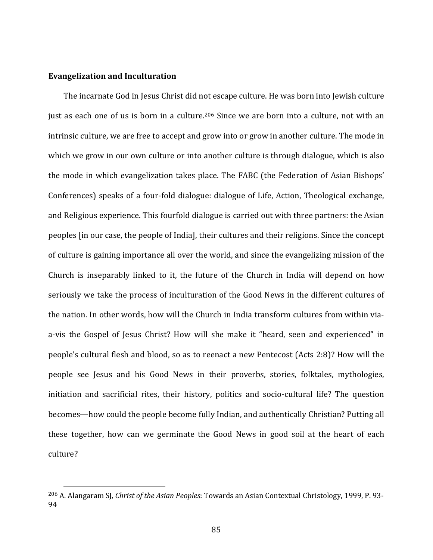#### **Evangelization and Inculturation**

The incarnate God in Jesus Christ did not escape culture. He was born into Jewish culture just as each one of us is born in a culture.<sup>206</sup> Since we are born into a culture, not with an intrinsic culture, we are free to accept and grow into or grow in another culture. The mode in which we grow in our own culture or into another culture is through dialogue, which is also the mode in which evangelization takes place. The FABC (the Federation of Asian Bishops' Conferences) speaks of a four‐fold dialogue: dialogue of Life, Action, Theological exchange, and Religious experience. This fourfold dialogue is carried out with three partners: the Asian peoples [in our case, the people of India], their cultures and their religions. Since the concept of culture is gaining importance all over the world, and since the evangelizing mission of the Church is inseparably linked to it, the future of the Church in India will depend on how seriously we take the process of inculturation of the Good News in the different cultures of the nation. In other words, how will the Church in India transform cultures from within viaa-vis the Gospel of Jesus Christ? How will she make it "heard, seen and experienced" in people's cultural flesh and blood, so as to reenact a new Pentecost (Acts 2:8)? How will the people see Jesus and his Good News in their proverbs, stories, folktales, mythologies, initiation and sacrificial rites, their history, politics and socio-cultural life? The question becomes—how could the people become fully Indian, and authentically Christian? Putting all these together, how can we germinate the Good News in good soil at the heart of each culture?

<sup>206</sup> A. Alangaram SJ, *Christ of the Asian Peoples*: Towards an Asian Contextual Christology, 1999, P. 93‐ 94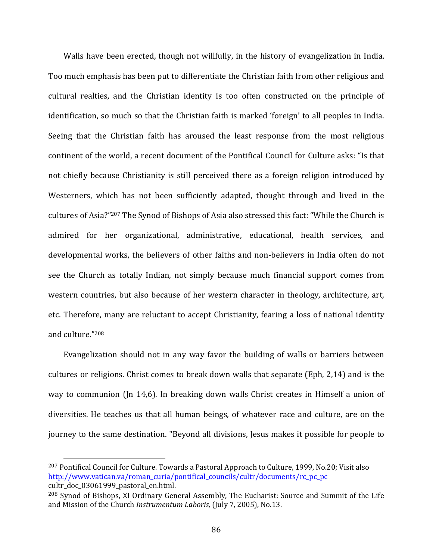Walls have been erected, though not willfully, in the history of evangelization in India. Too much emphasis has been put to differentiate the Christian faith from other religious and cultural realties, and the Christian identity is too often constructed on the principle of identification, so much so that the Christian faith is marked 'foreign' to all peoples in India. Seeing that the Christian faith has aroused the least response from the most religious continent of the world, a recent document of the Pontifical Council for Culture asks: "Is that not chiefly because Christianity is still perceived there as a foreign religion introduced by Westerners, which has not been sufficiently adapted, thought through and lived in the cultures of Asia?"207 The Synod of Bishops of Asia also stressed this fact: "While the Church is admired for her organizational, administrative, educational, health services, and developmental works, the believers of other faiths and non-believers in India often do not see the Church as totally Indian, not simply because much financial support comes from western countries, but also because of her western character in theology, architecture, art, etc. Therefore, many are reluctant to accept Christianity, fearing a loss of national identity and culture."208

Evangelization should not in any way favor the building of walls or barriers between cultures or religions. Christ comes to break down walls that separate (Eph, 2,14) and is the way to communion (Jn 14,6). In breaking down walls Christ creates in Himself a union of diversities. He teaches us that all human beings, of whatever race and culture, are on the journey to the same destination. "Beyond all divisions, Jesus makes it possible for people to

<sup>207</sup> Pontifical Council for Culture. Towards a Pastoral Approach to Culture, 1999, No.20; Visit also http://www.vatican.va/roman\_curia/pontifical\_councils/cultr/documents/rc\_pc\_pc cultr\_doc\_03061999\_pastoral\_en.html.

<sup>208</sup> Synod of Bishops, XI Ordinary General Assembly, The Eucharist: Source and Summit of the Life and Mission of the Church *Instrumentum Laboris,* (July 7, 2005), No.13.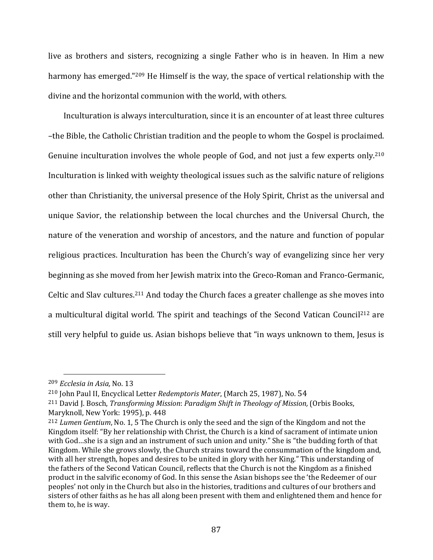live as brothers and sisters, recognizing a single Father who is in heaven. In Him a new harmony has emerged."<sup>209</sup> He Himself is the way, the space of vertical relationship with the divine and the horizontal communion with the world, with others.

Inculturation is always interculturation, since it is an encounter of at least three cultures –the Bible, the Catholic Christian tradition and the people to whom the Gospel is proclaimed. Genuine inculturation involves the whole people of God, and not just a few experts only.<sup>210</sup> Inculturation is linked with weighty theological issues such as the salvific nature of religions other than Christianity, the universal presence of the Holy Spirit, Christ as the universal and unique Savior, the relationship between the local churches and the Universal Church, the nature of the veneration and worship of ancestors, and the nature and function of popular religious practices. Inculturation has been the Church's way of evangelizing since her very beginning as she moved from her Jewish matrix into the Greco‐Roman and Franco‐Germanic, Celtic and Slav cultures.211 And today the Church faces a greater challenge as she moves into a multicultural digital world. The spirit and teachings of the Second Vatican Council<sup>212</sup> are still very helpful to guide us. Asian bishops believe that "in ways unknown to them, Jesus is

<sup>209</sup> *Ecclesia in Asia,* No. 13

<sup>210</sup> John Paul II, Encyclical Letter *Redemptoris Mater*, (March 25, 1987), No. 54

<sup>211</sup> David J. Bosch, *Transforming Mission*: *Paradigm Shift in Theology of Mission,* (Orbis Books, Maryknoll, New York: 1995), p. 448

<sup>212</sup> *Lumen Gentium*, No. 1, 5 The Church is only the seed and the sign of the Kingdom and not the Kingdom itself: "By her relationship with Christ, the Church is a kind of sacrament of intimate union with God…she is a sign and an instrument of such union and unity." She is "the budding forth of that Kingdom. While she grows slowly, the Church strains toward the consummation of the kingdom and, with all her strength, hopes and desires to be united in glory with her King." This understanding of the fathers of the Second Vatican Council, reflects that the Church is not the Kingdom as a finished product in the salvific economy of God. In this sense the Asian bishops see the 'the Redeemer of our peoples' not only in the Church but also in the histories, traditions and cultures of our brothers and sisters of other faiths as he has all along been present with them and enlightened them and hence for them to, he is way.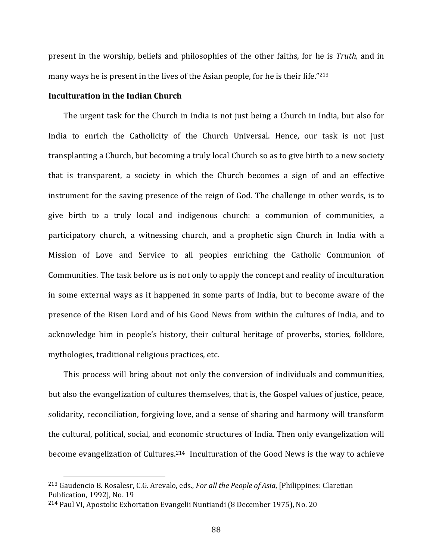present in the worship, beliefs and philosophies of the other faiths, for he is *Truth,* and in many ways he is present in the lives of the Asian people, for he is their life."213

#### **Inculturation in the Indian Church**

The urgent task for the Church in India is not just being a Church in India, but also for India to enrich the Catholicity of the Church Universal. Hence, our task is not just transplanting a Church, but becoming a truly local Church so as to give birth to a new society that is transparent, a society in which the Church becomes a sign of and an effective instrument for the saving presence of the reign of God. The challenge in other words, is to give birth to a truly local and indigenous church: a communion of communities, a participatory church, a witnessing church, and a prophetic sign Church in India with a Mission of Love and Service to all peoples enriching the Catholic Communion of Communities. The task before us is not only to apply the concept and reality of inculturation in some external ways as it happened in some parts of India, but to become aware of the presence of the Risen Lord and of his Good News from within the cultures of India, and to acknowledge him in people's history, their cultural heritage of proverbs, stories, folklore, mythologies, traditional religious practices, etc.

This process will bring about not only the conversion of individuals and communities, but also the evangelization of cultures themselves, that is, the Gospel values of justice, peace, solidarity, reconciliation, forgiving love, and a sense of sharing and harmony will transform the cultural, political, social, and economic structures of India. Then only evangelization will become evangelization of Cultures.214 Inculturation of the Good News is the way to achieve

<sup>213</sup> Gaudencio B. Rosalesr, C.G. Arevalo, eds., *For all the People of Asia*, [Philippines: Claretian Publication, 1992], No. 19

<sup>214</sup> Paul VI, Apostolic Exhortation Evangelii Nuntiandi (8 December 1975), No. 20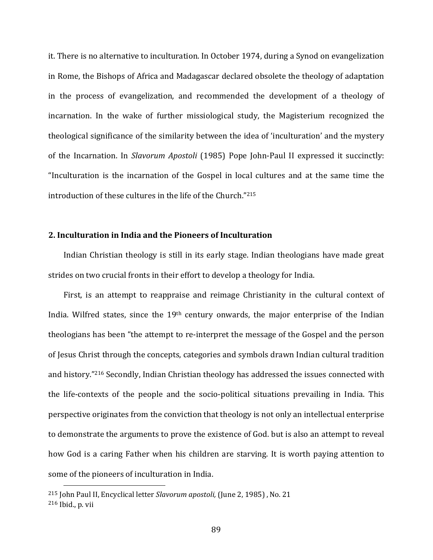it. There is no alternative to inculturation. In October 1974, during a Synod on evangelization in Rome, the Bishops of Africa and Madagascar declared obsolete the theology of adaptation in the process of evangelization, and recommended the development of a theology of incarnation. In the wake of further missiological study, the Magisterium recognized the theological significance of the similarity between the idea of 'inculturation' and the mystery of the Incarnation. In *Slavorum Apostoli* (1985) Pope John‐Paul II expressed it succinctly: "Inculturation is the incarnation of the Gospel in local cultures and at the same time the introduction of these cultures in the life of the Church."215

#### **2. Inculturation in India and the Pioneers of Inculturation**

Indian Christian theology is still in its early stage. Indian theologians have made great strides on two crucial fronts in their effort to develop a theology for India.

First, is an attempt to reappraise and reimage Christianity in the cultural context of India. Wilfred states, since the 19th century onwards, the major enterprise of the Indian theologians has been "the attempt to re‐interpret the message of the Gospel and the person of Jesus Christ through the concepts, categories and symbols drawn Indian cultural tradition and history."216 Secondly, Indian Christian theology has addressed the issues connected with the life‐contexts of the people and the socio‐political situations prevailing in India. This perspective originates from the conviction that theology is not only an intellectual enterprise to demonstrate the arguments to prove the existence of God. but is also an attempt to reveal how God is a caring Father when his children are starving. It is worth paying attention to some of the pioneers of inculturation in India.

<sup>215</sup> John Paul II, Encyclical letter *Slavorum apostoli,* (June 2, 1985) ,No. 21 <sup>216</sup> Ibid., p. vii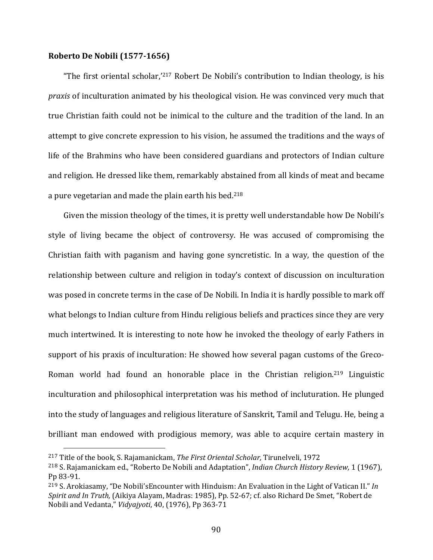## **Roberto De Nobili (1577‐1656)**

"The first oriental scholar,'217 Robert De Nobili's contribution to Indian theology, is his *praxis* of inculturation animated by his theological vision. He was convinced very much that true Christian faith could not be inimical to the culture and the tradition of the land. In an attempt to give concrete expression to his vision, he assumed the traditions and the ways of life of the Brahmins who have been considered guardians and protectors of Indian culture and religion. He dressed like them, remarkably abstained from all kinds of meat and became a pure vegetarian and made the plain earth his bed.218

Given the mission theology of the times, it is pretty well understandable how De Nobili's style of living became the object of controversy. He was accused of compromising the Christian faith with paganism and having gone syncretistic. In a way, the question of the relationship between culture and religion in today's context of discussion on inculturation was posed in concrete terms in the case of De Nobili. In India it is hardly possible to mark off what belongs to Indian culture from Hindu religious beliefs and practices since they are very much intertwined. It is interesting to note how he invoked the theology of early Fathers in support of his praxis of inculturation: He showed how several pagan customs of the Greco-Roman world had found an honorable place in the Christian religion.<sup>219</sup> Linguistic inculturation and philosophical interpretation was his method of incluturation. He plunged into the study of languages and religious literature of Sanskrit, Tamil and Telugu. He, being a brilliant man endowed with prodigious memory, was able to acquire certain mastery in

<sup>217</sup> Title of the book, S. Rajamanickam, *The First Oriental Scholar,* Tirunelveli, 1972

<sup>218</sup> S. Rajamanickam ed., "Roberto De Nobili and Adaptation", *Indian Church History Review,* 1 (1967), Pp 83‐91.

<sup>219</sup> S. Arokiasamy, "De Nobili'sEncounter with Hinduism: An Evaluation in the Light of Vatican II." *In Spirit and In Truth,* (Aikiya Alayam, Madras: 1985), Pp. 52‐67; cf. also Richard De Smet, "Robert de Nobili and Vedanta," *Vidyajyoti*, 40, (1976), Pp 363‐71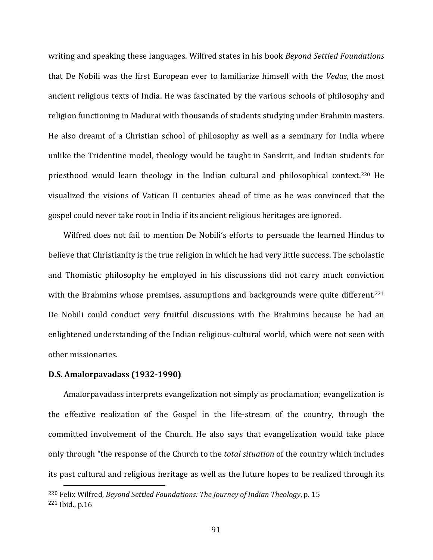writing and speaking these languages. Wilfred states in his book *Beyond Settled Foundations* that De Nobili was the first European ever to familiarize himself with the *Vedas*, the most ancient religious texts of India. He was fascinated by the various schools of philosophy and religion functioning in Madurai with thousands of students studying under Brahmin masters. He also dreamt of a Christian school of philosophy as well as a seminary for India where unlike the Tridentine model, theology would be taught in Sanskrit, and Indian students for priesthood would learn theology in the Indian cultural and philosophical context.<sup>220</sup> He visualized the visions of Vatican II centuries ahead of time as he was convinced that the gospel could never take root in India if its ancient religious heritages are ignored.

Wilfred does not fail to mention De Nobili's efforts to persuade the learned Hindus to believe that Christianity is the true religion in which he had very little success. The scholastic and Thomistic philosophy he employed in his discussions did not carry much conviction with the Brahmins whose premises, assumptions and backgrounds were quite different.<sup>221</sup> De Nobili could conduct very fruitful discussions with the Brahmins because he had an enlightened understanding of the Indian religious‐cultural world, which were not seen with other missionaries.

# **D.S. Amalorpavadass (1932‐1990)**

Amalorpavadass interprets evangelization not simply as proclamation; evangelization is the effective realization of the Gospel in the life‐stream of the country, through the committed involvement of the Church. He also says that evangelization would take place only through "the response of the Church to the *total situation* of the country which includes its past cultural and religious heritage as well as the future hopes to be realized through its

<sup>220</sup> Felix Wilfred, *Beyond Settled Foundations: The Journey of Indian Theology*, p. 15 <sup>221</sup> Ibid., p.16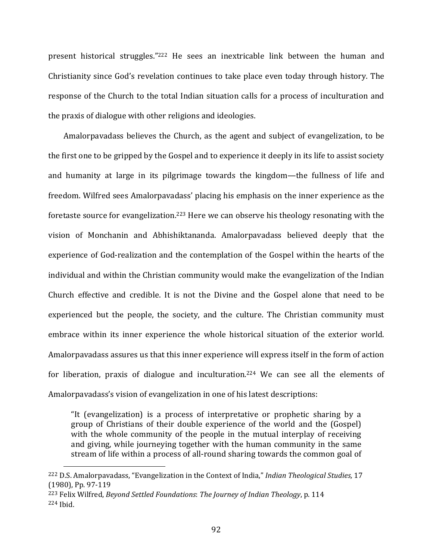present historical struggles."<sup>222</sup> He sees an inextricable link between the human and Christianity since God's revelation continues to take place even today through history. The response of the Church to the total Indian situation calls for a process of inculturation and the praxis of dialogue with other religions and ideologies.

 Amalorpavadass believes the Church, as the agent and subject of evangelization, to be the first one to be gripped by the Gospel and to experience it deeply in its life to assist society and humanity at large in its pilgrimage towards the kingdom—the fullness of life and freedom. Wilfred sees Amalorpavadass' placing his emphasis on the inner experience as the foretaste source for evangelization.223 Here we can observe his theology resonating with the vision of Monchanin and Abhishiktananda. Amalorpavadass believed deeply that the experience of God‐realization and the contemplation of the Gospel within the hearts of the individual and within the Christian community would make the evangelization of the Indian Church effective and credible. It is not the Divine and the Gospel alone that need to be experienced but the people, the society, and the culture. The Christian community must embrace within its inner experience the whole historical situation of the exterior world. Amalorpavadass assures us that this inner experience will express itself in the form of action for liberation, praxis of dialogue and inculturation.<sup>224</sup> We can see all the elements of Amalorpavadass's vision of evangelization in one of his latest descriptions:

"It (evangelization) is a process of interpretative or prophetic sharing by a group of Christians of their double experience of the world and the (Gospel) with the whole community of the people in the mutual interplay of receiving and giving, while journeying together with the human community in the same stream of life within a process of all‐round sharing towards the common goal of

<sup>222</sup> D.S. Amalorpavadass, "Evangelization in the Context of India," *Indian Theological Studies,* 17 (1980), Pp. 97‐119

<sup>223</sup> Felix Wilfred, *Beyond Settled Foundations*: *The Journey of Indian Theology*, p. 114 <sup>224</sup> Ibid.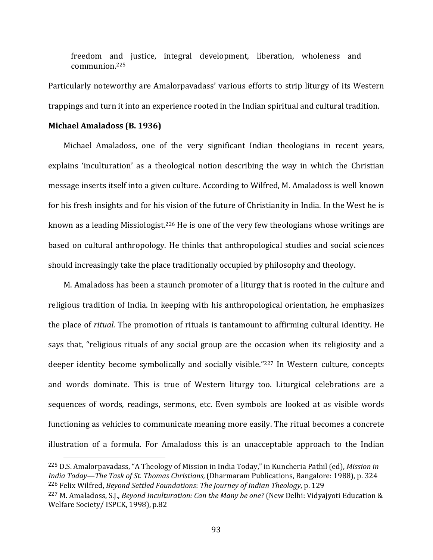freedom and justice, integral development, liberation, wholeness and communion.225

Particularly noteworthy are Amalorpavadass' various efforts to strip liturgy of its Western trappings and turn it into an experience rooted in the Indian spiritual and cultural tradition.

#### **Michael Amaladoss (B. 1936)**

Michael Amaladoss, one of the very significant Indian theologians in recent years, explains 'inculturation' as a theological notion describing the way in which the Christian message inserts itself into a given culture. According to Wilfred, M. Amaladoss is well known for his fresh insights and for his vision of the future of Christianity in India. In the West he is known as a leading Missiologist.<sup>226</sup> He is one of the very few theologians whose writings are based on cultural anthropology. He thinks that anthropological studies and social sciences should increasingly take the place traditionally occupied by philosophy and theology.

M. Amaladoss has been a staunch promoter of a liturgy that is rooted in the culture and religious tradition of India. In keeping with his anthropological orientation, he emphasizes the place of *ritual.* The promotion of rituals is tantamount to affirming cultural identity. He says that, "religious rituals of any social group are the occasion when its religiosity and a deeper identity become symbolically and socially visible."<sup>227</sup> In Western culture, concepts and words dominate. This is true of Western liturgy too. Liturgical celebrations are a sequences of words, readings, sermons, etc. Even symbols are looked at as visible words functioning as vehicles to communicate meaning more easily. The ritual becomes a concrete illustration of a formula. For Amaladoss this is an unacceptable approach to the Indian

<sup>225</sup> D.S. Amalorpavadass, "A Theology of Mission in India Today," in Kuncheria Pathil (ed), *Mission in India Today—The Task of St. Thomas Christians,* (Dharmaram Publications, Bangalore: 1988), p. 324 <sup>226</sup> Felix Wilfred, *Beyond Settled Foundations*: *The Journey of Indian Theology*, p. 129

<sup>227</sup> M. Amaladoss, S.J., *Beyond Inculturation: Can the Many be one?* (New Delhi: Vidyajyoti Education & Welfare Society/ ISPCK, 1998), p.82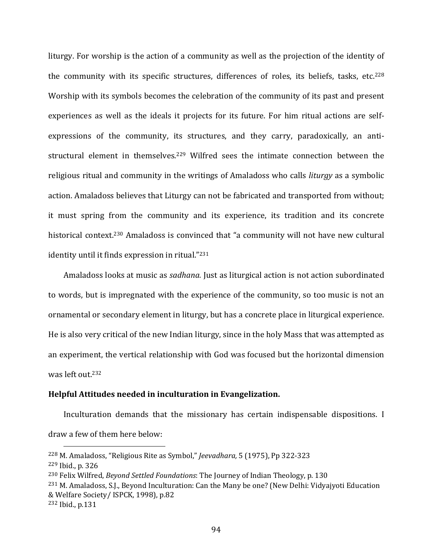liturgy. For worship is the action of a community as well as the projection of the identity of the community with its specific structures, differences of roles, its beliefs, tasks, etc.<sup>228</sup> Worship with its symbols becomes the celebration of the community of its past and present experiences as well as the ideals it projects for its future. For him ritual actions are self‐ expressions of the community, its structures, and they carry, paradoxically, an antistructural element in themselves.<sup>229</sup> Wilfred sees the intimate connection between the religious ritual and community in the writings of Amaladoss who calls *liturgy* as a symbolic action. Amaladoss believes that Liturgy can not be fabricated and transported from without; it must spring from the community and its experience, its tradition and its concrete historical context.<sup>230</sup> Amaladoss is convinced that "a community will not have new cultural identity until it finds expression in ritual."231

Amaladoss looks at music as *sadhana.* Just as liturgical action is not action subordinated to words, but is impregnated with the experience of the community, so too music is not an ornamental or secondary element in liturgy, but has a concrete place in liturgical experience. He is also very critical of the new Indian liturgy, since in the holy Mass that was attempted as an experiment, the vertical relationship with God was focused but the horizontal dimension was left out.232

## **Helpful Attitudes needed in inculturation in Evangelization.**

Inculturation demands that the missionary has certain indispensable dispositions. I draw a few of them here below:

<sup>228</sup> M. Amaladoss, "Religious Rite as Symbol," *Jeevadhara,* 5 (1975), Pp 322‐323

<sup>229</sup> Ibid., p. 326

<sup>230</sup> Felix Wilfred, *Beyond Settled Foundations*: The Journey of Indian Theology, p. 130

<sup>231</sup> M. Amaladoss, S.J., Beyond Inculturation: Can the Many be one? (New Delhi: Vidyajyoti Education & Welfare Society/ ISPCK, 1998), p.82

<sup>232</sup> Ibid., p.131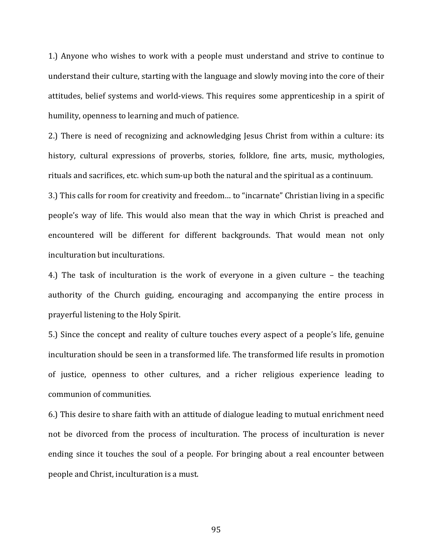1.) Anyone who wishes to work with a people must understand and strive to continue to understand their culture, starting with the language and slowly moving into the core of their attitudes, belief systems and world‐views. This requires some apprenticeship in a spirit of humility, openness to learning and much of patience.

2.) There is need of recognizing and acknowledging Jesus Christ from within a culture: its history, cultural expressions of proverbs, stories, folklore, fine arts, music, mythologies, rituals and sacrifices, etc. which sum‐up both the natural and the spiritual as a continuum.

3.) This calls for room for creativity and freedom… to "incarnate" Christian living in a specific people's way of life. This would also mean that the way in which Christ is preached and encountered will be different for different backgrounds. That would mean not only inculturation but inculturations.

4.) The task of inculturation is the work of everyone in a given culture – the teaching authority of the Church guiding, encouraging and accompanying the entire process in prayerful listening to the Holy Spirit.

5.) Since the concept and reality of culture touches every aspect of a people's life, genuine inculturation should be seen in a transformed life. The transformed life results in promotion of justice, openness to other cultures, and a richer religious experience leading to communion of communities.

6.) This desire to share faith with an attitude of dialogue leading to mutual enrichment need not be divorced from the process of inculturation. The process of inculturation is never ending since it touches the soul of a people. For bringing about a real encounter between people and Christ, inculturation is a must.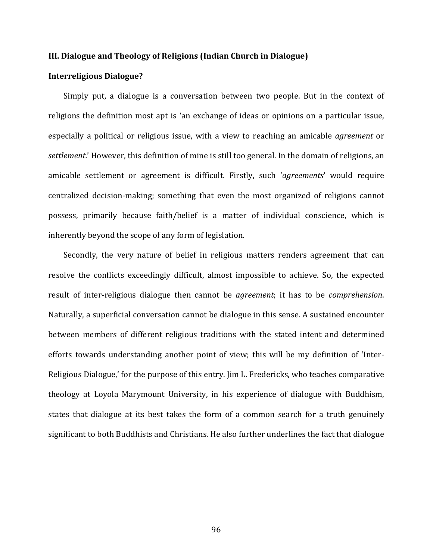#### **III. Dialogue and Theology of Religions (Indian Church in Dialogue)**

### **Interreligious Dialogue?**

Simply put, a dialogue is a conversation between two people. But in the context of religions the definition most apt is 'an exchange of ideas or opinions on a particular issue, especially a political or religious issue, with a view to reaching an amicable *agreement* or *settlement*.' However, this definition of mine is still too general. In the domain of religions, an amicable settlement or agreement is difficult. Firstly, such '*agreements*' would require centralized decision‐making; something that even the most organized of religions cannot possess, primarily because faith/belief is a matter of individual conscience, which is inherently beyond the scope of any form of legislation.

Secondly, the very nature of belief in religious matters renders agreement that can resolve the conflicts exceedingly difficult, almost impossible to achieve. So, the expected result of inter‐religious dialogue then cannot be *agreement*; it has to be *comprehension*. Naturally, a superficial conversation cannot be dialogue in this sense. A sustained encounter between members of different religious traditions with the stated intent and determined efforts towards understanding another point of view; this will be my definition of 'Inter‐ Religious Dialogue,' for the purpose of this entry. Jim L. Fredericks, who teaches comparative theology at Loyola Marymount University, in his experience of dialogue with Buddhism, states that dialogue at its best takes the form of a common search for a truth genuinely significant to both Buddhists and Christians. He also further underlines the fact that dialogue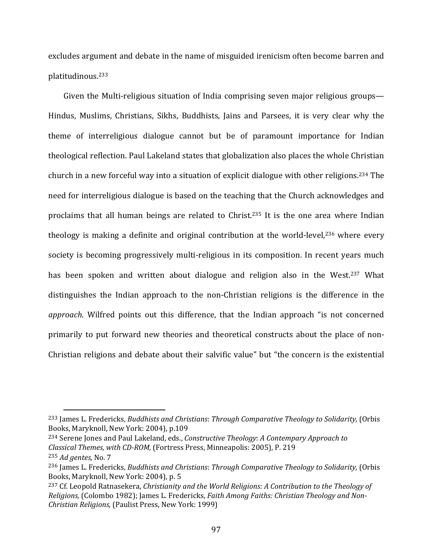excludes argument and debate in the name of misguided irenicism often become barren and platitudinous.233

Given the Multi-religious situation of India comprising seven major religious groups— Hindus, Muslims, Christians, Sikhs, Buddhists, Jains and Parsees, it is very clear why the theme of interreligious dialogue cannot but be of paramount importance for Indian theological reflection. Paul Lakeland states that globalization also places the whole Christian church in a new forceful way into a situation of explicit dialogue with other religions.234 The need for interreligious dialogue is based on the teaching that the Church acknowledges and proclaims that all human beings are related to Christ.235 It is the one area where Indian theology is making a definite and original contribution at the world-level,<sup>236</sup> where every society is becoming progressively multi-religious in its composition. In recent years much has been spoken and written about dialogue and religion also in the West.<sup>237</sup> What distinguishes the Indian approach to the non‐Christian religions is the difference in the *approach*. Wilfred points out this difference, that the Indian approach "is not concerned primarily to put forward new theories and theoretical constructs about the place of non‐ Christian religions and debate about their salvific value" but "the concern is the existential

<sup>234</sup> Serene Jones and Paul Lakeland, eds., *Constructive Theology*: *A Contempary Approach to Classical Themes, with CD‐ROM,* (Fortress Press, Minneapolis: 2005), P. 219

<sup>233</sup> James L. Fredericks, *Buddhists and Christians*: *Through Comparative Theology to Solidarity,* (Orbis Books, Maryknoll, New York: 2004), p.109

<sup>235</sup> *Ad gentes,* No. 7

<sup>236</sup> James L. Fredericks, *Buddhists and Christians*: *Through Comparative Theology to Solidarity,* (Orbis Books, Maryknoll, New York: 2004), p. 5

<sup>237</sup> Cf. Leopold Ratnasekera, *Christianity and the World Religions: A Contribution to the Theology of Religions,* (Colombo 1982); James L. Fredericks, *Faith Among Faiths: Christian Theology and Non‐ Christian Religions,* (Paulist Press, New York: 1999)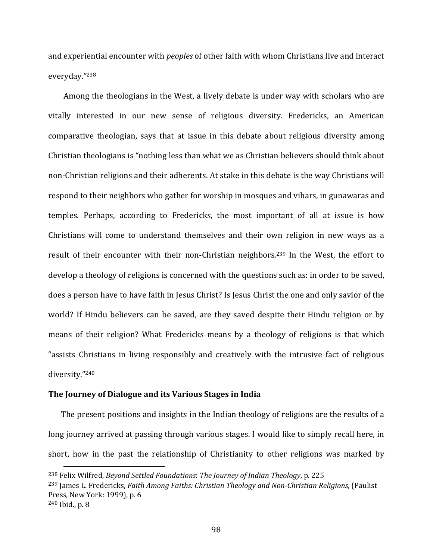and experiential encounter with *peoples* of other faith with whom Christians live and interact everyday."238

 Among the theologians in the West, a lively debate is under way with scholars who are vitally interested in our new sense of religious diversity. Fredericks, an American comparative theologian, says that at issue in this debate about religious diversity among Christian theologians is "nothing less than what we as Christian believers should think about non‐Christian religions and their adherents. At stake in this debate is the way Christians will respond to their neighbors who gather for worship in mosques and vihars, in gunawaras and temples. Perhaps, according to Fredericks, the most important of all at issue is how Christians will come to understand themselves and their own religion in new ways as a result of their encounter with their non-Christian neighbors.<sup>239</sup> In the West, the effort to develop a theology of religions is concerned with the questions such as: in order to be saved, does a person have to have faith in Jesus Christ? Is Jesus Christ the one and only savior of the world? If Hindu believers can be saved, are they saved despite their Hindu religion or by means of their religion? What Fredericks means by a theology of religions is that which "assists Christians in living responsibly and creatively with the intrusive fact of religious diversity."240

## **The Journey of Dialogue and its Various Stages in India**

The present positions and insights in the Indian theology of religions are the results of a long journey arrived at passing through various stages. I would like to simply recall here, in short, how in the past the relationship of Christianity to other religions was marked by

<sup>238</sup> Felix Wilfred, *Beyond Settled Foundations*: *The Journey of Indian Theology*, p. 225 <sup>239</sup> James L. Fredericks, *Faith Among Faiths: Christian Theology and Non‐Christian Religions,* (Paulist Press, New York: 1999), p. 6 <sup>240</sup> Ibid., p. 8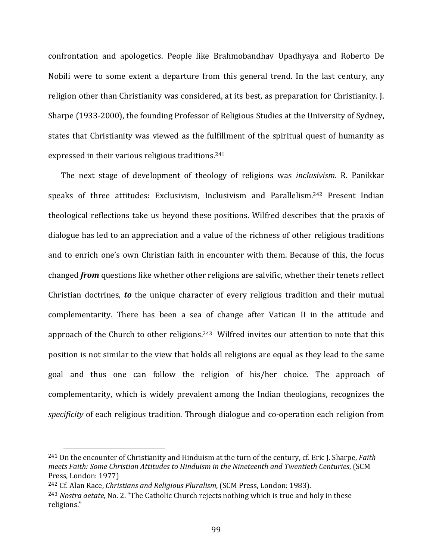confrontation and apologetics. People like Brahmobandhav Upadhyaya and Roberto De Nobili were to some extent a departure from this general trend. In the last century, any religion other than Christianity was considered, at its best, as preparation for Christianity. J. Sharpe (1933‐2000), the founding Professor of Religious Studies at the University of Sydney, states that Christianity was viewed as the fulfillment of the spiritual quest of humanity as expressed in their various religious traditions.241

The next stage of development of theology of religions was *inclusivism.* R. Panikkar speaks of three attitudes: Exclusivism, Inclusivism and Parallelism.<sup>242</sup> Present Indian theological reflections take us beyond these positions. Wilfred describes that the praxis of dialogue has led to an appreciation and a value of the richness of other religious traditions and to enrich one's own Christian faith in encounter with them. Because of this, the focus changed *from* questions like whether other religions are salvific, whether their tenets reflect Christian doctrines, *to* the unique character of every religious tradition and their mutual complementarity. There has been a sea of change after Vatican II in the attitude and approach of the Church to other religions.243 Wilfred invites our attention to note that this position is not similar to the view that holds all religions are equal as they lead to the same goal and thus one can follow the religion of his/her choice. The approach of complementarity, which is widely prevalent among the Indian theologians, recognizes the *specificity* of each religious tradition. Through dialogue and co-operation each religion from

<sup>241</sup> On the encounter of Christianity and Hinduism at the turn of the century, cf. Eric J. Sharpe, *Faith meets Faith: Some Christian Attitudes to Hinduism in the Nineteenth and Twentieth Centuries*, (SCM Press, London: 1977)

<sup>242</sup> Cf. Alan Race, *Christians and Religious Pluralism*, (SCM Press, London: 1983).

<sup>243</sup> *Nostra aetate,* No. 2. "The Catholic Church rejects nothing which is true and holy in these religions."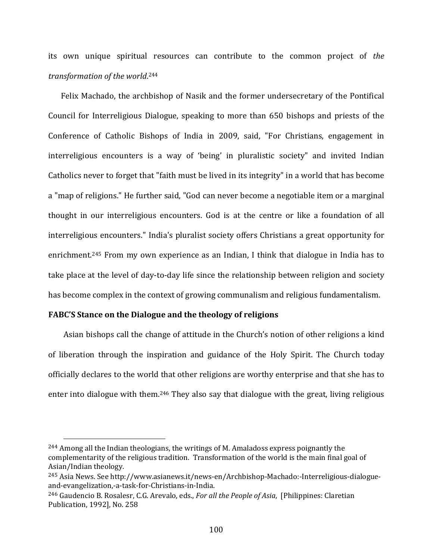its own unique spiritual resources can contribute to the common project of *the transformation of the world*. 244

Felix Machado, the archbishop of Nasik and the former undersecretary of the Pontifical Council for Interreligious Dialogue, speaking to more than 650 bishops and priests of the Conference of Catholic Bishops of India in 2009, said, "For Christians, engagement in interreligious encounters is a way of 'being' in pluralistic society" and invited Indian Catholics never to forget that "faith must be lived in its integrity" in a world that has become a "map of religions." He further said, "God can never become a negotiable item or a marginal thought in our interreligious encounters. God is at the centre or like a foundation of all interreligious encounters." India's pluralist society offers Christians a great opportunity for enrichment.<sup>245</sup> From my own experience as an Indian, I think that dialogue in India has to take place at the level of day‐to‐day life since the relationship between religion and society has become complex in the context of growing communalism and religious fundamentalism.

# **FABC'S Stance on the Dialogue and the theology of religions**

Asian bishops call the change of attitude in the Church's notion of other religions a kind of liberation through the inspiration and guidance of the Holy Spirit. The Church today officially declares to the world that other religions are worthy enterprise and that she has to enter into dialogue with them.246 They also say that dialogue with the great, living religious

<sup>244</sup> Among all the Indian theologians, the writings of M. Amaladoss express poignantly the complementarity of the religious tradition. Transformation of the world is the main final goal of Asian/Indian theology.

<sup>245</sup> Asia News. See http://www.asianews.it/news‐en/Archbishop‐Machado:‐Interreligious‐dialogue‐ and‐evangelization,‐a‐task‐for‐Christians‐in‐India.

<sup>246</sup> Gaudencio B. Rosalesr, C.G. Arevalo, eds., *For all the People of Asia*, [Philippines: Claretian Publication, 1992], No. 258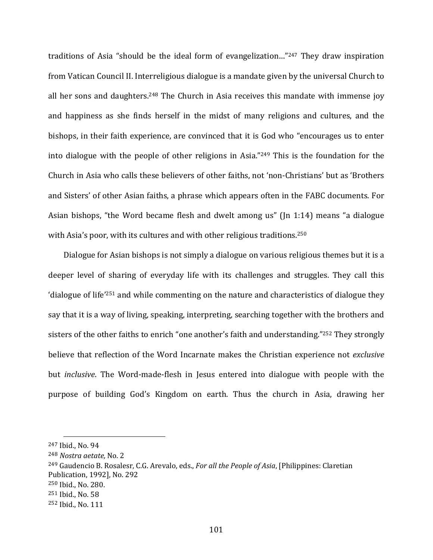traditions of Asia "should be the ideal form of evangelization..."<sup>247</sup> They draw inspiration from Vatican Council II. Interreligious dialogue is a mandate given by the universal Church to all her sons and daughters.<sup>248</sup> The Church in Asia receives this mandate with immense joy and happiness as she finds herself in the midst of many religions and cultures, and the bishops, in their faith experience, are convinced that it is God who "encourages us to enter into dialogue with the people of other religions in Asia."249 This is the foundation for the Church in Asia who calls these believers of other faiths, not 'non‐Christians' but as 'Brothers and Sisters' of other Asian faiths, a phrase which appears often in the FABC documents. For Asian bishops, "the Word became flesh and dwelt among us" (Jn 1:14) means "a dialogue with Asia's poor, with its cultures and with other religious traditions.<sup>250</sup>

 Dialogue for Asian bishops is not simply a dialogue on various religious themes but it is a deeper level of sharing of everyday life with its challenges and struggles. They call this 'dialogue of life'251 and while commenting on the nature and characteristics of dialogue they say that it is a way of living, speaking, interpreting, searching together with the brothers and sisters of the other faiths to enrich "one another's faith and understanding."<sup>252</sup> They strongly believe that reflection of the Word Incarnate makes the Christian experience not *exclusive* but *inclusive*. The Word‐made‐flesh in Jesus entered into dialogue with people with the purpose of building God's Kingdom on earth. Thus the church in Asia, drawing her

- 249 Gaudencio B. Rosalesr, C.G. Arevalo, eds., *For all the People of Asia*, [Philippines: Claretian
- Publication, 1992], No. 292

<sup>247</sup> Ibid., No. 94

<sup>248</sup> *Nostra aetate,* No. 2

<sup>250</sup> Ibid., No. 280.

<sup>251</sup> Ibid., No. 58

<sup>252</sup> Ibid., No. 111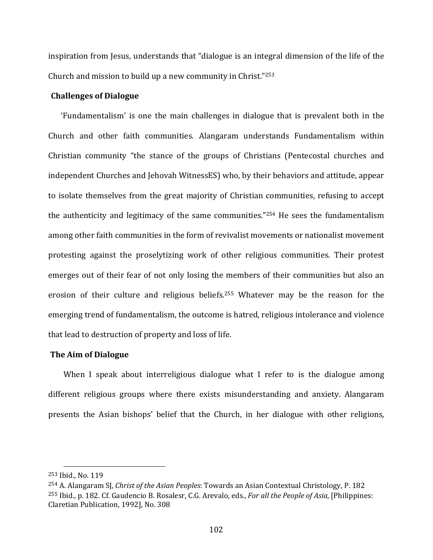inspiration from Jesus, understands that "dialogue is an integral dimension of the life of the Church and mission to build up a new community in Christ."253

# **Challenges of Dialogue**

'Fundamentalism' is one the main challenges in dialogue that is prevalent both in the Church and other faith communities. Alangaram understands Fundamentalism within Christian community "the stance of the groups of Christians (Pentecostal churches and independent Churches and Jehovah WitnessES) who, by their behaviors and attitude, appear to isolate themselves from the great majority of Christian communities, refusing to accept the authenticity and legitimacy of the same communities."254 He sees the fundamentalism among other faith communities in the form of revivalist movements or nationalist movement protesting against the proselytizing work of other religious communities. Their protest emerges out of their fear of not only losing the members of their communities but also an erosion of their culture and religious beliefs.<sup>255</sup> Whatever may be the reason for the emerging trend of fundamentalism, the outcome is hatred, religious intolerance and violence that lead to destruction of property and loss of life.

#### **The Aim of Dialogue**

When I speak about interreligious dialogue what I refer to is the dialogue among different religious groups where there exists misunderstanding and anxiety. Alangaram presents the Asian bishops' belief that the Church, in her dialogue with other religions,

<sup>253</sup> Ibid., No. 119

<sup>254</sup> A. Alangaram SJ, *Christ of the Asian Peoples*: Towards an Asian Contextual Christology, P. 182 <sup>255</sup> Ibid., p. 182. Cf. Gaudencio B. Rosalesr, C.G. Arevalo, eds., *For all the People of Asia*, [Philippines: Claretian Publication, 1992], No. 308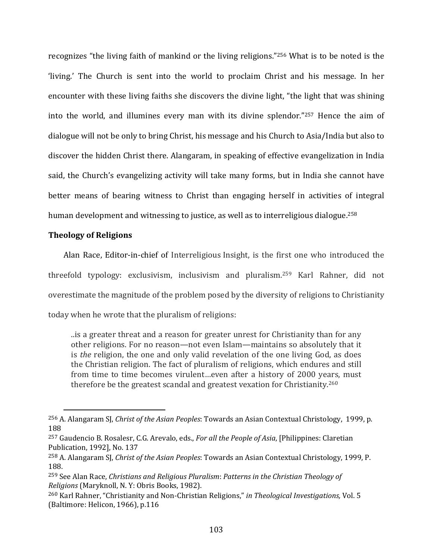recognizes "the living faith of mankind or the living religions."256 What is to be noted is the 'living.' The Church is sent into the world to proclaim Christ and his message. In her encounter with these living faiths she discovers the divine light, "the light that was shining into the world, and illumines every man with its divine splendor."257 Hence the aim of dialogue will not be only to bring Christ, his message and his Church to Asia/India but also to discover the hidden Christ there. Alangaram, in speaking of effective evangelization in India said, the Church's evangelizing activity will take many forms, but in India she cannot have better means of bearing witness to Christ than engaging herself in activities of integral human development and witnessing to justice, as well as to interreligious dialogue.<sup>258</sup>

# **Theology of Religions**

Alan Race, Editor‐in‐chief of Interreligious Insight, is the first one who introduced the threefold typology: exclusivism, inclusivism and pluralism.259 Karl Rahner, did not overestimate the magnitude of the problem posed by the diversity of religions to Christianity today when he wrote that the pluralism of religions:

..is a greater threat and a reason for greater unrest for Christianity than for any other religions. For no reason—not even Islam—maintains so absolutely that it is *the* religion, the one and only valid revelation of the one living God, as does the Christian religion. The fact of pluralism of religions, which endures and still from time to time becomes virulent…even after a history of 2000 years, must therefore be the greatest scandal and greatest vexation for Christianity.<sup>260</sup>

<sup>256</sup> A. Alangaram SJ, *Christ of the Asian Peoples*: Towards an Asian Contextual Christology, 1999, p. 188

<sup>257</sup> Gaudencio B. Rosalesr, C.G. Arevalo, eds., *For all the People of Asia*, [Philippines: Claretian Publication, 1992], No. 137

<sup>258</sup> A. Alangaram SJ, *Christ of the Asian Peoples*: Towards an Asian Contextual Christology, 1999, P. 188.

<sup>259</sup> See Alan Race, *Christians and Religious Pluralism*: *Patterns in the Christian Theology of Religions* (Maryknoll, N. Y: Obris Books, 1982).

<sup>260</sup> Karl Rahner, "Christianity and Non‐Christian Religions," *in Theological Investigations,* Vol. 5 (Baltimore: Helicon, 1966), p.116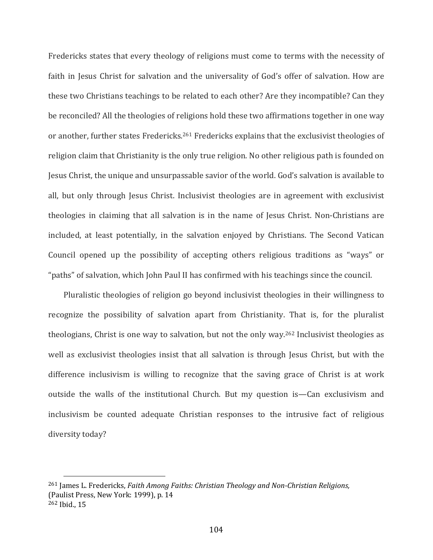Fredericks states that every theology of religions must come to terms with the necessity of faith in Jesus Christ for salvation and the universality of God's offer of salvation. How are these two Christians teachings to be related to each other? Are they incompatible? Can they be reconciled? All the theologies of religions hold these two affirmations together in one way or another, further states Fredericks.261 Fredericks explains that the exclusivist theologies of religion claim that Christianity is the only true religion. No other religious path is founded on Jesus Christ, the unique and unsurpassable savior of the world. God's salvation is available to all, but only through Jesus Christ. Inclusivist theologies are in agreement with exclusivist theologies in claiming that all salvation is in the name of Jesus Christ. Non‐Christians are included, at least potentially, in the salvation enjoyed by Christians. The Second Vatican Council opened up the possibility of accepting others religious traditions as "ways" or "paths" of salvation, which John Paul II has confirmed with his teachings since the council.

 Pluralistic theologies of religion go beyond inclusivist theologies in their willingness to recognize the possibility of salvation apart from Christianity. That is, for the pluralist theologians, Christ is one way to salvation, but not the only way.262 Inclusivist theologies as well as exclusivist theologies insist that all salvation is through Jesus Christ, but with the difference inclusivism is willing to recognize that the saving grace of Christ is at work outside the walls of the institutional Church. But my question is—Can exclusivism and inclusivism be counted adequate Christian responses to the intrusive fact of religious diversity today?

<sup>261</sup> James L. Fredericks, *Faith Among Faiths: Christian Theology and Non‐Christian Religions,* (Paulist Press, New York: 1999), p. 14 <sup>262</sup> Ibid., 15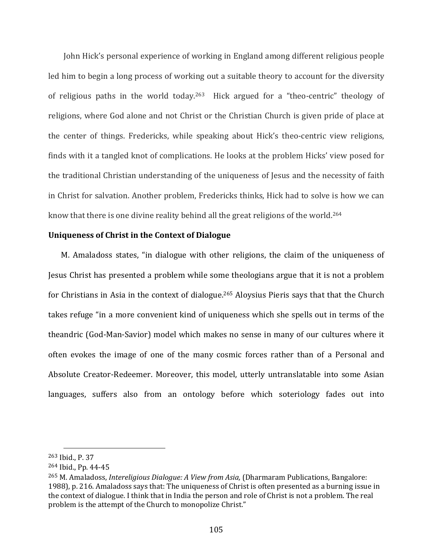John Hick's personal experience of working in England among different religious people led him to begin a long process of working out a suitable theory to account for the diversity of religious paths in the world today.<sup>263</sup> Hick argued for a "theo-centric" theology of religions, where God alone and not Christ or the Christian Church is given pride of place at the center of things. Fredericks, while speaking about Hick's theo-centric view religions, finds with it a tangled knot of complications. He looks at the problem Hicks' view posed for the traditional Christian understanding of the uniqueness of Jesus and the necessity of faith in Christ for salvation. Another problem, Fredericks thinks, Hick had to solve is how we can know that there is one divine reality behind all the great religions of the world.264

#### **Uniqueness of Christ in the Context of Dialogue**

M. Amaladoss states, "in dialogue with other religions, the claim of the uniqueness of Jesus Christ has presented a problem while some theologians argue that it is not a problem for Christians in Asia in the context of dialogue.265 Aloysius Pieris says that that the Church takes refuge "in a more convenient kind of uniqueness which she spells out in terms of the theandric (God‐Man‐Savior) model which makes no sense in many of our cultures where it often evokes the image of one of the many cosmic forces rather than of a Personal and Absolute Creator‐Redeemer. Moreover, this model, utterly untranslatable into some Asian languages, suffers also from an ontology before which soteriology fades out into

<sup>263</sup> Ibid., P. 37

<sup>264</sup> Ibid., Pp. 44‐45

<sup>265</sup> M. Amaladoss, *Intereligious Dialogue: A View from Asia,* (Dharmaram Publications, Bangalore: 1988), p. 216. Amaladoss says that: The uniqueness of Christ is often presented as a burning issue in the context of dialogue. I think that in India the person and role of Christ is not a problem. The real problem is the attempt of the Church to monopolize Christ."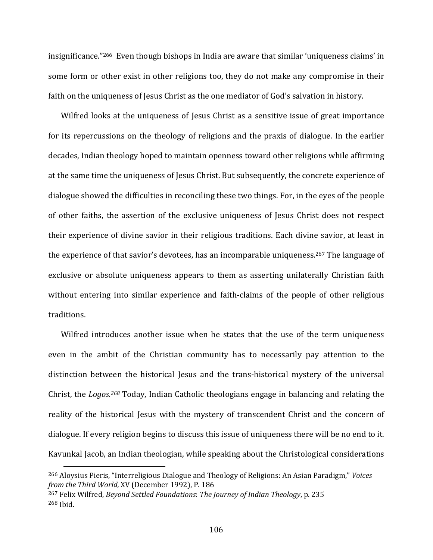insignificance."266 Even though bishops in India are aware that similar 'uniqueness claims' in some form or other exist in other religions too, they do not make any compromise in their faith on the uniqueness of Jesus Christ as the one mediator of God's salvation in history.

Wilfred looks at the uniqueness of Jesus Christ as a sensitive issue of great importance for its repercussions on the theology of religions and the praxis of dialogue. In the earlier decades, Indian theology hoped to maintain openness toward other religions while affirming at the same time the uniqueness of Jesus Christ. But subsequently, the concrete experience of dialogue showed the difficulties in reconciling these two things. For, in the eyes of the people of other faiths, the assertion of the exclusive uniqueness of Jesus Christ does not respect their experience of divine savior in their religious traditions. Each divine savior, at least in the experience of that savior's devotees, has an incomparable uniqueness.267 The language of exclusive or absolute uniqueness appears to them as asserting unilaterally Christian faith without entering into similar experience and faith-claims of the people of other religious traditions.

Wilfred introduces another issue when he states that the use of the term uniqueness even in the ambit of the Christian community has to necessarily pay attention to the distinction between the historical lesus and the trans-historical mystery of the universal Christ, the *Logos.268* Today, Indian Catholic theologians engage in balancing and relating the reality of the historical Jesus with the mystery of transcendent Christ and the concern of dialogue. If every religion begins to discuss this issue of uniqueness there will be no end to it. Kavunkal Jacob, an Indian theologian, while speaking about the Christological considerations

<sup>266</sup> Aloysius Pieris, "Interreligious Dialogue and Theology of Religions: An Asian Paradigm," *Voices from the Third World,* XV (December 1992), P. 186

<sup>267</sup> Felix Wilfred, *Beyond Settled Foundations*: *The Journey of Indian Theology*, p. 235 <sup>268</sup> Ibid.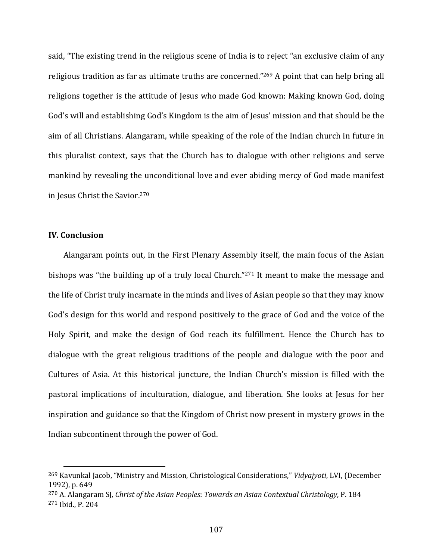said, "The existing trend in the religious scene of India is to reject "an exclusive claim of any religious tradition as far as ultimate truths are concerned."269 A point that can help bring all religions together is the attitude of Jesus who made God known: Making known God, doing God's will and establishing God's Kingdom is the aim of Jesus' mission and that should be the aim of all Christians. Alangaram, while speaking of the role of the Indian church in future in this pluralist context, says that the Church has to dialogue with other religions and serve mankind by revealing the unconditional love and ever abiding mercy of God made manifest in Jesus Christ the Savior.270

## **IV. Conclusion**

Alangaram points out, in the First Plenary Assembly itself, the main focus of the Asian bishops was "the building up of a truly local Church."271 It meant to make the message and the life of Christ truly incarnate in the minds and lives of Asian people so that they may know God's design for this world and respond positively to the grace of God and the voice of the Holy Spirit, and make the design of God reach its fulfillment. Hence the Church has to dialogue with the great religious traditions of the people and dialogue with the poor and Cultures of Asia. At this historical juncture, the Indian Church's mission is filled with the pastoral implications of inculturation, dialogue, and liberation. She looks at Jesus for her inspiration and guidance so that the Kingdom of Christ now present in mystery grows in the Indian subcontinent through the power of God.

<sup>269</sup> Kavunkal Jacob, "Ministry and Mission, Christological Considerations," *Vidyajyoti*, LVI, (December 1992), p. 649

<sup>270</sup> A. Alangaram SJ, *Christ of the Asian Peoples*: *Towards an Asian Contextual Christology*, P. 184 <sup>271</sup> Ibid., P. 204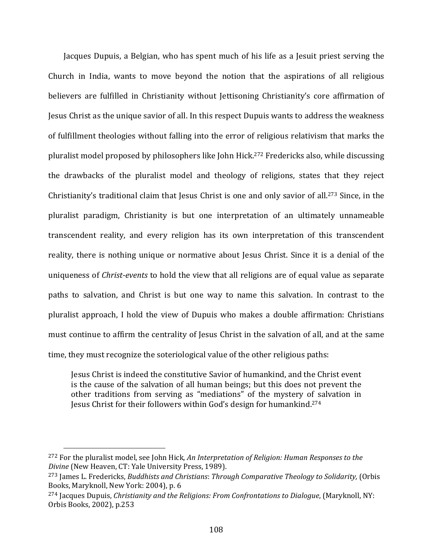Jacques Dupuis, a Belgian, who has spent much of his life as a Jesuit priest serving the Church in India, wants to move beyond the notion that the aspirations of all religious believers are fulfilled in Christianity without Jettisoning Christianity's core affirmation of Jesus Christ as the unique savior of all. In this respect Dupuis wants to address the weakness of fulfillment theologies without falling into the error of religious relativism that marks the pluralist model proposed by philosophers like John Hick.272 Fredericks also, while discussing the drawbacks of the pluralist model and theology of religions, states that they reject Christianity's traditional claim that Jesus Christ is one and only savior of all.273 Since, in the pluralist paradigm, Christianity is but one interpretation of an ultimately unnameable transcendent reality, and every religion has its own interpretation of this transcendent reality, there is nothing unique or normative about Jesus Christ. Since it is a denial of the uniqueness of *Christ‐events* to hold the view that all religions are of equal value as separate paths to salvation, and Christ is but one way to name this salvation. In contrast to the pluralist approach, I hold the view of Dupuis who makes a double affirmation: Christians must continue to affirm the centrality of Jesus Christ in the salvation of all, and at the same time, they must recognize the soteriological value of the other religious paths:

Jesus Christ is indeed the constitutive Savior of humankind, and the Christ event is the cause of the salvation of all human beings; but this does not prevent the other traditions from serving as "mediations" of the mystery of salvation in Jesus Christ for their followers within God's design for humankind.274

<sup>272</sup> For the pluralist model, see John Hick, *An Interpretation of Religion: Human Responses to the Divine* (New Heaven, CT: Yale University Press, 1989).

<sup>273</sup> James L. Fredericks, *Buddhists and Christians*: *Through Comparative Theology to Solidarity,* (Orbis Books, Maryknoll, New York: 2004), p. 6

<sup>274</sup> Jacques Dupuis, *Christianity and the Religions: From Confrontations to Dialogue*, (Maryknoll, NY: Orbis Books, 2002), p.253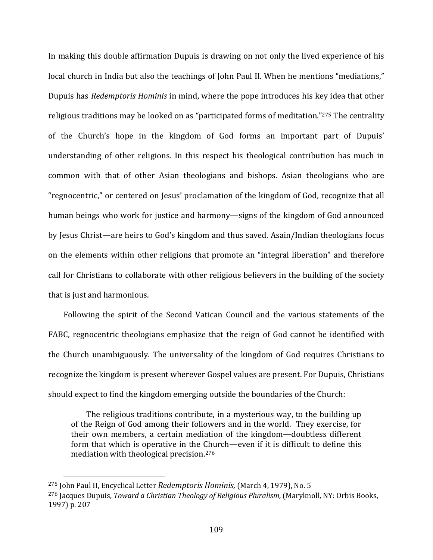In making this double affirmation Dupuis is drawing on not only the lived experience of his local church in India but also the teachings of John Paul II. When he mentions "mediations," Dupuis has *Redemptoris Hominis* in mind, where the pope introduces his key idea that other religious traditions may be looked on as "participated forms of meditation."275 The centrality of the Church's hope in the kingdom of God forms an important part of Dupuis' understanding of other religions. In this respect his theological contribution has much in common with that of other Asian theologians and bishops. Asian theologians who are "regnocentric," or centered on Jesus' proclamation of the kingdom of God, recognize that all human beings who work for justice and harmony—signs of the kingdom of God announced by Jesus Christ—are heirs to God's kingdom and thus saved. Asain/Indian theologians focus on the elements within other religions that promote an "integral liberation" and therefore call for Christians to collaborate with other religious believers in the building of the society that is just and harmonious.

Following the spirit of the Second Vatican Council and the various statements of the FABC, regnocentric theologians emphasize that the reign of God cannot be identified with the Church unambiguously. The universality of the kingdom of God requires Christians to recognize the kingdom is present wherever Gospel values are present. For Dupuis, Christians should expect to find the kingdom emerging outside the boundaries of the Church:

The religious traditions contribute, in a mysterious way, to the building up of the Reign of God among their followers and in the world. They exercise, for their own members, a certain mediation of the kingdom—doubtless different form that which is operative in the Church—even if it is difficult to define this mediation with theological precision.276

<sup>275</sup> John Paul II, Encyclical Letter *Redemptoris Hominis,* (March 4, 1979), No. 5 <sup>276</sup> Jacques Dupuis, *Toward a Christian Theology of Religious Pluralism,* (Maryknoll, NY: Orbis Books, 1997) p. 207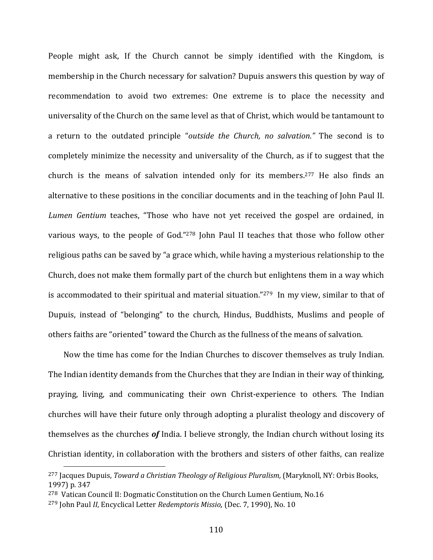People might ask, If the Church cannot be simply identified with the Kingdom, is membership in the Church necessary for salvation? Dupuis answers this question by way of recommendation to avoid two extremes: One extreme is to place the necessity and universality of the Church on the same level as that of Christ, which would be tantamount to a return to the outdated principle "*outside the Church, no salvation."* The second is to completely minimize the necessity and universality of the Church, as if to suggest that the church is the means of salvation intended only for its members.<sup>277</sup> He also finds an alternative to these positions in the conciliar documents and in the teaching of John Paul II. *Lumen Gentium* teaches, "Those who have not yet received the gospel are ordained, in various ways, to the people of God."278 John Paul II teaches that those who follow other religious paths can be saved by "a grace which, while having a mysterious relationship to the Church, does not make them formally part of the church but enlightens them in a way which is accommodated to their spiritual and material situation."279 In my view, similar to that of Dupuis, instead of "belonging" to the church, Hindus, Buddhists, Muslims and people of others faiths are "oriented" toward the Church as the fullness of the means of salvation.

Now the time has come for the Indian Churches to discover themselves as truly Indian. The Indian identity demands from the Churches that they are Indian in their way of thinking, praying, living, and communicating their own Christ-experience to others. The Indian churches will have their future only through adopting a pluralist theology and discovery of themselves as the churches *of* India. I believe strongly, the Indian church without losing its Christian identity, in collaboration with the brothers and sisters of other faiths, can realize

<sup>277</sup> Jacques Dupuis, *Toward a Christian Theology of Religious Pluralism,* (Maryknoll, NY: Orbis Books, 1997) p. 347

<sup>278</sup> Vatican Council II: Dogmatic Constitution on the Church Lumen Gentium, No.16

<sup>279</sup> John Paul *II*, Encyclical Letter *Redemptoris Missio,* (Dec. 7, 1990), No. 10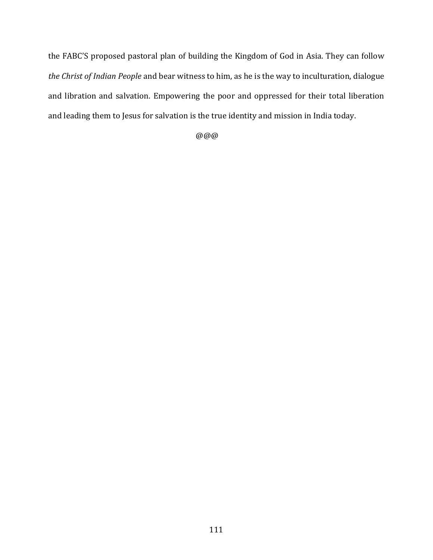the FABC'S proposed pastoral plan of building the Kingdom of God in Asia. They can follow *the Christ of Indian People* and bear witness to him, as he is the way to inculturation, dialogue and libration and salvation. Empowering the poor and oppressed for their total liberation and leading them to Jesus for salvation is the true identity and mission in India today.

@@@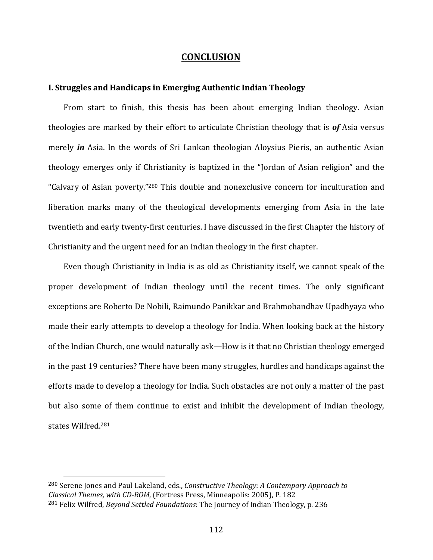## **CONCLUSION**

## **I. Struggles and Handicaps in Emerging Authentic Indian Theology**

From start to finish, this thesis has been about emerging Indian theology. Asian theologies are marked by their effort to articulate Christian theology that is *of* Asia versus merely *in* Asia. In the words of Sri Lankan theologian Aloysius Pieris, an authentic Asian theology emerges only if Christianity is baptized in the "Jordan of Asian religion" and the "Calvary of Asian poverty."280 This double and nonexclusive concern for inculturation and liberation marks many of the theological developments emerging from Asia in the late twentieth and early twenty‐first centuries. I have discussed in the first Chapter the history of Christianity and the urgent need for an Indian theology in the first chapter.

Even though Christianity in India is as old as Christianity itself, we cannot speak of the proper development of Indian theology until the recent times. The only significant exceptions are Roberto De Nobili, Raimundo Panikkar and Brahmobandhav Upadhyaya who made their early attempts to develop a theology for India. When looking back at the history of the Indian Church, one would naturally ask—How is it that no Christian theology emerged in the past 19 centuries? There have been many struggles, hurdles and handicaps against the efforts made to develop a theology for India. Such obstacles are not only a matter of the past but also some of them continue to exist and inhibit the development of Indian theology, states Wilfred.281

<sup>280</sup> Serene Jones and Paul Lakeland, eds., *Constructive Theology*: *A Contempary Approach to Classical Themes, with CD‐ROM,* (Fortress Press, Minneapolis: 2005), P. 182 <sup>281</sup> Felix Wilfred, *Beyond Settled Foundations*: The Journey of Indian Theology, p. 236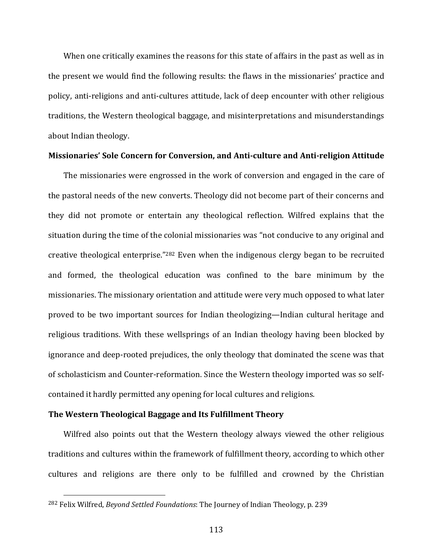When one critically examines the reasons for this state of affairs in the past as well as in the present we would find the following results: the flaws in the missionaries' practice and policy, anti-religions and anti-cultures attitude, lack of deep encounter with other religious traditions, the Western theological baggage, and misinterpretations and misunderstandings about Indian theology.

### **Missionaries' Sole Concern for Conversion, and Anti‐culture and Anti‐religion Attitude**

The missionaries were engrossed in the work of conversion and engaged in the care of the pastoral needs of the new converts. Theology did not become part of their concerns and they did not promote or entertain any theological reflection. Wilfred explains that the situation during the time of the colonial missionaries was "not conducive to any original and creative theological enterprise."282 Even when the indigenous clergy began to be recruited and formed, the theological education was confined to the bare minimum by the missionaries. The missionary orientation and attitude were very much opposed to what later proved to be two important sources for Indian theologizing—Indian cultural heritage and religious traditions. With these wellsprings of an Indian theology having been blocked by ignorance and deep-rooted prejudices, the only theology that dominated the scene was that of scholasticism and Counter‐reformation. Since the Western theology imported was so self‐ contained it hardly permitted any opening for local cultures and religions.

## **The Western Theological Baggage and Its Fulfillment Theory**

Wilfred also points out that the Western theology always viewed the other religious traditions and cultures within the framework of fulfillment theory, according to which other cultures and religions are there only to be fulfilled and crowned by the Christian

<sup>282</sup> Felix Wilfred, *Beyond Settled Foundations*: The Journey of Indian Theology, p. 239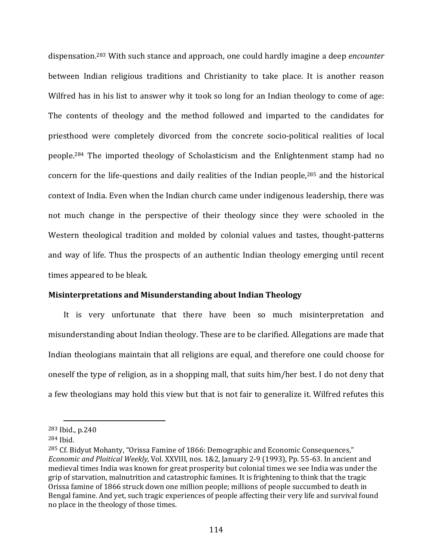dispensation.283 With such stance and approach, one could hardly imagine a deep *encounter* between Indian religious traditions and Christianity to take place. It is another reason Wilfred has in his list to answer why it took so long for an Indian theology to come of age: The contents of theology and the method followed and imparted to the candidates for priesthood were completely divorced from the concrete socio-political realities of local people.284 The imported theology of Scholasticism and the Enlightenment stamp had no concern for the life-questions and daily realities of the Indian people,<sup>285</sup> and the historical context of India. Even when the Indian church came under indigenous leadership, there was not much change in the perspective of their theology since they were schooled in the Western theological tradition and molded by colonial values and tastes, thought-patterns and way of life. Thus the prospects of an authentic Indian theology emerging until recent times appeared to be bleak.

## **Misinterpretations and Misunderstanding about Indian Theology**

It is very unfortunate that there have been so much misinterpretation and misunderstanding about Indian theology. These are to be clarified. Allegations are made that Indian theologians maintain that all religions are equal, and therefore one could choose for oneself the type of religion, as in a shopping mall, that suits him/her best. I do not deny that a few theologians may hold this view but that is not fair to generalize it. Wilfred refutes this

<sup>283</sup> Ibid., p.240

<sup>284</sup> Ibid.

<sup>285</sup> Cf. Bidyut Mohanty, "Orissa Famine of 1866: Demographic and Economic Consequences," *Economic and Ploitical Weekly,* Vol. XXVIII, nos. 1&2, January 2‐9 (1993), Pp. 55‐63. In ancient and medieval times India was known for great prosperity but colonial times we see India was under the grip of starvation, malnutrition and catastrophic famines. It is frightening to think that the tragic Orissa famine of 1866 struck down one million people; millions of people succumbed to death in Bengal famine. And yet, such tragic experiences of people affecting their very life and survival found no place in the theology of those times.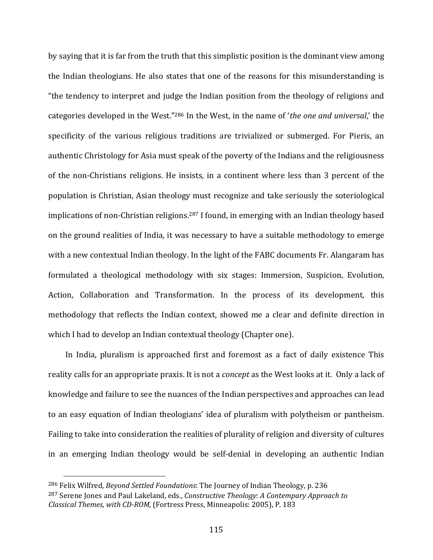by saying that it is far from the truth that this simplistic position is the dominant view among the Indian theologians. He also states that one of the reasons for this misunderstanding is "the tendency to interpret and judge the Indian position from the theology of religions and categories developed in the West."286 In the West, in the name of '*the one and universal*,' the specificity of the various religious traditions are trivialized or submerged. For Pieris, an authentic Christology for Asia must speak of the poverty of the Indians and the religiousness of the non‐Christians religions. He insists, in a continent where less than 3 percent of the population is Christian, Asian theology must recognize and take seriously the soteriological implications of non-Christian religions.<sup>287</sup> I found, in emerging with an Indian theology based on the ground realities of India, it was necessary to have a suitable methodology to emerge with a new contextual Indian theology. In the light of the FABC documents Fr. Alangaram has formulated a theological methodology with six stages: Immersion, Suspicion, Evolution, Action, Collaboration and Transformation. In the process of its development, this methodology that reflects the Indian context, showed me a clear and definite direction in which I had to develop an Indian contextual theology (Chapter one).

 In India, pluralism is approached first and foremost as a fact of daily existence This reality calls for an appropriate praxis. It is not a *concept* as the West looks at it. Only a lack of knowledge and failure to see the nuances of the Indian perspectives and approaches can lead to an easy equation of Indian theologians' idea of pluralism with polytheism or pantheism. Failing to take into consideration the realities of plurality of religion and diversity of cultures in an emerging Indian theology would be self‐denial in developing an authentic Indian

<sup>286</sup> Felix Wilfred, *Beyond Settled Foundations*: The Journey of Indian Theology, p. 236 <sup>287</sup> Serene Jones and Paul Lakeland, eds., *Constructive Theology*: *A Contempary Approach to Classical Themes, with CD‐ROM,* (Fortress Press, Minneapolis: 2005), P. 183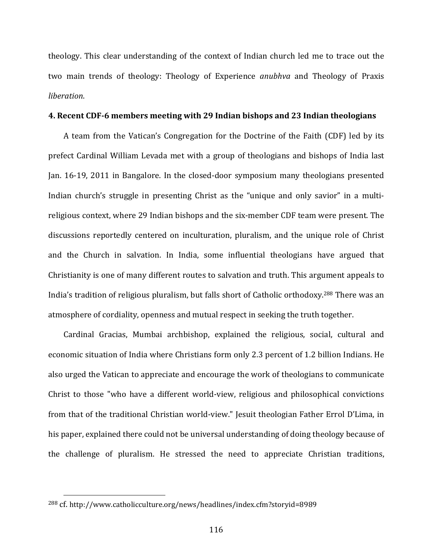theology. This clear understanding of the context of Indian church led me to trace out the two main trends of theology: Theology of Experience *anubhva* and Theology of Praxis *liberation*.

#### **4. Recent CDF‐6 members meeting with 29 Indian bishops and 23 Indian theologians**

A team from the Vatican's Congregation for the Doctrine of the Faith (CDF) led by its prefect Cardinal William Levada met with a group of theologians and bishops of India last Jan. 16‐19, 2011 in Bangalore. In the closed‐door symposium many theologians presented Indian church's struggle in presenting Christ as the "unique and only savior" in a multireligious context, where 29 Indian bishops and the six‐member CDF team were present. The discussions reportedly centered on inculturation, pluralism, and the unique role of Christ and the Church in salvation. In India, some influential theologians have argued that Christianity is one of many different routes to salvation and truth. This argument appeals to India's tradition of religious pluralism, but falls short of Catholic orthodoxy.288 There was an atmosphere of cordiality, openness and mutual respect in seeking the truth together.

Cardinal Gracias, Mumbai archbishop, explained the religious, social, cultural and economic situation of India where Christians form only 2.3 percent of 1.2 billion Indians. He also urged the Vatican to appreciate and encourage the work of theologians to communicate Christ to those "who have a different world‐view, religious and philosophical convictions from that of the traditional Christian world-view." Jesuit theologian Father Errol D'Lima, in his paper, explained there could not be universal understanding of doing theology because of the challenge of pluralism. He stressed the need to appreciate Christian traditions,

<sup>288</sup> cf. http://www.catholicculture.org/news/headlines/index.cfm?storyid=8989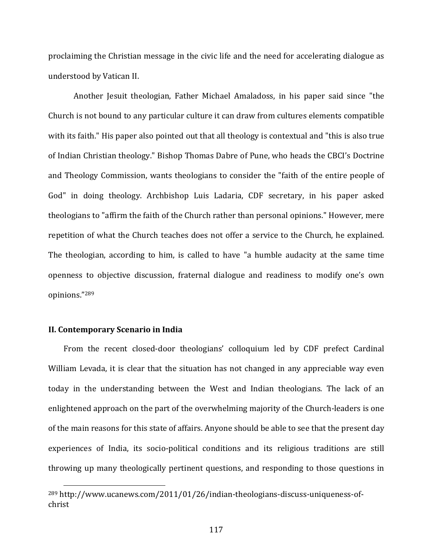proclaiming the Christian message in the civic life and the need for accelerating dialogue as understood by Vatican II.

Another Jesuit theologian, Father Michael Amaladoss, in his paper said since "the Church is not bound to any particular culture it can draw from cultures elements compatible with its faith." His paper also pointed out that all theology is contextual and "this is also true of Indian Christian theology." Bishop Thomas Dabre of Pune, who heads the CBCI's Doctrine and Theology Commission, wants theologians to consider the "faith of the entire people of God" in doing theology. Archbishop Luis Ladaria, CDF secretary, in his paper asked theologians to "affirm the faith of the Church rather than personal opinions." However, mere repetition of what the Church teaches does not offer a service to the Church, he explained. The theologian, according to him, is called to have "a humble audacity at the same time openness to objective discussion, fraternal dialogue and readiness to modify one's own opinions."289

## **II. Contemporary Scenario in India**

From the recent closed-door theologians' colloquium led by CDF prefect Cardinal William Levada, it is clear that the situation has not changed in any appreciable way even today in the understanding between the West and Indian theologians. The lack of an enlightened approach on the part of the overwhelming majority of the Church‐leaders is one of the main reasons for this state of affairs. Anyone should be able to see that the present day experiences of India, its socio-political conditions and its religious traditions are still throwing up many theologically pertinent questions, and responding to those questions in

<sup>&</sup>lt;sup>289</sup> http://www.ucanews.com/2011/01/26/indian-theologians-discuss-uniqueness-ofchrist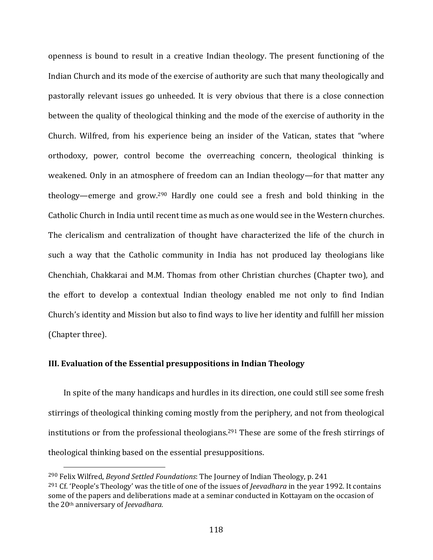openness is bound to result in a creative Indian theology. The present functioning of the Indian Church and its mode of the exercise of authority are such that many theologically and pastorally relevant issues go unheeded. It is very obvious that there is a close connection between the quality of theological thinking and the mode of the exercise of authority in the Church. Wilfred, from his experience being an insider of the Vatican, states that "where orthodoxy, power, control become the overreaching concern, theological thinking is weakened. Only in an atmosphere of freedom can an Indian theology—for that matter any theology—emerge and grow.290 Hardly one could see a fresh and bold thinking in the Catholic Church in India until recent time as much as one would see in the Western churches. The clericalism and centralization of thought have characterized the life of the church in such a way that the Catholic community in India has not produced lay theologians like Chenchiah, Chakkarai and M.M. Thomas from other Christian churches (Chapter two), and the effort to develop a contextual Indian theology enabled me not only to find Indian Church's identity and Mission but also to find ways to live her identity and fulfill her mission (Chapter three).

## **III. Evaluation of the Essential presuppositions in Indian Theology**

In spite of the many handicaps and hurdles in its direction, one could still see some fresh stirrings of theological thinking coming mostly from the periphery, and not from theological institutions or from the professional theologians.291 These are some of the fresh stirrings of theological thinking based on the essential presuppositions.

<sup>290</sup> Felix Wilfred, *Beyond Settled Foundations*: The Journey of Indian Theology, p. 241 <sup>291</sup> Cf. 'People's Theology' was the title of one of the issues of *Jeevadhara* in the year 1992. It contains some of the papers and deliberations made at a seminar conducted in Kottayam on the occasion of the 20th anniversary of *Jeevadhara.*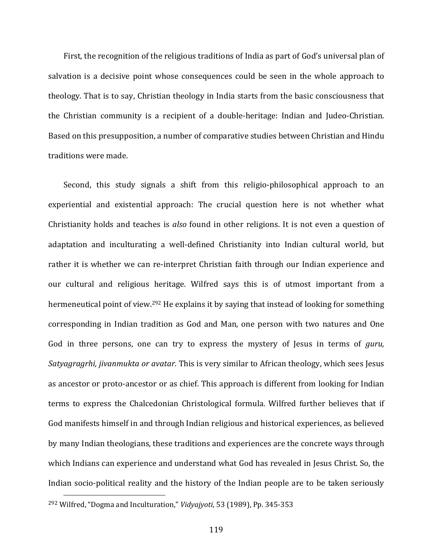First, the recognition of the religious traditions of India as part of God's universal plan of salvation is a decisive point whose consequences could be seen in the whole approach to theology. That is to say, Christian theology in India starts from the basic consciousness that the Christian community is a recipient of a double‐heritage: Indian and Judeo‐Christian. Based on this presupposition, a number of comparative studies between Christian and Hindu traditions were made.

Second, this study signals a shift from this religio-philosophical approach to an experiential and existential approach: The crucial question here is not whether what Christianity holds and teaches is *also* found in other religions. It is not even a question of adaptation and inculturating a well-defined Christianity into Indian cultural world, but rather it is whether we can re-interpret Christian faith through our Indian experience and our cultural and religious heritage. Wilfred says this is of utmost important from a hermeneutical point of view.292 He explains it by saying that instead of looking for something corresponding in Indian tradition as God and Man, one person with two natures and One God in three persons, one can try to express the mystery of Jesus in terms of *guru, Satyagragrhi, jivanmukta or avatar.* This is very similar to African theology, which sees Jesus as ancestor or proto‐ancestor or as chief. This approach is different from looking for Indian terms to express the Chalcedonian Christological formula. Wilfred further believes that if God manifests himself in and through Indian religious and historical experiences, as believed by many Indian theologians, these traditions and experiences are the concrete ways through which Indians can experience and understand what God has revealed in Jesus Christ. So, the Indian socio-political reality and the history of the Indian people are to be taken seriously 

<sup>292</sup> Wilfred, "Dogma and Inculturation," *Vidyajyoti*, 53 (1989), Pp. 345‐353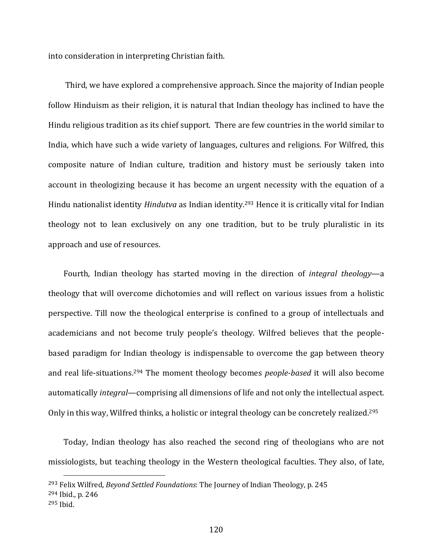into consideration in interpreting Christian faith.

 Third, we have explored a comprehensive approach. Since the majority of Indian people follow Hinduism as their religion, it is natural that Indian theology has inclined to have the Hindu religious tradition as its chief support. There are few countries in the world similar to India, which have such a wide variety of languages, cultures and religions. For Wilfred, this composite nature of Indian culture, tradition and history must be seriously taken into account in theologizing because it has become an urgent necessity with the equation of a Hindu nationalist identity *Hindutva* as Indian identity.293 Hence it is critically vital for Indian theology not to lean exclusively on any one tradition, but to be truly pluralistic in its approach and use of resources.

Fourth, Indian theology has started moving in the direction of *integral theology*—a theology that will overcome dichotomies and will reflect on various issues from a holistic perspective. Till now the theological enterprise is confined to a group of intellectuals and academicians and not become truly people's theology. Wilfred believes that the people‐ based paradigm for Indian theology is indispensable to overcome the gap between theory and real life‐situations.294 The moment theology becomes *people‐based* it will also become automatically *integral*—comprising all dimensions of life and not only the intellectual aspect. Only in this way, Wilfred thinks, a holistic or integral theology can be concretely realized.<sup>295</sup>

 Today, Indian theology has also reached the second ring of theologians who are not missiologists, but teaching theology in the Western theological faculties. They also, of late,

<sup>294</sup> Ibid., p. 246

<sup>293</sup> Felix Wilfred, *Beyond Settled Foundations*: The Journey of Indian Theology, p. 245

<sup>295</sup> Ibid.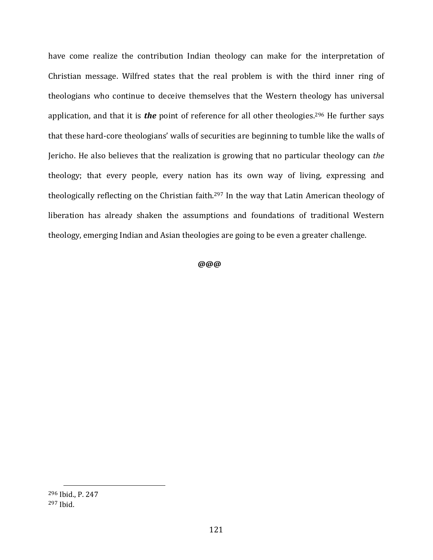have come realize the contribution Indian theology can make for the interpretation of Christian message. Wilfred states that the real problem is with the third inner ring of theologians who continue to deceive themselves that the Western theology has universal application, and that it is *the* point of reference for all other theologies.<sup>296</sup> He further says that these hard‐core theologians' walls of securities are beginning to tumble like the walls of Jericho. He also believes that the realization is growing that no particular theology can *the* theology; that every people, every nation has its own way of living, expressing and theologically reflecting on the Christian faith.297 In the way that Latin American theology of liberation has already shaken the assumptions and foundations of traditional Western theology, emerging Indian and Asian theologies are going to be even a greater challenge.

 **@@@**

<sup>296</sup> Ibid., P. 247 <sup>297</sup> Ibid.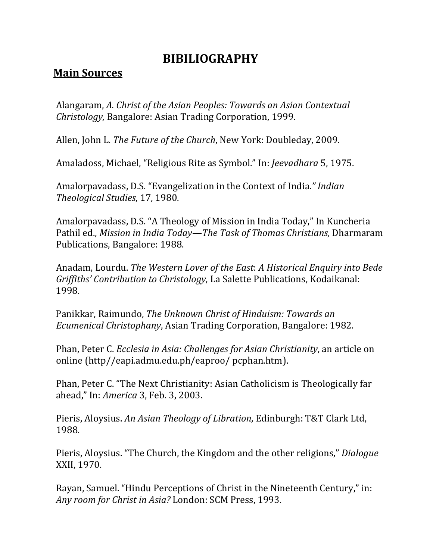# **BIBILIOGRAPHY**

## **Main Sources**

Alangaram, *A. Christ of the Asian Peoples: Towards an Asian Contextual Christology,* Bangalore: Asian Trading Corporation, 1999.

Allen, John L. *The Future of the Church*, New York: Doubleday, 2009.

Amaladoss, Michael, "Religious Rite as Symbol." In: *Jeevadhara* 5, 1975.

Amalorpavadass, D.S. "Evangelization in the Context of India*." Indian Theological Studies*, 17, 1980.

Amalorpavadass, D.S. "A Theology of Mission in India Today," In Kuncheria Pathil ed., *Mission in India Today—The Task of Thomas Christians,* Dharmaram Publications, Bangalore: 1988.

Anadam, Lourdu. *The Western Lover of the East*: *A Historical Enquiry into Bede Griffiths' Contribution to Christology*, La Salette Publications, Kodaikanal: 1998.

Panikkar, Raimundo, *The Unknown Christ of Hinduism: Towards an Ecumenical Christophany*, Asian Trading Corporation, Bangalore: 1982.

Phan, Peter C. *Ecclesia in Asia: Challenges for Asian Christianity*, an article on online (http//eapi.admu.edu.ph/eaproo/ pcphan.htm).

Phan, Peter C. "The Next Christianity: Asian Catholicism is Theologically far ahead," In: *America* 3, Feb. 3, 2003.

Pieris, Aloysius. *An Asian Theology of Libration*, Edinburgh: T&T Clark Ltd, 1988.

Pieris, Aloysius. "The Church, the Kingdom and the other religions," *Dialogue* XXII, 1970.

Rayan, Samuel. "Hindu Perceptions of Christ in the Nineteenth Century," in: *Any room for Christ in Asia?* London: SCM Press, 1993.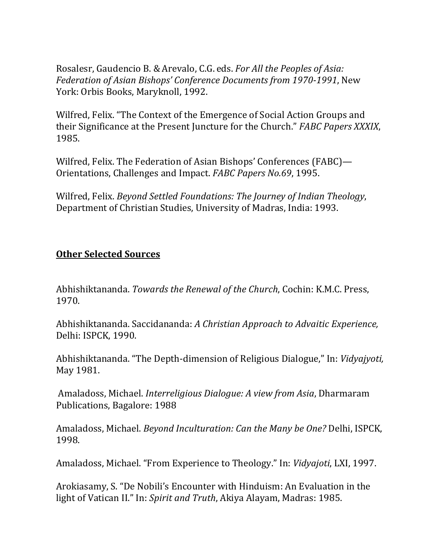Rosalesr, Gaudencio B. &Arevalo, C.G. eds. *For All the Peoples of Asia: Federation of Asian Bishops' Conference Documents from 1970‐1991*, New York: Orbis Books, Maryknoll, 1992.

Wilfred, Felix. "The Context of the Emergence of Social Action Groups and their Significance at the Present Juncture for the Church." *FABC Papers XXXIX*, 1985.

Wilfred, Felix. The Federation of Asian Bishops' Conferences (FABC)— Orientations, Challenges and Impact. *FABC Papers No.69*, 1995.

Wilfred, Felix. *Beyond Settled Foundations: The Journey of Indian Theology*, Department of Christian Studies, University of Madras, India: 1993.

## **Other Selected Sources**

Abhishiktananda. *Towards the Renewal of the Church*, Cochin: K.M.C. Press, 1970.

Abhishiktananda. Saccidananda: *A Christian Approach to Advaitic Experience,* Delhi: ISPCK, 1990.

Abhishiktananda. "The Depth‐dimension of Religious Dialogue," In: *Vidyajyoti,* May 1981.

 Amaladoss, Michael. *Interreligious Dialogue: A view from Asia*, Dharmaram Publications, Bagalore: 1988

Amaladoss, Michael. *Beyond Inculturation: Can the Many be One?* Delhi, ISPCK, 1998.

Amaladoss, Michael. "From Experience to Theology." In: *Vidyajoti*, LXI, 1997.

Arokiasamy, S. "De Nobili's Encounter with Hinduism: An Evaluation in the light of Vatican II." In: *Spirit and Truth*, Akiya Alayam, Madras: 1985.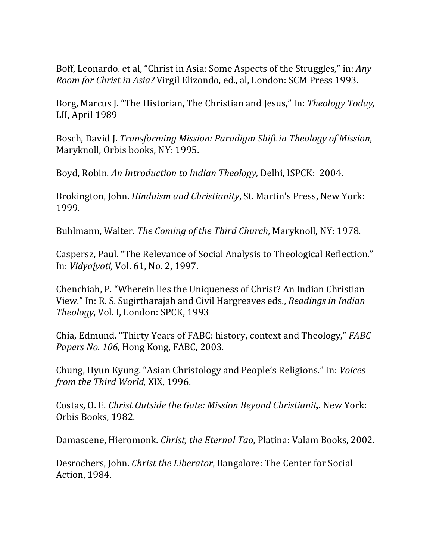Boff, Leonardo. et al, "Christ in Asia: Some Aspects of the Struggles," in: *Any Room for Christ in Asia?* Virgil Elizondo, ed., al, London: SCM Press 1993.

Borg, Marcus J. "The Historian, The Christian and Jesus," In: *Theology Today,* LII, April 1989

Bosch, David J. *Transforming Mission: Paradigm Shift in Theology of Mission*, Maryknoll, Orbis books, NY: 1995.

Boyd, Robin. *An Introduction to Indian Theology,* Delhi, ISPCK: 2004.

Brokington, John. *Hinduism and Christianity*, St. Martin's Press, New York: 1999.

Buhlmann, Walter. *The Coming of the Third Church*, Maryknoll, NY: 1978.

Caspersz, Paul. "The Relevance of Social Analysis to Theological Reflection." In: *Vidyajyoti,* Vol. 61, No. 2, 1997.

Chenchiah, P. "Wherein lies the Uniqueness of Christ? An Indian Christian View." In: R. S. Sugirtharajah and Civil Hargreaves eds., *Readings in Indian Theology*, Vol. I, London: SPCK, 1993

Chia, Edmund. "Thirty Years of FABC: history, context and Theology," *FABC Papers No. 106*, Hong Kong, FABC, 2003.

Chung, Hyun Kyung. "Asian Christology and People's Religions." In: *Voices from the Third World,* XIX, 1996.

Costas, O. E. *Christ Outside the Gate: Mission Beyond Christianit,.* New York: Orbis Books, 1982.

Damascene, Hieromonk. *Christ, the Eternal Tao*, Platina: Valam Books, 2002.

Desrochers, John. *Christ the Liberator*, Bangalore: The Center for Social Action, 1984.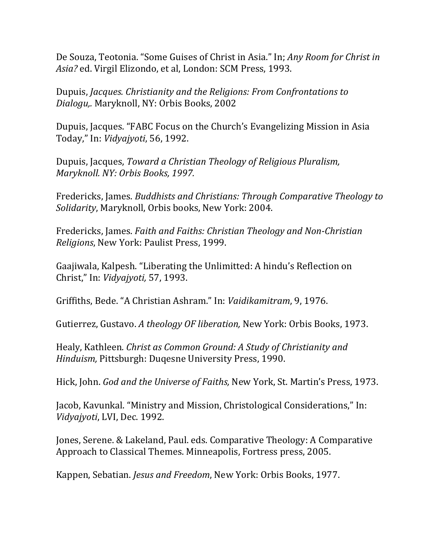De Souza, Teotonia. "Some Guises of Christ in Asia." In; *Any Room for Christ in Asia?* ed. Virgil Elizondo, et al, London: SCM Press, 1993.

Dupuis, *Jacques. Christianity and the Religions: From Confrontations to Dialogu,.* Maryknoll, NY: Orbis Books, 2002

Dupuis, Jacques. "FABC Focus on the Church's Evangelizing Mission in Asia Today," In: *Vidyajyoti*, 56, 1992.

Dupuis, Jacques, *Toward a Christian Theology of Religious Pluralism, Maryknoll. NY: Orbis Books, 1997.*

Fredericks, James. *Buddhists and Christians: Through Comparative Theology to Solidarity*, Maryknoll, Orbis books, New York: 2004.

Fredericks, James. *Faith and Faiths: Christian Theology and Non‐Christian Religions*, New York: Paulist Press, 1999.

Gaajiwala, Kalpesh. "Liberating the Unlimitted: A hindu's Reflection on Christ," In: *Vidyajyoti,* 57, 1993.

Griffiths, Bede. "A Christian Ashram." In: *Vaidikamitram*, 9, 1976.

Gutierrez, Gustavo. *A theology OF liberation,* New York: Orbis Books, 1973.

Healy, Kathleen*. Christ as Common Ground: A Study of Christianity and Hinduism,* Pittsburgh: Duqesne University Press, 1990.

Hick, John. *God and the Universe of Faiths,* New York, St. Martin's Press, 1973.

Jacob, Kavunkal. "Ministry and Mission, Christological Considerations," In: *Vidyajyoti*, LVI, Dec. 1992.

Jones, Serene. & Lakeland, Paul. eds. Comparative Theology: A Comparative Approach to Classical Themes. Minneapolis, Fortress press, 2005.

Kappen, Sebatian. *Jesus and Freedom*, New York: Orbis Books, 1977.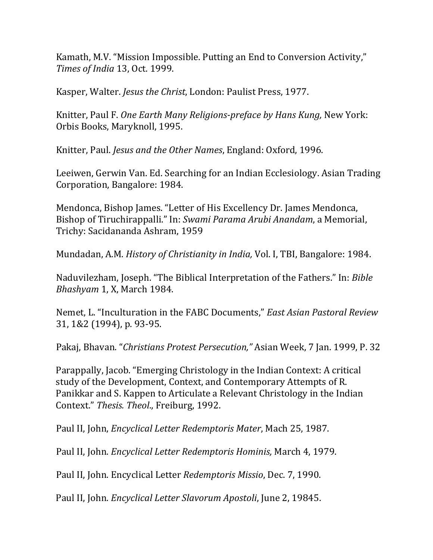Kamath, M.V. "Mission Impossible. Putting an End to Conversion Activity," *Times of India* 13, Oct. 1999.

Kasper, Walter. *Jesus the Christ*, London: Paulist Press, 1977.

Knitter, Paul F. *One Earth Many Religions‐preface by Hans Kung,* New York: Orbis Books, Maryknoll, 1995.

Knitter, Paul. *Jesus and the Other Names*, England: Oxford, 1996.

Leeiwen, Gerwin Van. Ed. Searching for an Indian Ecclesiology. Asian Trading Corporation, Bangalore: 1984.

Mendonca, Bishop James. "Letter of His Excellency Dr. James Mendonca, Bishop of Tiruchirappalli." In: *Swami Parama Arubi Anandam*, a Memorial, Trichy: Sacidananda Ashram, 1959

Mundadan, A.M. *History of Christianity in India,* Vol. I, TBI, Bangalore: 1984.

Naduvilezham, Joseph. "The Biblical Interpretation of the Fathers." In: *Bible Bhashyam* 1, X, March 1984.

Nemet, L. "Inculturation in the FABC Documents," *East Asian Pastoral Review* 31, 1&2 (1994), p. 93‐95.

Pakaj, Bhavan. "*Christians Protest Persecution,"* Asian Week, 7 Jan. 1999, P. 32

Parappally, Jacob. "Emerging Christology in the Indian Context: A critical study of the Development, Context, and Contemporary Attempts of R. Panikkar and S. Kappen to Articulate a Relevant Christology in the Indian Context." *Thesis. Theol*., Freiburg, 1992.

Paul II, John, *Encyclical Letter Redemptoris Mater*, Mach 25, 1987.

Paul II, John. *Encyclical Letter Redemptoris Hominis,* March 4, 1979.

Paul II, John. Encyclical Letter *Redemptoris Missio*, Dec. 7, 1990.

Paul II, John. *Encyclical Letter Slavorum Apostoli*, June 2, 19845.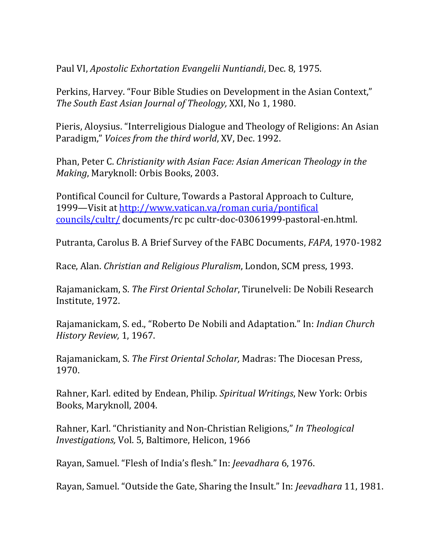Paul VI, *Apostolic Exhortation Evangelii Nuntiandi*, Dec. 8, 1975.

Perkins, Harvey. "Four Bible Studies on Development in the Asian Context," *The South East Asian Journal of Theology,* XXI, No 1, 1980.

Pieris, Aloysius. "Interreligious Dialogue and Theology of Religions: An Asian Paradigm," *Voices from the third world*, XV, Dec. 1992.

Phan, Peter C. *Christianity with Asian Face: Asian American Theology in the Making*, Maryknoll: Orbis Books, 2003.

Pontifical Council for Culture, Towards a Pastoral Approach to Culture, 1999—Visit at http://www.vatican.va/roman curia/pontifical councils/cultr/ documents/rc pc cultr‐doc‐03061999‐pastoral‐en.html.

Putranta, Carolus B. A Brief Survey of the FABC Documents, *FAPA*, 1970‐1982

Race, Alan. *Christian and Religious Pluralism*, London, SCM press, 1993.

Rajamanickam, S. *The First Oriental Scholar*, Tirunelveli: De Nobili Research Institute, 1972.

Rajamanickam, S. ed., "Roberto De Nobili and Adaptation." In: *Indian Church History Review,* 1, 1967.

Rajamanickam, S. *The First Oriental Scholar,* Madras: The Diocesan Press, 1970.

Rahner, Karl. edited by Endean, Philip*. Spiritual Writings*, New York: Orbis Books, Maryknoll, 2004.

Rahner, Karl. "Christianity and Non‐Christian Religions," *In Theological Investigations,* Vol. 5, Baltimore, Helicon, 1966

Rayan, Samuel. "Flesh of India's flesh." In: *Jeevadhara* 6, 1976.

Rayan, Samuel. "Outside the Gate, Sharing the Insult." In: *Jeevadhara* 11, 1981.